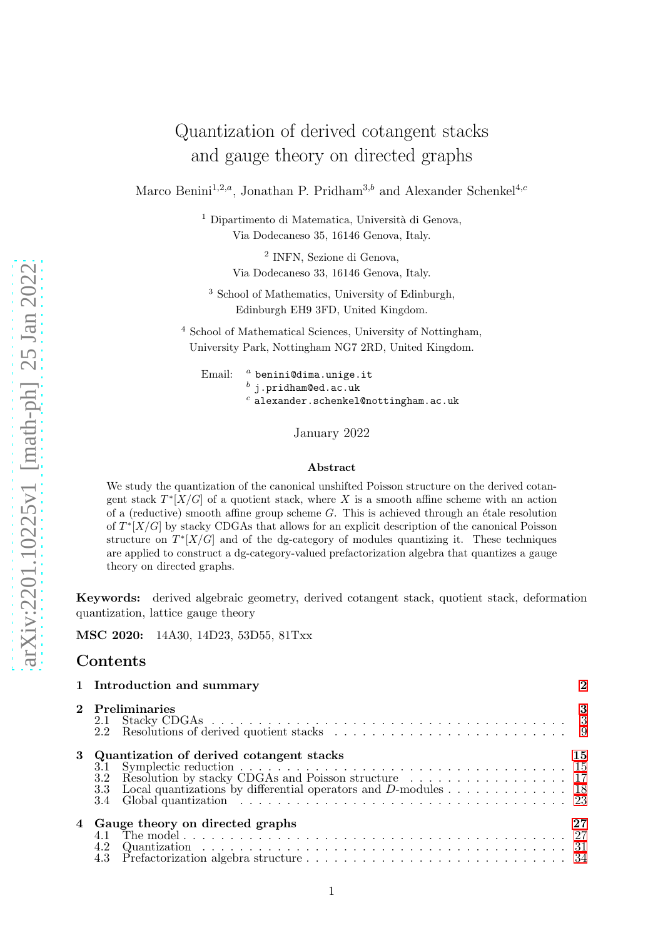# Quantization of derived cotangent stacks and gauge theory on directed graphs

Marco Benini<sup>1,2,a</sup>, Jonathan P. Pridham<sup>3,b</sup> and Alexander Schenkel<sup>4,c</sup>

 $^{\rm 1}$  Dipartimento di Matematica, Università di Genova, Via Dodecaneso 35, 16146 Genova, Italy.

> 2 INFN, Sezione di Genova, Via Dodecaneso 33, 16146 Genova, Italy.

<sup>3</sup> School of Mathematics, University of Edinburgh, Edinburgh EH9 3FD, United Kingdom.

<sup>4</sup> School of Mathematical Sciences, University of Nottingham, University Park, Nottingham NG7 2RD, United Kingdom.

Email:  $a$  benini@dima.unige.it  $\overset{b}{\phantom{a}}$  j.pridham@ed.ac.uk  $c$  alexander.schenkel@nottingham.ac.uk

January 2022

#### Abstract

We study the quantization of the canonical unshifted Poisson structure on the derived cotangent stack  $T^*[X/G]$  of a quotient stack, where X is a smooth affine scheme with an action of a (reductive) smooth affine group scheme  $G$ . This is achieved through an étale resolution of  $T^*[X/G]$  by stacky CDGAs that allows for an explicit description of the canonical Poisson structure on  $T^*[X/G]$  and of the dg-category of modules quantizing it. These techniques are applied to construct a dg-category-valued prefactorization algebra that quantizes a gauge theory on directed graphs.

Keywords: derived algebraic geometry, derived cotangent stack, quotient stack, deformation quantization, lattice gauge theory

MSC 2020: 14A30, 14D23, 53D55, 81Txx

### Contents

| 1 Introduction and summary                                                                                                                                                                                |     |
|-----------------------------------------------------------------------------------------------------------------------------------------------------------------------------------------------------------|-----|
| 2 Preliminaries<br>2.1 Stacky CDGAs<br>2.2 Resolutions of derived quotient stacks<br>$\ldots$ $\ldots$ $\ldots$ $\ldots$ $\ldots$ $\ldots$ $\ldots$ $\ldots$ $\ldots$ $\ldots$ $\ldots$ $\ldots$ $\ldots$ | 3   |
| 3 Quantization of derived cotangent stacks<br>3.3 Local quantizations by differential operators and D-modules 18                                                                                          | -15 |
| 4 Gauge theory on directed graphs                                                                                                                                                                         |     |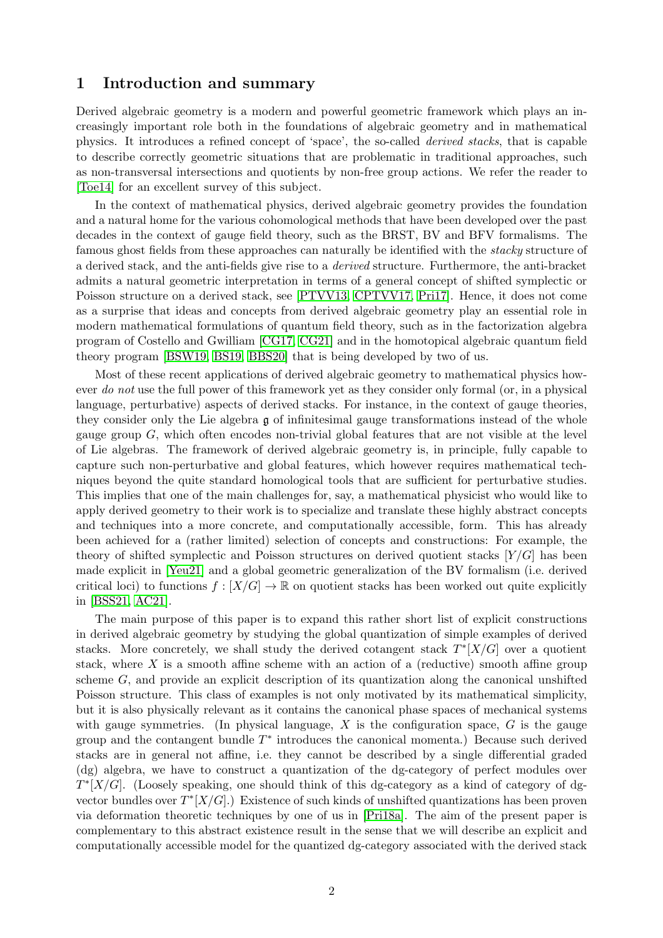# <span id="page-1-0"></span>1 Introduction and summary

Derived algebraic geometry is a modern and powerful geometric framework which plays an increasingly important role both in the foundations of algebraic geometry and in mathematical physics. It introduces a refined concept of 'space', the so-called *derived stacks*, that is capable to describe correctly geometric situations that are problematic in traditional approaches, such as non-transversal intersections and quotients by non-free group actions. We refer the reader to [\[Toe14\]](#page-36-0) for an excellent survey of this subject.

In the context of mathematical physics, derived algebraic geometry provides the foundation and a natural home for the various cohomological methods that have been developed over the past decades in the context of gauge field theory, such as the BRST, BV and BFV formalisms. The famous ghost fields from these approaches can naturally be identified with the *stacky* structure of a derived stack, and the anti-fields give rise to a *derived* structure. Furthermore, the anti-bracket admits a natural geometric interpretation in terms of a general concept of shifted symplectic or Poisson structure on a derived stack, see [\[PTVV13,](#page-35-0) [CPTVV17,](#page-35-1) [Pri17\]](#page-36-1). Hence, it does not come as a surprise that ideas and concepts from derived algebraic geometry play an essential role in modern mathematical formulations of quantum field theory, such as in the factorization algebra program of Costello and Gwilliam [\[CG17,](#page-35-2) [CG21\]](#page-35-3) and in the homotopical algebraic quantum field theory program [\[BSW19,](#page-35-4) [BS19,](#page-35-5) [BBS20\]](#page-35-6) that is being developed by two of us.

Most of these recent applications of derived algebraic geometry to mathematical physics however *do not* use the full power of this framework yet as they consider only formal (or, in a physical language, perturbative) aspects of derived stacks. For instance, in the context of gauge theories, they consider only the Lie algebra g of infinitesimal gauge transformations instead of the whole gauge group  $G$ , which often encodes non-trivial global features that are not visible at the level of Lie algebras. The framework of derived algebraic geometry is, in principle, fully capable to capture such non-perturbative and global features, which however requires mathematical techniques beyond the quite standard homological tools that are sufficient for perturbative studies. This implies that one of the main challenges for, say, a mathematical physicist who would like to apply derived geometry to their work is to specialize and translate these highly abstract concepts and techniques into a more concrete, and computationally accessible, form. This has already been achieved for a (rather limited) selection of concepts and constructions: For example, the theory of shifted symplectic and Poisson structures on derived quotient stacks  $[Y/G]$  has been made explicit in [\[Yeu21\]](#page-36-2) and a global geometric generalization of the BV formalism (i.e. derived critical loci) to functions  $f : [X/G] \to \mathbb{R}$  on quotient stacks has been worked out quite explicitly in [\[BSS21,](#page-35-7) [AC21\]](#page-35-8).

The main purpose of this paper is to expand this rather short list of explicit constructions in derived algebraic geometry by studying the global quantization of simple examples of derived stacks. More concretely, we shall study the derived cotangent stack  $T^*[X/G]$  over a quotient stack, where  $X$  is a smooth affine scheme with an action of a (reductive) smooth affine group scheme G, and provide an explicit description of its quantization along the canonical unshifted Poisson structure. This class of examples is not only motivated by its mathematical simplicity, but it is also physically relevant as it contains the canonical phase spaces of mechanical systems with gauge symmetries. (In physical language,  $X$  is the configuration space,  $G$  is the gauge group and the contangent bundle  $T^*$  introduces the canonical momenta.) Because such derived stacks are in general not affine, i.e. they cannot be described by a single differential graded (dg) algebra, we have to construct a quantization of the dg-category of perfect modules over  $T^*[X/G]$ . (Loosely speaking, one should think of this dg-category as a kind of category of dgvector bundles over  $T^*[X/G]$ .) Existence of such kinds of unshifted quantizations has been proven via deformation theoretic techniques by one of us in [\[Pri18a\]](#page-36-3). The aim of the present paper is complementary to this abstract existence result in the sense that we will describe an explicit and computationally accessible model for the quantized dg-category associated with the derived stack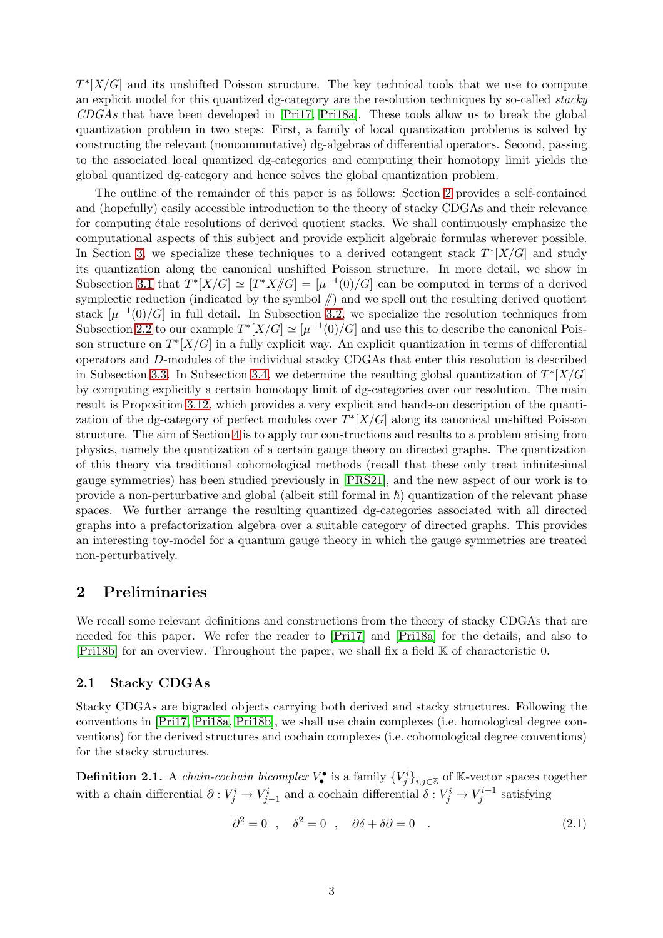$T^*[X/G]$  and its unshifted Poisson structure. The key technical tools that we use to compute an explicit model for this quantized dg-category are the resolution techniques by so-called *stacky CDGAs* that have been developed in [\[Pri17,](#page-36-1) [Pri18a\]](#page-36-3). These tools allow us to break the global quantization problem in two steps: First, a family of local quantization problems is solved by constructing the relevant (noncommutative) dg-algebras of differential operators. Second, passing to the associated local quantized dg-categories and computing their homotopy limit yields the global quantized dg-category and hence solves the global quantization problem.

The outline of the remainder of this paper is as follows: Section [2](#page-2-0) provides a self-contained and (hopefully) easily accessible introduction to the theory of stacky CDGAs and their relevance for computing étale resolutions of derived quotient stacks. We shall continuously emphasize the computational aspects of this subject and provide explicit algebraic formulas wherever possible. In Section [3,](#page-14-0) we specialize these techniques to a derived cotangent stack  $T^*[X/G]$  and study its quantization along the canonical unshifted Poisson structure. In more detail, we show in Subsection [3.1](#page-14-1) that  $T^*[X/G] \simeq [T^*X/\!\!/ G] = [\mu^{-1}(0)/G]$  can be computed in terms of a derived symplectic reduction (indicated by the symbol  $\#$ ) and we spell out the resulting derived quotient stack  $\left[\mu^{-1}(0)/G\right]$  in full detail. In Subsection [3.2,](#page-16-0) we specialize the resolution techniques from Subsection [2.2](#page-8-0) to our example  $T^*[X/G] \simeq [\mu^{-1}(0)/G]$  and use this to describe the canonical Poisson structure on  $T^*[X/G]$  in a fully explicit way. An explicit quantization in terms of differential operators and D-modules of the individual stacky CDGAs that enter this resolution is described in Subsection [3.3.](#page-17-0) In Subsection [3.4,](#page-22-0) we determine the resulting global quantization of  $T^*[X/G]$ by computing explicitly a certain homotopy limit of dg-categories over our resolution. The main result is Proposition [3.12,](#page-24-0) which provides a very explicit and hands-on description of the quantization of the dg-category of perfect modules over  $T^*[X/G]$  along its canonical unshifted Poisson structure. The aim of Section [4](#page-26-0) is to apply our constructions and results to a problem arising from physics, namely the quantization of a certain gauge theory on directed graphs. The quantization of this theory via traditional cohomological methods (recall that these only treat infinitesimal gauge symmetries) has been studied previously in [\[PRS21\]](#page-36-4), and the new aspect of our work is to provide a non-perturbative and global (albeit still formal in  $\hbar$ ) quantization of the relevant phase spaces. We further arrange the resulting quantized dg-categories associated with all directed graphs into a prefactorization algebra over a suitable category of directed graphs. This provides an interesting toy-model for a quantum gauge theory in which the gauge symmetries are treated non-perturbatively.

# <span id="page-2-0"></span>2 Preliminaries

We recall some relevant definitions and constructions from the theory of stacky CDGAs that are needed for this paper. We refer the reader to [\[Pri17\]](#page-36-1) and [\[Pri18a\]](#page-36-3) for the details, and also to [\[Pri18b\]](#page-36-5) for an overview. Throughout the paper, we shall fix a field K of characteristic 0.

# <span id="page-2-1"></span>2.1 Stacky CDGAs

Stacky CDGAs are bigraded objects carrying both derived and stacky structures. Following the conventions in [\[Pri17,](#page-36-1) [Pri18a,](#page-36-3) [Pri18b\]](#page-36-5), we shall use chain complexes (i.e. homological degree conventions) for the derived structures and cochain complexes (i.e. cohomological degree conventions) for the stacky structures.

**Definition 2.1.** A *chain-cochain bicomplex*  $V^{\bullet}$  is a family  ${V^i_j}_{i,j \in \mathbb{Z}}$  of K-vector spaces together with a chain differential  $\partial: V_j^i \to V_{j-1}^i$  and a cochain differential  $\delta: V_j^i \to V_j^{i+1}$  satisfying

$$
\partial^2 = 0 \quad , \quad \delta^2 = 0 \quad , \quad \partial \delta + \delta \partial = 0 \quad . \tag{2.1}
$$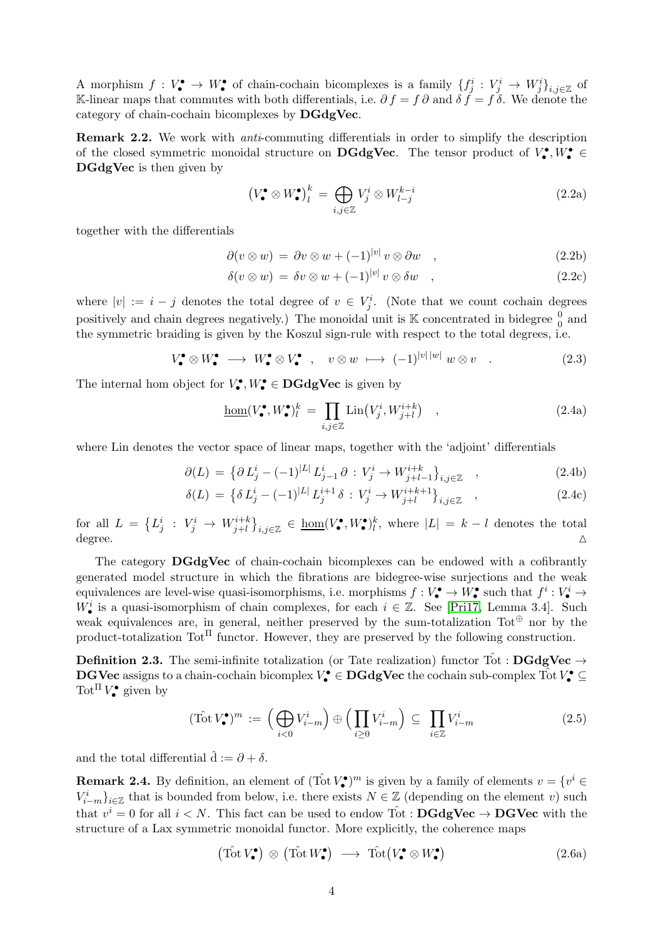A morphism  $f: V^{\bullet} \to W^{\bullet}$  of chain-cochain bicomplexes is a family  $\{f^i_j: V^i_j \to W^i_j\}_{i,j \in \mathbb{Z}}$  of K-linear maps that commutes with both differentials, i.e.  $\partial f = f \partial$  and  $\delta f = f \delta$ . We denote the category of chain-cochain bicomplexes by DGdgVec.

<span id="page-3-0"></span>Remark 2.2. We work with *anti*-commuting differentials in order to simplify the description of the closed symmetric monoidal structure on **DGdgVec**. The tensor product of  $V^{\bullet}_{\bullet}, W^{\bullet}_{\bullet} \in$ DGdgVec is then given by

$$
\left(V_{\bullet}^{\bullet} \otimes W_{\bullet}^{\bullet}\right)_{l}^{k} = \bigoplus_{i,j \in \mathbb{Z}} V_{j}^{i} \otimes W_{l-j}^{k-i}
$$
\n(2.2a)

together with the differentials

$$
\partial(v \otimes w) = \partial v \otimes w + (-1)^{|v|} v \otimes \partial w \quad , \tag{2.2b}
$$

$$
\delta(v \otimes w) = \delta v \otimes w + (-1)^{|v|} v \otimes \delta w \quad , \tag{2.2c}
$$

where  $|v| := i - j$  denotes the total degree of  $v \in V_j^i$ . (Note that we count cochain degrees positively and chain degrees negatively.) The monoidal unit is  $\mathbb K$  concentrated in bidegree  $\frac{0}{0}$  and the symmetric braiding is given by the Koszul sign-rule with respect to the total degrees, i.e.

$$
V_{\bullet}^{\bullet} \otimes W_{\bullet}^{\bullet} \longrightarrow W_{\bullet}^{\bullet} \otimes V_{\bullet}^{\bullet} , \quad v \otimes w \longrightarrow (-1)^{|v| |w|} w \otimes v . \tag{2.3}
$$

The internal hom object for  $V_{\bullet}^{\bullet}, W_{\bullet}^{\bullet} \in \mathbf{DGdgVec}$  is given by

$$
\underline{\text{hom}}(V_{\bullet}^{\bullet}, W_{\bullet}^{\bullet})_{l}^{k} = \prod_{i,j \in \mathbb{Z}} \text{Lin}\big(V_{j}^{i}, W_{j+l}^{i+k}\big) , \qquad (2.4a)
$$

where Lin denotes the vector space of linear maps, together with the 'adjoint' differentials

$$
\partial(L) = \left\{ \partial L_j^i - (-1)^{|L|} L_{j-1}^i \partial : V_j^i \to W_{j+l-1}^{i+k} \right\}_{i,j \in \mathbb{Z}} , \qquad (2.4b)
$$

$$
\delta(L) = \left\{ \delta L_j^i - (-1)^{|L|} L_j^{i+1} \delta : V_j^i \to W_{j+l}^{i+k+1} \right\}_{i,j \in \mathbb{Z}}, \tag{2.4c}
$$

for all  $L = \{L_j^i : V_j^i \to W_{j+l}^{i+k}\}_{i,j\in\mathbb{Z}} \in \underline{\text{hom}}(V_\bullet^{\bullet}, W_\bullet^{\bullet})_l^k$ , where  $|L| = k-l$  denotes the total degree.  $\triangle$ 

The category **DGdgVec** of chain-cochain bicomplexes can be endowed with a cofibrantly generated model structure in which the fibrations are bidegree-wise surjections and the weak equivalences are level-wise quasi-isomorphisms, i.e. morphisms  $f: V^{\bullet}_{\bullet} \to W^{\bullet}_{\bullet}$  such that  $f^i: V^i_{\bullet} \to V^i_{\bullet}$  $W_{\bullet}^{i}$  is a quasi-isomorphism of chain complexes, for each  $i \in \mathbb{Z}$ . See [\[Pri17,](#page-36-1) Lemma 3.4]. Such weak equivalences are, in general, neither preserved by the sum-totalization  $\text{Tot}^{\oplus}$  nor by the product-totalization  $\text{Tot}^{\Pi}$  functor. However, they are preserved by the following construction.

**Definition 2.3.** The semi-infinite totalization (or Tate realization) functor  $\text{Tot}: \text{DGdgVec} \rightarrow$  $\mathbf{DGVec}$  assigns to a chain-cochain bicomplex  $V_\bullet^\bullet\in \mathbf{DGdgVec}$  the cochain sub-complex  $\hat{\mathrm{Tot}}\,V_\bullet^\bullet\subseteq \mathbb{C}$  $\text{Tot}^{\Pi} V_{\bullet}^{\bullet}$  given by

$$
(\text{Tot } V_{\bullet}^{\bullet})^{m} := \left(\bigoplus_{i<0} V_{i-m}^{i}\right) \oplus \left(\prod_{i\geq 0} V_{i-m}^{i}\right) \subseteq \prod_{i\in \mathbb{Z}} V_{i-m}^{i} \tag{2.5}
$$

and the total differential  $\hat{d} := \partial + \delta$ .

**Remark 2.4.** By definition, an element of  $(\hat{\mathrm{Tot}} V^{\bullet})^m$  is given by a family of elements  $v = \{v^i \in V^i\}$  $V_{i-m}^i\}_{i\in\mathbb{Z}}$  that is bounded from below, i.e. there exists  $N\in\mathbb{Z}$  (depending on the element v) such that  $v^i = 0$  for all  $i < N$ . This fact can be used to endow  $T^{\hat{}}_{\Omega}$  :  $\mathbf{DGdgVec} \rightarrow \mathbf{DGVec}$  with the structure of a Lax symmetric monoidal functor. More explicitly, the coherence maps

$$
(\operatorname{Tot} V_{\bullet}^{\bullet}) \otimes (\operatorname{Tot} W_{\bullet}^{\bullet}) \longrightarrow \operatorname{Tot}(V_{\bullet}^{\bullet} \otimes W_{\bullet}^{\bullet})
$$
\n
$$
(2.6a)
$$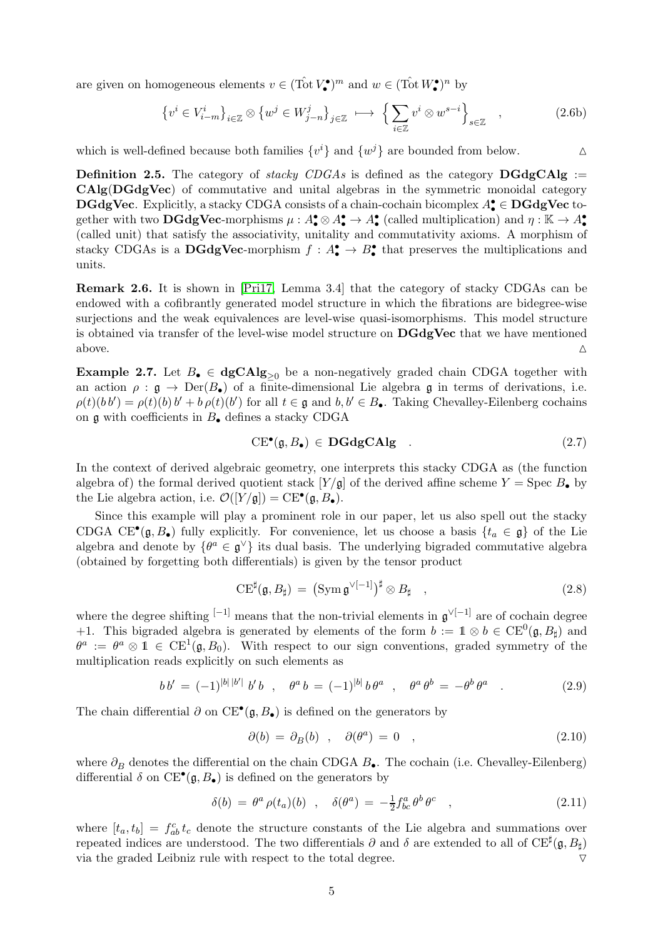are given on homogeneous elements  $v \in (\hat{\mathrm{Tot}} V_{\bullet}^{\bullet})^m$  and  $w \in (\hat{\mathrm{Tot}} W_{\bullet}^{\bullet})^n$  by

$$
\left\{ v^{i} \in V_{i-m}^{i} \right\}_{i \in \mathbb{Z}} \otimes \left\{ w^{j} \in W_{j-n}^{j} \right\}_{j \in \mathbb{Z}} \longmapsto \left\{ \sum_{i \in \mathbb{Z}} v^{i} \otimes w^{s-i} \right\}_{s \in \mathbb{Z}} ,
$$
 (2.6b)

which is well-defined because both families  $\{v^i\}$  and  $\{w^j\}$  are bounded from below.

**Definition 2.5.** The category of *stacky CDGAs* is defined as the category  $\text{DGdgCAlg}$  := CAlg(DGdgVec) of commutative and unital algebras in the symmetric monoidal category  $\bf DGdgVec.$  Explicitly, a stacky CDGA consists of a chain-cochain bicomplex  $A^{\bullet}_{\bullet} \in \bf DGdgVec$  together with two  $\mathbf{DGdgVec}$ -morphisms  $\mu : A^{\bullet}_{\bullet} \otimes A^{\bullet}_{\bullet} \to A^{\bullet}_{\bullet}$  (called multiplication) and  $\eta : \mathbb{K} \to A^{\bullet}_{\bullet}$ (called unit) that satisfy the associativity, unitality and commutativity axioms. A morphism of stacky CDGAs is a **DGdgVec**-morphism  $f : A^{\bullet}_{\bullet} \to B^{\bullet}_{\bullet}$  that preserves the multiplications and units.

Remark 2.6. It is shown in [\[Pri17,](#page-36-1) Lemma 3.4] that the category of stacky CDGAs can be endowed with a cofibrantly generated model structure in which the fibrations are bidegree-wise surjections and the weak equivalences are level-wise quasi-isomorphisms. This model structure is obtained via transfer of the level-wise model structure on DGdgVec that we have mentioned above.  $\triangle$ 

<span id="page-4-0"></span>**Example 2.7.** Let  $B_{\bullet} \in \text{dgCAlg}_{>0}$  be a non-negatively graded chain CDGA together with an action  $\rho : \mathfrak{g} \to \mathrm{Der}(B_{\bullet})$  of a finite-dimensional Lie algebra g in terms of derivations, i.e.  $\rho(t)(b\,b') = \rho(t)(b)\,b' + b\,\rho(t)(b')$  for all  $t \in \mathfrak{g}$  and  $b, b' \in B_\bullet$ . Taking Chevalley-Eilenberg cochains on  $\mathfrak g$  with coefficients in  $B_{\bullet}$  defines a stacky CDGA

$$
CE^{\bullet}(\mathfrak{g}, B_{\bullet}) \in \mathbf{DGdgCAlg} \quad . \tag{2.7}
$$

In the context of derived algebraic geometry, one interprets this stacky CDGA as (the function algebra of) the formal derived quotient stack  $[Y/g]$  of the derived affine scheme  $Y = \text{Spec } B_{\bullet}$  by the Lie algebra action, i.e.  $\mathcal{O}([Y/\mathfrak{g}]) = \mathrm{CE}^{\bullet}(\mathfrak{g}, B_{\bullet}).$ 

Since this example will play a prominent role in our paper, let us also spell out the stacky CDGA CE<sup>•</sup>( $\mathfrak{g}, B_{\bullet}$ ) fully explicitly. For convenience, let us choose a basis  $\{t_a \in \mathfrak{g}\}\$  of the Lie algebra and denote by  $\{\theta^a \in \mathfrak{g}^{\vee}\}\$ its dual basis. The underlying bigraded commutative algebra (obtained by forgetting both differentials) is given by the tensor product

$$
CE^{\sharp}(\mathfrak{g}, B_{\sharp}) = (Sym \mathfrak{g}^{\vee[-1]})^{\sharp} \otimes B_{\sharp} , \qquad (2.8)
$$

where the degree shifting  $[-1]$  means that the non-trivial elements in  $\mathfrak{g}^{\vee[-1]}$  are of cochain degree +1. This bigraded algebra is generated by elements of the form  $b := 1 \otimes b \in \text{CE}^0(\mathfrak{g}, B_{\sharp})$  and  $\theta^a := \theta^a \otimes 1 \in \text{CE}^1(\mathfrak{g}, B_0)$ . With respect to our sign conventions, graded symmetry of the multiplication reads explicitly on such elements as

$$
b b' = (-1)^{|b||b'|} b' b \ , \quad \theta^a b = (-1)^{|b|} b \theta^a \ , \quad \theta^a \theta^b = -\theta^b \theta^a \ . \tag{2.9}
$$

The chain differential  $\partial$  on  $CE^{\bullet}(\mathfrak{g}, B_{\bullet})$  is defined on the generators by

$$
\partial(b) = \partial_B(b) \quad , \quad \partial(\theta^a) = 0 \quad , \tag{2.10}
$$

where  $\partial_B$  denotes the differential on the chain CDGA  $B_{\bullet}$ . The cochain (i.e. Chevalley-Eilenberg) differential  $\delta$  on  $CE^{\bullet}(\mathfrak{g}, B_{\bullet})$  is defined on the generators by

$$
\delta(b) = \theta^a \rho(t_a)(b) , \quad \delta(\theta^a) = -\frac{1}{2} f^a_{bc} \theta^b \theta^c , \qquad (2.11)
$$

where  $[t_a, t_b] = f_{ab}^c t_c$  denote the structure constants of the Lie algebra and summations over repeated indices are understood. The two differentials  $\partial$  and  $\delta$  are extended to all of  $\mathrm{CE}^{\sharp}(\mathfrak{g}, B_{\sharp})$ via the graded Leibniz rule with respect to the total degree.  $\nabla$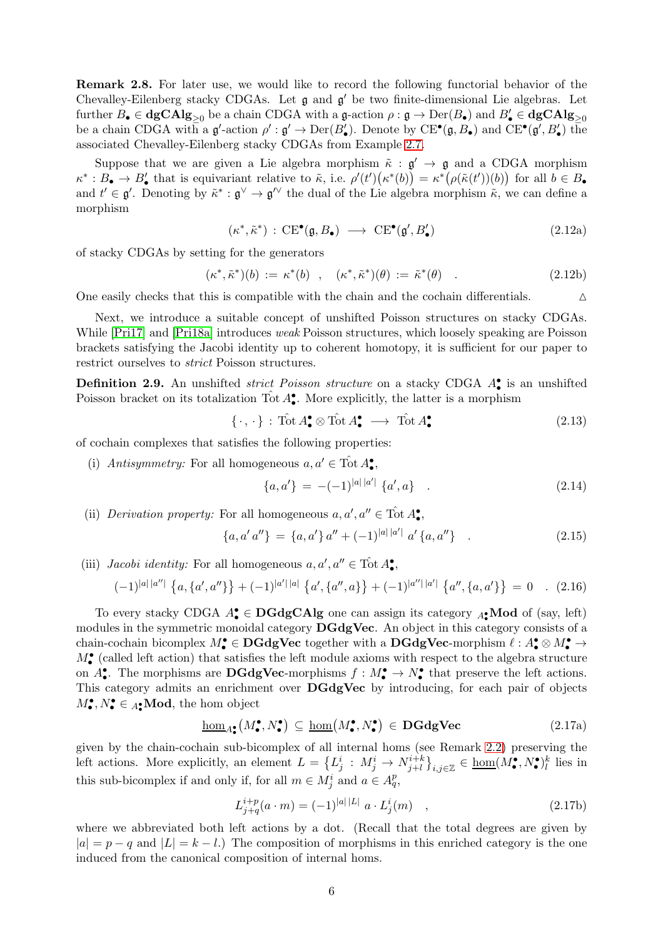<span id="page-5-0"></span>Remark 2.8. For later use, we would like to record the following functorial behavior of the Chevalley-Eilenberg stacky CDGAs. Let  $\mathfrak g$  and  $\mathfrak g'$  be two finite-dimensional Lie algebras. Let further  $B_{\bullet}\in$   $\mathbf{dgCAlg}_{\geq 0}$  be a chain CDGA with a  $\mathfrak{g}\text{-action } \rho : \mathfrak{g} \to \mathrm{Der}(B_{\bullet})$  and  $B'_{\bullet}\in \mathbf{dgCAlg}_{\geq 0}$ be a chain CDGA with a  $\mathfrak{g}'$ -action  $\rho': \mathfrak{g}' \to \text{Der}(B'_\bullet)$ . Denote by  $CE^\bullet(\mathfrak{g}, B_\bullet)$  and  $CE^\bullet(\mathfrak{g}', B'_\bullet)$  the associated Chevalley-Eilenberg stacky CDGAs from Example [2.7.](#page-4-0)

Suppose that we are given a Lie algebra morphism  $\tilde{\kappa} : \mathfrak{g}' \to \mathfrak{g}$  and a CDGA morphism  $\kappa^*: B_{\bullet} \to B'_{\bullet}$  that is equivariant relative to  $\tilde{\kappa}$ , i.e.  $\rho'(t')(\kappa^*(b)) = \kappa^*\big(\rho(\tilde{\kappa}(t'))(b)\big)$  for all  $b \in B_{\bullet}$ and  $t' \in \mathfrak{g}'$ . Denoting by  $\tilde{\kappa}^* : \mathfrak{g}^\vee \to \mathfrak{g}^{\prime\vee}$  the dual of the Lie algebra morphism  $\tilde{\kappa}$ , we can define a morphism

$$
(\kappa^*, \tilde{\kappa}^*) : CE^{\bullet}(\mathfrak{g}, B_{\bullet}) \longrightarrow CE^{\bullet}(\mathfrak{g}', B_{\bullet}')
$$
\n(2.12a)

of stacky CDGAs by setting for the generators

$$
(\kappa^*, \tilde{\kappa}^*)(b) := \kappa^*(b) , \quad (\kappa^*, \tilde{\kappa}^*)(\theta) := \tilde{\kappa}^*(\theta) . \tag{2.12b}
$$

One easily checks that this is compatible with the chain and the cochain differentials.  $\Delta$ 

Next, we introduce a suitable concept of unshifted Poisson structures on stacky CDGAs. While [\[Pri17\]](#page-36-1) and [\[Pri18a\]](#page-36-3) introduces *weak* Poisson structures, which loosely speaking are Poisson brackets satisfying the Jacobi identity up to coherent homotopy, it is sufficient for our paper to restrict ourselves to *strict* Poisson structures.

<span id="page-5-1"></span>Definition 2.9. An unshifted *strict Poisson structure* on a stacky CDGA  $A^{\bullet}_{\bullet}$  is an unshifted Poisson bracket on its totalization  $\hat{\text{Tot}} A^{\bullet}_{\bullet}$ . More explicitly, the latter is a morphism

$$
\{\cdot,\cdot\} \,:\, \text{Tot } A^{\bullet}_{\bullet} \otimes \text{Tot } A^{\bullet}_{\bullet} \longrightarrow \text{Tot } A^{\bullet}_{\bullet} \tag{2.13}
$$

of cochain complexes that satisfies the following properties:

(i) *Antisymmetry:* For all homogeneous  $a, a' \in \text{Tot } A^{\bullet}_{\bullet}$ ,

$$
\{a, a'\} = -(-1)^{|a| |a'|} \{a', a\} \quad . \tag{2.14}
$$

(ii) *Derivation property:* For all homogeneous  $a, a', a'' \in \text{Tot } A^{\bullet}_{\bullet}$ ,

$$
\{a, a' a''\} = \{a, a'\} a'' + (-1)^{|a||a'|} a' \{a, a''\} . \tag{2.15}
$$

(iii) *Jacobi identity:* For all homogeneous  $a, a', a'' \in \text{Tot } A^{\bullet}_{\bullet}$ ,

$$
(-1)^{|a| |a''|} \left\{ a, \{a', a''\} \right\} + (-1)^{|a'| |a|} \left\{ a', \{a'', a\} \right\} + (-1)^{|a''| |a'|} \left\{ a'', \{a, a'\} \right\} = 0 \quad . \tag{2.16}
$$

To every stacky CDGA  $A^{\bullet}_{\bullet} \in \mathbf{DGdgCAlg}$  one can assign its category  $_{A^{\bullet}_{\bullet}}\mathbf{Mod}$  of (say, left) modules in the symmetric monoidal category DGdgVec. An object in this category consists of a chain-cochain bicomplex  $M^{\bullet}_{\bullet} \in \mathbf{DGdgVec}$  together with a  $\mathbf{DGdgVec}$ -morphism  $\ell : A^{\bullet}_{\bullet} \otimes M^{\bullet}_{\bullet} \to$  $M_{\bullet}^{\bullet}$  (called left action) that satisfies the left module axioms with respect to the algebra structure on  $A^{\bullet}_{\bullet}$ . The morphisms are **DGdgVec**-morphisms  $f : M^{\bullet}_{\bullet} \to N^{\bullet}_{\bullet}$  that preserve the left actions. This category admits an enrichment over DGdgVec by introducing, for each pair of objects  $M_{\bullet}^{\bullet}, N_{\bullet}^{\bullet} \in A_{\bullet}^{\bullet} \textbf{Mod}, \text{ the hom object}$ 

$$
\underline{\hom}_{A_{\bullet}^{\bullet}}(M_{\bullet}^{\bullet}, N_{\bullet}^{\bullet}) \subseteq \underline{\hom}(M_{\bullet}^{\bullet}, N_{\bullet}^{\bullet}) \in \mathbf{DGdgVec} \tag{2.17a}
$$

given by the chain-cochain sub-bicomplex of all internal homs (see Remark [2.2\)](#page-3-0) preserving the left actions. More explicitly, an element  $L = \{L_j^i : M_j^i \to N_{j+l}^{i+k}\}\$  $\{i+k\}_{i,j\in\mathbb{Z}} \in \underline{\text{hom}}(M_{\bullet}^{\bullet}, N_{\bullet}^{\bullet})_{l}^{k}$  lies in this sub-bicomplex if and only if, for all  $m \in M_j^i$  and  $a \in A_q^p$ ,

$$
L_{j+q}^{i+p}(a \cdot m) = (-1)^{|a| |L|} a \cdot L_j^i(m) \quad , \tag{2.17b}
$$

where we abbreviated both left actions by a dot. (Recall that the total degrees are given by  $|a| = p - q$  and  $|L| = k - l$ .) The composition of morphisms in this enriched category is the one induced from the canonical composition of internal homs.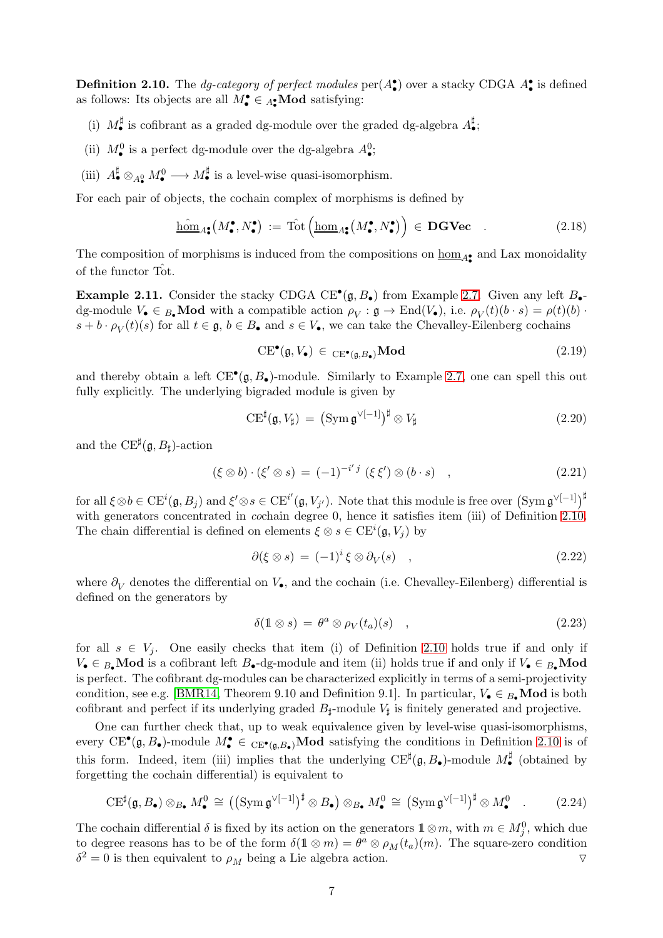<span id="page-6-0"></span>**Definition 2.10.** The *dg-category of perfect modules*  $\text{per}(A_{\bullet}^{\bullet})$  over a stacky CDGA  $A_{\bullet}^{\bullet}$  is defined as follows: Its objects are all  $M_{\bullet}^{\bullet} \in A_{\bullet}^{\bullet} \textbf{Mod}$  satisfying:

- (i)  $M_{\bullet}^{\sharp}$  is cofibrant as a graded dg-module over the graded dg-algebra  $A_{\bullet}^{\sharp}$ ;
- (ii)  $M_{\bullet}^{0}$  is a perfect dg-module over the dg-algebra  $A_{\bullet}^{0}$ ;
- (iii)  $A^{\sharp}_{\bullet} \otimes_{A^0_{\bullet}} M^0_{\bullet} \longrightarrow M^{\sharp}_{\bullet}$  is a level-wise quasi-isomorphism.

For each pair of objects, the cochain complex of morphisms is defined by

$$
\underline{\widehat{\text{hom}}}_{A^{\bullet}_{\bullet}}(M^{\bullet}_{\bullet}, N^{\bullet}_{\bullet}) := \hat{\text{Tot}}\left(\underline{\text{hom}}_{A^{\bullet}_{\bullet}}(M^{\bullet}_{\bullet}, N^{\bullet}_{\bullet})\right) \in \mathbf{DGVec} \quad . \tag{2.18}
$$

The composition of morphisms is induced from the compositions on  $\underline{\text{hom}}_{A_{\bullet}^{\bullet}}$  and Lax monoidality of the functor Tot.

<span id="page-6-1"></span>**Example 2.11.** Consider the stacky CDGA CE<sup> $\bullet$ </sup>( $\mathfrak{g}, B_{\bullet}$ ) from Example [2.7.](#page-4-0) Given any left  $B_{\bullet}$ dg-module  $V_{\bullet} \in B_{\bullet}$  Mod with a compatible action  $\rho_V : \mathfrak{g} \to \text{End}(V_{\bullet}),$  i.e.  $\rho_V(t)(b \cdot s) = \rho(t)(b) \cdot s$  $s + b \cdot \rho_V(t)(s)$  for all  $t \in \mathfrak{g}, b \in B_{\bullet}$  and  $s \in V_{\bullet}$ , we can take the Chevalley-Eilenberg cochains

$$
CE^{\bullet}(\mathfrak{g}, V_{\bullet}) \in \mathcal{CE}^{\bullet}(\mathfrak{g}, B_{\bullet})} \mathbf{Mod} \tag{2.19}
$$

and thereby obtain a left  $CE^{\bullet}(\mathfrak{g}, B_{\bullet})$ -module. Similarly to Example [2.7,](#page-4-0) one can spell this out fully explicitly. The underlying bigraded module is given by

$$
CE^{\sharp}(\mathfrak{g}, V_{\sharp}) = (Sym \mathfrak{g}^{\vee[-1]})^{\sharp} \otimes V_{\sharp}
$$
\n(2.20)

and the  $\text{CE}^{\sharp}(\mathfrak{g}, B_{\sharp})$ -action

$$
(\xi \otimes b) \cdot (\xi' \otimes s) = (-1)^{-i'j} (\xi \xi') \otimes (b \cdot s) , \qquad (2.21)
$$

 $\text{for all } \xi \otimes b \in \text{CE}^i(\mathfrak{g}, B_j) \text{ and } \xi' \otimes s \in \text{CE}^{i'}(\mathfrak{g}, V_{j'}).$  Note that this module is free over  $\left(\text{Sym } \mathfrak{g}^{\vee[-1]}\right)^{\sharp}$ with generators concentrated in *co*chain degree 0, hence it satisfies item (iii) of Definition [2.10.](#page-6-0) The chain differential is defined on elements  $\xi \otimes s \in \mathbb{CE}^i(\mathfrak{g}, V_j)$  by

$$
\partial(\xi \otimes s) = (-1)^i \xi \otimes \partial_V(s) \quad , \tag{2.22}
$$

where  $\partial_V$  denotes the differential on  $V_{\bullet}$ , and the cochain (i.e. Chevalley-Eilenberg) differential is defined on the generators by

$$
\delta(\mathbb{1} \otimes s) = \theta^a \otimes \rho_V(t_a)(s) \quad , \tag{2.23}
$$

for all  $s \in V_i$ . One easily checks that item (i) of Definition [2.10](#page-6-0) holds true if and only if  $V_{\bullet} \in B_{\bullet}$  Mod is a cofibrant left  $B_{\bullet}$ -dg-module and item (ii) holds true if and only if  $V_{\bullet} \in B_{\bullet}$  Mod is perfect. The cofibrant dg-modules can be characterized explicitly in terms of a semi-projectivity condition, see e.g. [\[BMR14,](#page-35-9) Theorem 9.10 and Definition 9.1]. In particular,  $V_{\bullet} \in B_{\bullet} \textbf{Mod}$  is both cofibrant and perfect if its underlying graded  $B_{\sharp}$ -module  $V_{\sharp}$  is finitely generated and projective.

One can further check that, up to weak equivalence given by level-wise quasi-isomorphisms, every  $\text{CE}^{\bullet}(\mathfrak{g}, B_{\bullet})$ -module  $M_{\bullet}^{\bullet} \in \text{CE}^{\bullet}(\mathfrak{g}, B_{\bullet})$ **Mod** satisfying the conditions in Definition [2.10](#page-6-0) is of this form. Indeed, item (iii) implies that the underlying  $CE^{\sharp}(\mathfrak{g},B_{\bullet})$ -module  $M_{\bullet}^{\sharp}$  (obtained by forgetting the cochain differential) is equivalent to

$$
\mathbf{CE}^{\sharp}(\mathfrak{g},B_{\bullet})\otimes_{B_{\bullet}} M_{\bullet}^{0}\cong ((\operatorname{Sym} \mathfrak{g}^{\vee[-1]})^{\sharp}\otimes B_{\bullet})\otimes_{B_{\bullet}} M_{\bullet}^{0}\cong (\operatorname{Sym} \mathfrak{g}^{\vee[-1]})^{\sharp}\otimes M_{\bullet}^{0} \quad .
$$
 (2.24)

The cochain differential  $\delta$  is fixed by its action on the generators  $1 \otimes m$ , with  $m \in M_j^0$ , which due to degree reasons has to be of the form  $\delta(\mathbb{1} \otimes m) = \theta^a \otimes \rho_M(t_a)(m)$ . The square-zero condition  $\delta^2 = 0$  is then equivalent to  $\rho_M$  being a Lie algebra action.  $\nabla$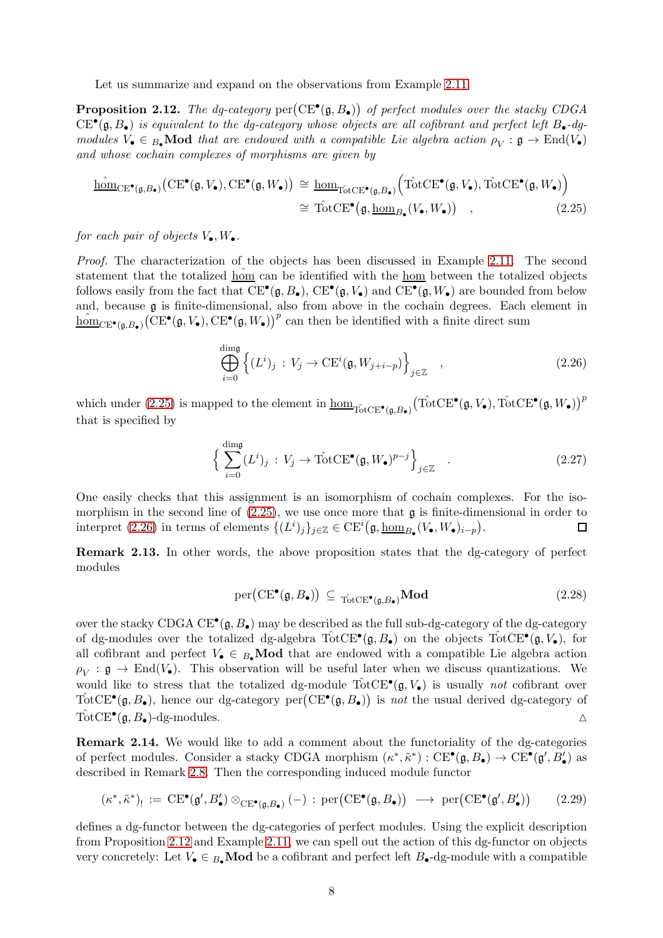Let us summarize and expand on the observations from Example [2.11.](#page-6-1)

<span id="page-7-2"></span>**Proposition 2.12.** The dg-category  $per(CE^{\bullet}(\mathfrak{g}, B_{\bullet}))$  of perfect modules over the stacky CDGA  $CE^{\bullet}(\mathfrak{g}, B_{\bullet})$  *is equivalent to the dg-category whose objects are all cofibrant and perfect left*  $B_{\bullet}$ -*dgmodules*  $V_{\bullet} \in B_{\bullet}$  **Mod** *that are endowed with a compatible Lie algebra action*  $\rho_V : \mathfrak{g} \to \text{End}(V_{\bullet})$ *and whose cochain complexes of morphisms are given by*

$$
\underline{\widehat{\text{hom}}}_{\text{CE}^{\bullet}(\mathfrak{g},B_{\bullet})}(\text{CE}^{\bullet}(\mathfrak{g},V_{\bullet}),\text{CE}^{\bullet}(\mathfrak{g},W_{\bullet})) \cong \underline{\text{hom}}_{\text{TotCE}^{\bullet}(\mathfrak{g},B_{\bullet})}(\text{TotCE}^{\bullet}(\mathfrak{g},V_{\bullet}),\text{TotCE}^{\bullet}(\mathfrak{g},W_{\bullet}))
$$
\n
$$
\cong \text{TotCE}^{\bullet}(\mathfrak{g},\underline{\text{hom}}_{B_{\bullet}}(V_{\bullet},W_{\bullet})) , \qquad (2.25)
$$

*for each pair of objects*  $V_{\bullet}, W_{\bullet}$ .

*Proof.* The characterization of the objects has been discussed in Example [2.11.](#page-6-1) The second statement that the totalized hom can be identified with the hom between the totalized objects follows easily from the fact that  $CE^{\bullet}(\mathfrak{g}, B_{\bullet}), CE^{\bullet}(\mathfrak{g}, V_{\bullet})$  and  $CE^{\bullet}(\mathfrak{g}, W_{\bullet})$  are bounded from below and, because g is finite-dimensional, also from above in the cochain degrees. Each element in  $\underline{\hom}_{\mathrm{CE}^{\bullet}(\mathfrak{g},B_{\bullet})}(\mathrm{CE}^{\bullet}(\mathfrak{g},V_{\bullet}),\mathrm{CE}^{\bullet}(\mathfrak{g},W_{\bullet}))^{p}$  can then be identified with a finite direct sum

<span id="page-7-1"></span><span id="page-7-0"></span>
$$
\bigoplus_{i=0}^{\text{dim}\mathfrak{g}} \left\{ (L^i)_j : V_j \to \text{CE}^i(\mathfrak{g}, W_{j+i-p}) \right\}_{j \in \mathbb{Z}}, \tag{2.26}
$$

which under [\(2.25\)](#page-7-0) is mapped to the element in  $\underline{\text{hom}}_{\text{TotCE}^{\bullet}(\mathfrak{g},B_{\bullet})}(\hat{\text{TotCE}}^{\bullet}(\mathfrak{g},V_{\bullet}), \hat{\text{TotCE}}^{\bullet}(\mathfrak{g},W_{\bullet}))^{p}$ that is specified by

$$
\left\{ \sum_{i=0}^{\text{dim}\mathfrak{g}} (L^i)_j : V_j \to \hat{\text{TotCE}}^{\bullet}(\mathfrak{g}, W_{\bullet})^{p-j} \right\}_{j \in \mathbb{Z}} \quad . \tag{2.27}
$$

One easily checks that this assignment is an isomorphism of cochain complexes. For the isomorphism in the second line of  $(2.25)$ , we use once more that  $\mathfrak g$  is finite-dimensional in order to interpret [\(2.26\)](#page-7-1) in terms of elements  $\{(L^i)_j\}_{j\in\mathbb{Z}} \in \mathrm{CE}^i(\mathfrak{g}, \underline{\mathrm{hom}}_{B_{\bullet}}(V_{\bullet}, W_{\bullet})_{i-p}).$  $\Box$ 

<span id="page-7-5"></span>Remark 2.13. In other words, the above proposition states that the dg-category of perfect modules

<span id="page-7-3"></span>
$$
\text{per}(\text{CE}^{\bullet}(\mathfrak{g}, B_{\bullet})) \subseteq \text{Tr}(\text{CE}^{\bullet}(\mathfrak{g}, B_{\bullet}) \textbf{Mod} \tag{2.28}
$$

over the stacky CDGA  $CE^{\bullet}(\mathfrak{g}, B_{\bullet})$  may be described as the full sub-dg-category of the dg-category of dg-modules over the totalized dg-algebra  $TotCE^{\bullet}(\mathfrak{g}, B_{\bullet})$  on the objects  $TotCE^{\bullet}(\mathfrak{g}, V_{\bullet})$ , for all cofibrant and perfect  $V_{\bullet} \in B_{\bullet}$  Mod that are endowed with a compatible Lie algebra action  $\rho_V : \mathfrak{g} \to \text{End}(V_{\bullet})$ . This observation will be useful later when we discuss quantizations. We would like to stress that the totalized dg-module  $\hat{\text{TotCE}}^{\bullet}(\mathfrak{g}, V_{\bullet})$  is usually *not* cofibrant over  $T\acute{o}tCE^{\bullet}(\mathfrak{g},B_{\bullet}),$  hence our dg-category per $(CE^{\bullet}(\mathfrak{g},B_{\bullet}))$  is *not* the usual derived dg-category of  $\hat{\mathrm{TotCE}}^{\bullet}(\mathfrak{g}, B_{\bullet})$ -dg-modules.  $\Delta$ 

<span id="page-7-4"></span>Remark 2.14. We would like to add a comment about the functoriality of the dg-categories of perfect modules. Consider a stacky CDGA morphism  $(\kappa^*, \tilde{\kappa}^*) : \mathbf{CE}^{\bullet}(\mathfrak{g}, B_{\bullet}) \to \mathbf{CE}^{\bullet}(\mathfrak{g}', B'_{\bullet})$  as described in Remark [2.8.](#page-5-0) Then the corresponding induced module functor

$$
(\kappa^*, \tilde{\kappa}^*)_! := \mathrm{CE}^{\bullet}(\mathfrak{g}', B_{\bullet}') \otimes_{\mathrm{CE}^{\bullet}(\mathfrak{g}, B_{\bullet})} (-) : \mathrm{per}(\mathrm{CE}^{\bullet}(\mathfrak{g}, B_{\bullet})) \longrightarrow \mathrm{per}(\mathrm{CE}^{\bullet}(\mathfrak{g}', B_{\bullet}')) \tag{2.29}
$$

defines a dg-functor between the dg-categories of perfect modules. Using the explicit description from Proposition [2.12](#page-7-2) and Example [2.11,](#page-6-1) we can spell out the action of this dg-functor on objects very concretely: Let  $V_{\bullet} \in B_{\bullet}$  Mod be a cofibrant and perfect left  $B_{\bullet}$ -dg-module with a compatible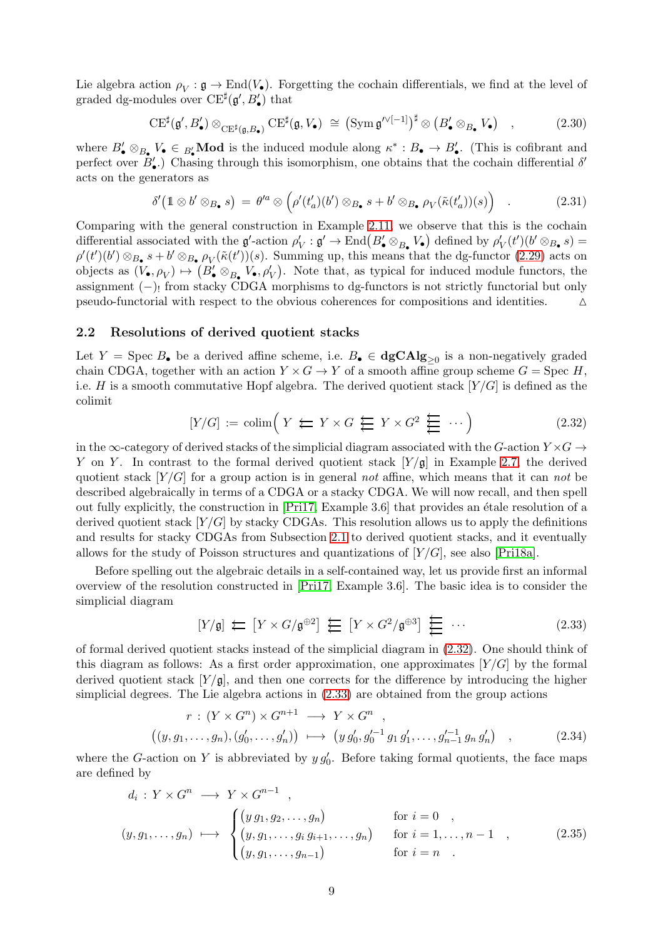Lie algebra action  $\rho_V : \mathfrak{g} \to \text{End}(V_{\bullet})$ . Forgetting the cochain differentials, we find at the level of graded dg-modules over  $\mathrm{CE}^{\sharp}(\mathfrak{g}',B_{\bullet}')$  that

$$
\mathrm{CE}^{\sharp}(\mathfrak{g}',B_{\bullet}') \otimes_{\mathrm{CE}^{\sharp}(\mathfrak{g},B_{\bullet})} \mathrm{CE}^{\sharp}(\mathfrak{g},V_{\bullet}) \cong (\mathrm{Sym} \,\mathfrak{g}'^{\vee[-1]})^{\sharp} \otimes (B_{\bullet}' \otimes_{B_{\bullet}} V_{\bullet}) \quad , \tag{2.30}
$$

where  $B'_\bullet \otimes_{B_\bullet} V_\bullet \in B'_\bullet \textbf{Mod}$  is the induced module along  $\kappa^* : B_\bullet \to B'_\bullet$ . (This is cofibrant and perfect over  $B'_{\bullet}$ .) Chasing through this isomorphism, one obtains that the cochain differential  $\delta'$ acts on the generators as

$$
\delta'(\mathbb{1}\otimes b'\otimes_{B_{\bullet}} s) = \theta'^{a}\otimes \left(\rho'(t'_{a})(b')\otimes_{B_{\bullet}} s + b'\otimes_{B_{\bullet}} \rho_{V}(\tilde{\kappa}(t'_{a}))(s)\right) . \tag{2.31}
$$

Comparing with the general construction in Example [2.11,](#page-6-1) we observe that this is the cochain differential associated with the  $\mathfrak{g}'$ -action  $\rho'_V : \mathfrak{g}' \to \text{End}\left(B'_\bullet \otimes_{B_\bullet} V_\bullet\right)$  defined by  $\rho'_V(t')(b' \otimes_{B_\bullet} s) =$  $\rho'(t')(b') \otimes_{B_{\bullet}} s + b' \otimes_{B_{\bullet}} \rho_V(\tilde{\kappa}(t'))(s)$ . Summing up, this means that the dg-functor [\(2.29\)](#page-7-3) acts on objects as  $(V_{\bullet}, \rho_V) \mapsto (B'_{\bullet} \otimes_{B_{\bullet}} V_{\bullet}, \rho'_V)$ . Note that, as typical for induced module functors, the assignment (−)! from stacky CDGA morphisms to dg-functors is not strictly functorial but only pseudo-functorial with respect to the obvious coherences for compositions and identities.  $\Delta$ 

#### <span id="page-8-0"></span>2.2 Resolutions of derived quotient stacks

Let  $Y = \text{Spec } B_{\bullet}$  be a derived affine scheme, i.e.  $B_{\bullet} \in \text{dgCAlg}_{\geq 0}$  is a non-negatively graded chain CDGA, together with an action  $Y \times G \to Y$  of a smooth affine group scheme  $G =$  Spec H, i.e. H is a smooth commutative Hopf algebra. The derived quotient stack  $[Y/G]$  is defined as the colimit

<span id="page-8-1"></span>
$$
[Y/G] := \operatorname{colim}\left(Y \leftarrow Y \times G \leftarrow Y \times G^2 \leftarrow \cdots\right) \tag{2.32}
$$

in the  $\infty$ -category of derived stacks of the simplicial diagram associated with the G-action  $Y \times G \rightarrow$ Y on Y. In contrast to the formal derived quotient stack  $[Y/g]$  in Example [2.7,](#page-4-0) the derived quotient stack [Y /G] for a group action is in general *not* affine, which means that it can *not* be described algebraically in terms of a CDGA or a stacky CDGA. We will now recall, and then spell out fully explicitly, the construction in [\[Pri17,](#page-36-1) Example 3.6] that provides an ´etale resolution of a derived quotient stack  $[Y/G]$  by stacky CDGAs. This resolution allows us to apply the definitions and results for stacky CDGAs from Subsection [2.1](#page-2-1) to derived quotient stacks, and it eventually allows for the study of Poisson structures and quantizations of  $[Y/G]$ , see also [\[Pri18a\]](#page-36-3).

Before spelling out the algebraic details in a self-contained way, let us provide first an informal overview of the resolution constructed in [\[Pri17,](#page-36-1) Example 3.6]. The basic idea is to consider the simplicial diagram

<span id="page-8-4"></span><span id="page-8-3"></span><span id="page-8-2"></span>
$$
[Y/\mathfrak{g}] \leftarrow [Y \times G/\mathfrak{g}^{\oplus 2}] \leftarrow [Y \times G^2/\mathfrak{g}^{\oplus 3}] \leftarrow \cdots \tag{2.33}
$$

of formal derived quotient stacks instead of the simplicial diagram in [\(2.32\)](#page-8-1). One should think of this diagram as follows: As a first order approximation, one approximates  $[Y/G]$  by the formal derived quotient stack  $[Y/\mathfrak{g}]$ , and then one corrects for the difference by introducing the higher simplicial degrees. The Lie algebra actions in [\(2.33\)](#page-8-2) are obtained from the group actions

$$
r: (Y \times G^{n}) \times G^{n+1} \longrightarrow Y \times G^{n},
$$
  

$$
((y, g_{1}, \dots, g_{n}), (g'_{0}, \dots, g'_{n})) \longrightarrow (y g'_{0}, g'_{0}^{-1} g_{1} g'_{1}, \dots, g'_{n-1} g_{n} g'_{n}) ,
$$
 (2.34)

where the G-action on Y is abbreviated by  $y g'_{0}$ . Before taking formal quotients, the face maps are defined by

$$
d_i: Y \times G^n \longrightarrow Y \times G^{n-1},
$$
  
\n
$$
(y, g_1, \ldots, g_n) \longmapsto \begin{cases} (y g_1, g_2, \ldots, g_n) & \text{for } i = 0, \\ (y, g_1, \ldots, g_i g_{i+1}, \ldots, g_n) & \text{for } i = 1, \ldots, n-1, \\ (y, g_1, \ldots, g_{n-1}) & \text{for } i = n. \end{cases}
$$
\n
$$
(2.35)
$$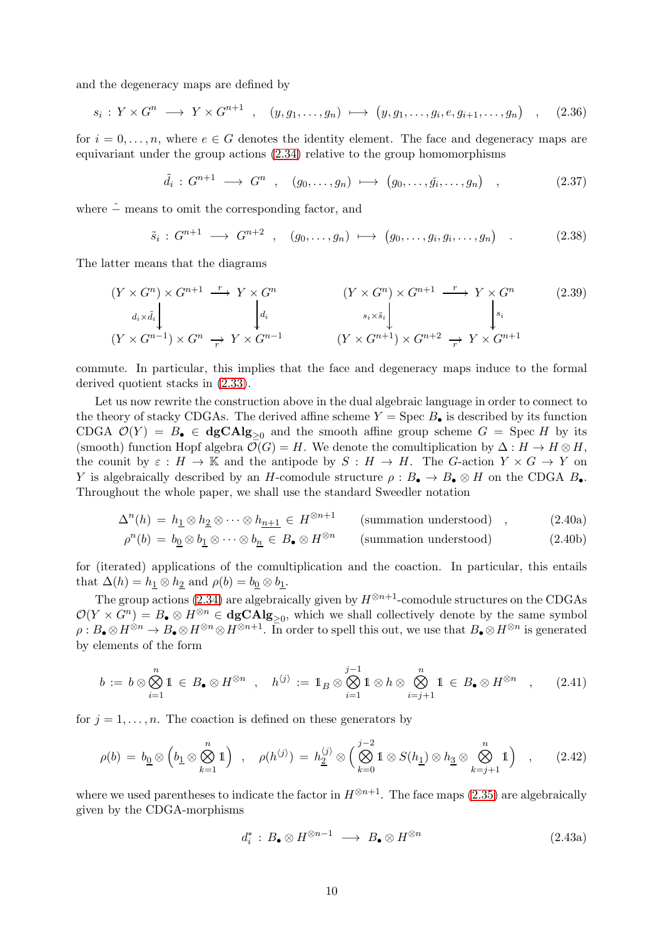and the degeneracy maps are defined by

$$
s_i: Y \times G^n \longrightarrow Y \times G^{n+1} , (y, g_1, \dots, g_n) \longmapsto (y, g_1, \dots, g_i, e, g_{i+1}, \dots, g_n) , (2.36)
$$

for  $i = 0, \ldots, n$ , where  $e \in G$  denotes the identity element. The face and degeneracy maps are equivariant under the group actions [\(2.34\)](#page-8-3) relative to the group homomorphisms

<span id="page-9-4"></span><span id="page-9-2"></span><span id="page-9-1"></span><span id="page-9-0"></span>
$$
\tilde{d}_i: G^{n+1} \longrightarrow G^n \quad , \quad (g_0, \ldots, g_n) \longmapsto (g_0, \ldots, \tilde{g}_i, \ldots, g_n) \quad , \tag{2.37}
$$

where  $\check{-}$  means to omit the corresponding factor, and

$$
\tilde{s}_i: G^{n+1} \longrightarrow G^{n+2} \quad , \quad (g_0, \ldots, g_n) \longmapsto (g_0, \ldots, g_i, g_i, \ldots, g_n) \quad . \tag{2.38}
$$

The latter means that the diagrams

$$
(Y \times G^n) \times G^{n+1} \xrightarrow{r} Y \times G^n \qquad (Y \times G^n) \times G^{n+1} \xrightarrow{r} Y \times G^n \qquad (2.39)
$$
  
\n
$$
\downarrow d_i \qquad \qquad s_i \times \tilde{s}_i \qquad \qquad s_i \qquad \qquad s_i \qquad \qquad s_i \qquad \qquad s_i \qquad \qquad s_i \qquad \qquad s_i \qquad \qquad s_i \qquad \qquad s_i \qquad \qquad s_i \qquad \qquad s_i \qquad \qquad s_i \qquad \qquad s_i \qquad \qquad s_i \qquad \qquad s_i \qquad \qquad s_i \qquad \qquad s_i \qquad \qquad s_i \qquad \qquad s_i \qquad \qquad s_i \qquad \qquad s_i \qquad \qquad s_i \qquad \qquad s_i \qquad \qquad s_i \qquad \qquad s_i \qquad \qquad s_i \qquad \qquad s_i \qquad \qquad s_i \qquad \qquad s_i \qquad \qquad s_i \qquad \qquad s_i \qquad \qquad s_i \qquad \qquad s_i \qquad \qquad s_i \qquad \qquad s_i \qquad \qquad s_i \qquad \qquad s_i \qquad \qquad s_i \qquad \qquad s_i \qquad \qquad s_i \qquad \qquad s_i \qquad \qquad s_i \qquad \qquad s_i \qquad \qquad s_i \qquad \qquad s_i \qquad \qquad s_i \qquad \qquad s_i \qquad \qquad s_i \qquad \qquad s_i \qquad \qquad s_i \qquad \qquad s_i \qquad \qquad s_i \qquad \qquad s_i \qquad \qquad s_i \qquad \qquad s_i \qquad \qquad s_i \qquad \qquad s_i \qquad \qquad s_i \qquad \qquad s_i \qquad \qquad s_i \qquad \qquad s_i \qquad \qquad s_i \qquad \qquad s_i \qquad \qquad s_i \qquad \qquad s_i \qquad \qquad s_i \qquad \qquad s_i \qquad \qquad s_i \qquad \qquad s_i \qquad \qquad s_i \qquad \qquad s_i \qquad \qquad s_i \qquad \qquad s_i \qquad \qquad s_i \qquad \qquad s_i \qquad \qquad s_i \qquad \qquad s_i \qquad \qquad s_i \qquad \qquad s_i \qquad \qquad s_i \qquad \qquad s_i \qquad \qquad s_i \qquad \qquad s_i \qquad \qquad s_i \
$$

commute. In particular, this implies that the face and degeneracy maps induce to the formal derived quotient stacks in [\(2.33\)](#page-8-2).

Let us now rewrite the construction above in the dual algebraic language in order to connect to the theory of stacky CDGAs. The derived affine scheme  $Y = \text{Spec } B_{\bullet}$  is described by its function CDGA  $\mathcal{O}(Y) = B_{\bullet} \in \mathbf{dgCAlg}_{\geq 0}$  and the smooth affine group scheme  $G = \mathrm{Spec} H$  by its (smooth) function Hopf algebra  $\mathcal{O}(G) = H$ . We denote the comultiplication by  $\Delta : H \to H \otimes H$ , the counit by  $\varepsilon : H \to \mathbb{K}$  and the antipode by  $S : H \to H$ . The G-action  $Y \times G \to Y$  on Y is algebraically described by an H-comodule structure  $\rho : B_{\bullet} \to B_{\bullet} \otimes H$  on the CDGA  $B_{\bullet}$ . Throughout the whole paper, we shall use the standard Sweedler notation

$$
\Delta^{n}(h) = h_{\underline{1}} \otimes h_{\underline{2}} \otimes \cdots \otimes h_{\underline{n+1}} \in H^{\otimes n+1} \qquad \text{(summation understood)} \quad , \tag{2.40a}
$$

$$
\rho^{n}(b) = b_{\underline{0}} \otimes b_{\underline{1}} \otimes \cdots \otimes b_{\underline{n}} \in B_{\bullet} \otimes H^{\otimes n} \qquad \text{(summation understood)} \tag{2.40b}
$$

for (iterated) applications of the comultiplication and the coaction. In particular, this entails that  $\Delta(h) = h_1 \otimes h_2$  and  $\rho(b) = b_0 \otimes b_1$ .

The group actions [\(2.34\)](#page-8-3) are algebraically given by  $H^{\otimes n+1}$ -comodule structures on the CDGAs  $\mathcal{O}(Y \times G^n) = B_{\bullet} \otimes H^{\otimes n} \in \mathbf{dgCAlg}_{\geq 0}$ , which we shall collectively denote by the same symbol  $\rho: B_\bullet \otimes H^{\otimes n} \to B_\bullet \otimes H^{\otimes n} \otimes H^{\otimes n+1}$ . In order to spell this out, we use that  $B_\bullet \otimes H^{\otimes n}$  is generated by elements of the form

$$
b := b \otimes \bigotimes_{i=1}^{n} 1 \in B_{\bullet} \otimes H^{\otimes n} \quad , \quad h^{\langle j \rangle} := 1_{B} \otimes \bigotimes_{i=1}^{j-1} 1 \otimes h \otimes \bigotimes_{i=j+1}^{n} 1 \in B_{\bullet} \otimes H^{\otimes n} \quad , \tag{2.41}
$$

for  $j = 1, \ldots, n$ . The coaction is defined on these generators by

$$
\rho(b) = b_{\underline{0}} \otimes \left(b_{\underline{1}} \otimes \bigotimes_{k=1}^{n} 1\right) , \quad \rho(h^{\langle j \rangle}) = h_{\underline{2}}^{\langle j \rangle} \otimes \left(\bigotimes_{k=0}^{j-2} 1\otimes S(h_{\underline{1}}) \otimes h_{\underline{3}} \otimes \bigotimes_{k=j+1}^{n} 1\right) , \quad (2.42)
$$

where we used parentheses to indicate the factor in  $H^{\otimes n+1}$ . The face maps [\(2.35\)](#page-8-4) are algebraically given by the CDGA-morphisms

<span id="page-9-6"></span><span id="page-9-5"></span><span id="page-9-3"></span>
$$
d_i^* : B_{\bullet} \otimes H^{\otimes n-1} \longrightarrow B_{\bullet} \otimes H^{\otimes n} \tag{2.43a}
$$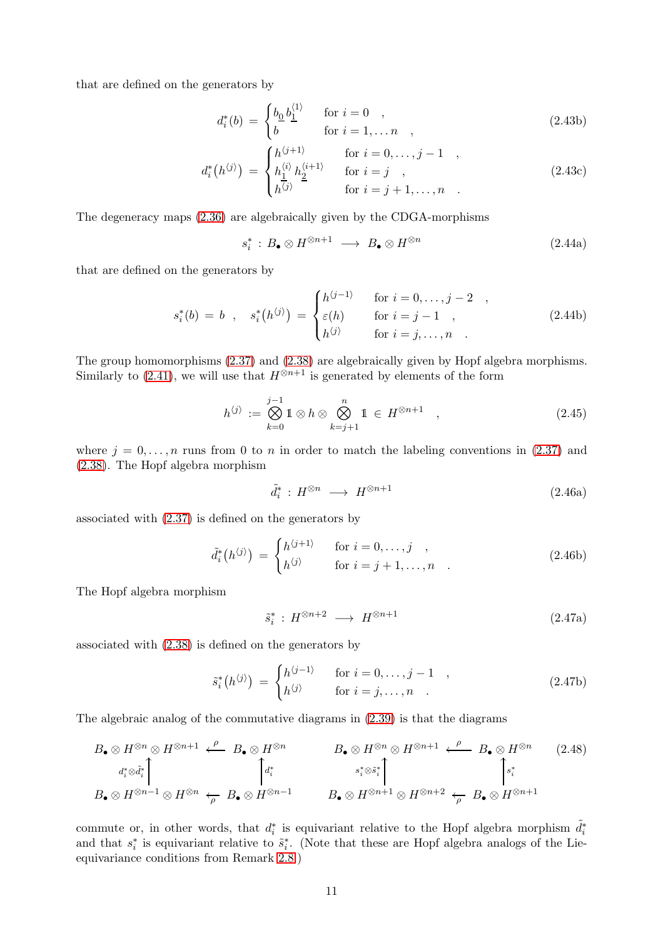that are defined on the generators by

$$
d_i^*(b) = \begin{cases} b_{\underline{0}} b_{\underline{1}}^{(1)} & \text{for } i = 0, \\ b & \text{for } i = 1, \dots n, \end{cases}
$$
 (2.43b)

$$
d_i^*(h^{(j)}) = \begin{cases} h^{(j+1)} & \text{for } i = 0, \dots, j-1, \\ h^{(i)}_1 h^{(j+1)}_2 & \text{for } i = j, \\ h^{(j)} & \text{for } i = j+1, \dots, n \end{cases}
$$
 (2.43c)

The degeneracy maps [\(2.36\)](#page-9-0) are algebraically given by the CDGA-morphisms

<span id="page-10-3"></span>
$$
s_i^* : B_{\bullet} \otimes H^{\otimes n+1} \longrightarrow B_{\bullet} \otimes H^{\otimes n} \tag{2.44a}
$$

that are defined on the generators by

$$
s_i^*(b) = b , \quad s_i^*(h^{(j)}) = \begin{cases} h^{(j-1)} & \text{for } i = 0, \dots, j-2 \\ \varepsilon(h) & \text{for } i = j-1 \\ h^{(j)} & \text{for } i = j, \dots, n \end{cases} (2.44b)
$$

The group homomorphisms [\(2.37\)](#page-9-1) and [\(2.38\)](#page-9-2) are algebraically given by Hopf algebra morphisms. Similarly to [\(2.41\)](#page-9-3), we will use that  $H^{\otimes n+1}$  is generated by elements of the form

$$
h^{\langle j \rangle} := \bigotimes_{k=0}^{j-1} 1 \otimes h \otimes \bigotimes_{k=j+1}^{n} 1 \in H^{\otimes n+1} \quad , \tag{2.45}
$$

where  $j = 0, \ldots, n$  runs from 0 to n in order to match the labeling conventions in [\(2.37\)](#page-9-1) and [\(2.38\)](#page-9-2). The Hopf algebra morphism

<span id="page-10-2"></span><span id="page-10-0"></span>
$$
\tilde{d}_i^* : H^{\otimes n} \longrightarrow H^{\otimes n+1} \tag{2.46a}
$$

associated with [\(2.37\)](#page-9-1) is defined on the generators by

$$
\tilde{d}_i^*(h^{\langle j \rangle}) = \begin{cases} h^{\langle j+1 \rangle} & \text{for } i = 0, \dots, j, \\ h^{\langle j \rangle} & \text{for } i = j+1, \dots, n \end{cases}
$$
\n(2.46b)

The Hopf algebra morphism

<span id="page-10-1"></span>
$$
\tilde{s}_i^* : H^{\otimes n+2} \longrightarrow H^{\otimes n+1} \tag{2.47a}
$$

associated with [\(2.38\)](#page-9-2) is defined on the generators by

$$
\tilde{s}_i^*(h^{\langle j \rangle}) = \begin{cases} h^{\langle j-1 \rangle} & \text{for } i = 0, \dots, j-1, \\ h^{\langle j \rangle} & \text{for } i = j, \dots, n \end{cases}
$$
\n(2.47b)

The algebraic analog of the commutative diagrams in [\(2.39\)](#page-9-4) is that the diagrams

$$
B_{\bullet} \otimes H^{\otimes n} \otimes H^{\otimes n+1} \stackrel{\rho}{\leftarrow} B_{\bullet} \otimes H^{\otimes n} \qquad B_{\bullet} \otimes H^{\otimes n} \otimes H^{\otimes n+1} \stackrel{\rho}{\leftarrow} B_{\bullet} \otimes H^{\otimes n} \qquad (2.48)
$$
  
\n $d_i^* \otimes \tilde{d}_i^* \qquad \qquad d_i^* \qquad \qquad s_i^* \otimes \tilde{s}_i^* \qquad \qquad s_i^* \otimes H^{\otimes n+1} \otimes H^{\otimes n+2} \stackrel{\rho}{\leftarrow} B_{\bullet} \otimes H^{\otimes n+1}$ 

commute or, in other words, that  $d_i^*$  is equivariant relative to the Hopf algebra morphism  $\tilde{d}_i^*$ and that  $s_i^*$  is equivariant relative to  $\tilde{s}_i^*$ . (Note that these are Hopf algebra analogs of the Lieequivariance conditions from Remark [2.8.](#page-5-0))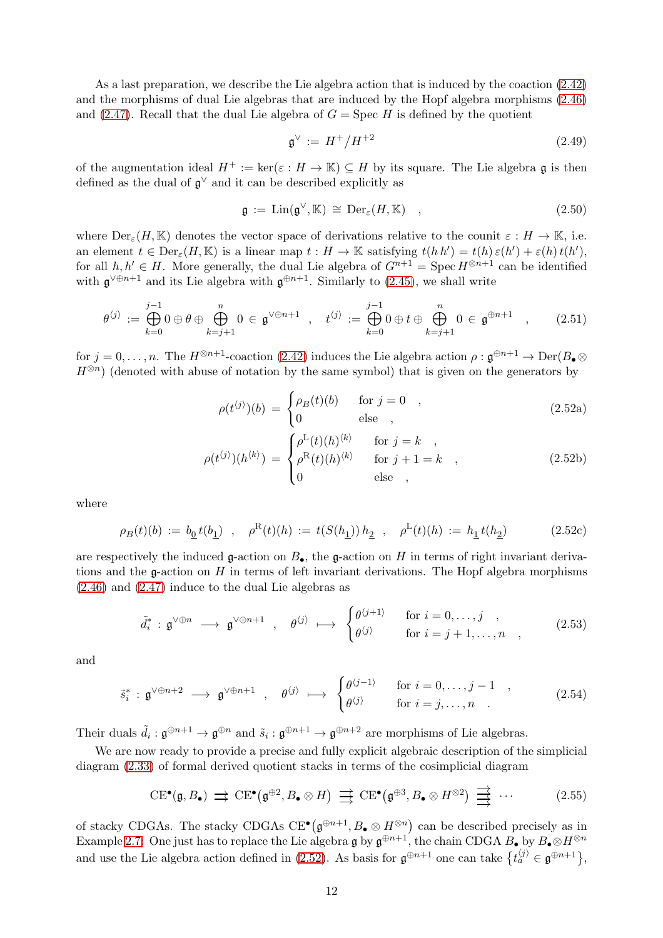As a last preparation, we describe the Lie algebra action that is induced by the coaction [\(2.42\)](#page-9-5) and the morphisms of dual Lie algebras that are induced by the Hopf algebra morphisms [\(2.46\)](#page-10-0) and [\(2.47\)](#page-10-1). Recall that the dual Lie algebra of  $G = \text{Spec } H$  is defined by the quotient

<span id="page-11-4"></span>
$$
\mathfrak{g}^{\vee} := H^+ / H^{+2} \tag{2.49}
$$

of the augmentation ideal  $H^+ := \ker(\varepsilon : H \to \mathbb{K}) \subseteq H$  by its square. The Lie algebra g is then defined as the dual of  $\mathfrak{g}^{\vee}$  and it can be described explicitly as

$$
\mathfrak{g} := \text{Lin}(\mathfrak{g}^{\vee}, \mathbb{K}) \cong \text{Der}_{\varepsilon}(H, \mathbb{K}) \quad , \tag{2.50}
$$

where  $\text{Der}_{\varepsilon}(H,\mathbb{K})$  denotes the vector space of derivations relative to the counit  $\varepsilon : H \to \mathbb{K}$ , i.e. an element  $t \in \text{Der}_{\varepsilon}(H,\mathbb{K})$  is a linear map  $t : H \to \mathbb{K}$  satisfying  $t(h h') = t(h) \varepsilon(h') + \varepsilon(h) t(h'),$ for all  $h, h' \in H$ . More generally, the dual Lie algebra of  $G^{n+1} = \text{Spec } H^{\otimes n+1}$  can be identified with  $\mathfrak{g}^{\vee \oplus n+1}$  and its Lie algebra with  $\mathfrak{g}^{\oplus n+1}$ . Similarly to [\(2.45\)](#page-10-2), we shall write

$$
\theta^{\langle j \rangle} := \bigoplus_{k=0}^{j-1} 0 \oplus \theta \oplus \bigoplus_{k=j+1}^{n} 0 \in \mathfrak{g}^{\vee \oplus n+1} \ , \quad t^{\langle j \rangle} := \bigoplus_{k=0}^{j-1} 0 \oplus t \oplus \bigoplus_{k=j+1}^{n} 0 \in \mathfrak{g}^{\oplus n+1} \ , \qquad (2.51)
$$

for  $j = 0, \ldots, n$ . The  $H^{\otimes n+1}$ -coaction  $(2.42)$  induces the Lie algebra action  $\rho : \mathfrak{g}^{\oplus n+1} \to \text{Der}(B_{\bullet} \otimes$  $H^{\otimes n}$ ) (denoted with abuse of notation by the same symbol) that is given on the generators by

<span id="page-11-5"></span><span id="page-11-0"></span>
$$
\rho(t^{\langle j\rangle})(b) = \begin{cases} \rho_B(t)(b) & \text{for } j = 0, \\ 0 & \text{else} \end{cases}
$$
\n(2.52a)

<span id="page-11-2"></span>
$$
\rho(t^{\langle j \rangle})(h^{\langle k \rangle}) = \begin{cases} \rho^{\mathcal{L}}(t)(h)^{\langle k \rangle} & \text{for } j = k \\ \rho^{\mathcal{R}}(t)(h)^{\langle k \rangle} & \text{for } j + 1 = k \\ 0 & \text{else} \end{cases},
$$
\n(2.52b)

where

$$
\rho_B(t)(b) := b_{\underline{0}} t(b_{\underline{1}}) \ , \quad \rho^R(t)(h) := t(S(h_{\underline{1}})) h_{\underline{2}} \ , \quad \rho^L(t)(h) := h_{\underline{1}} t(h_{\underline{2}}) \tag{2.52c}
$$

are respectively the induced  $\mathfrak{g}\text{-action}$  on  $B_{\bullet}$ , the  $\mathfrak{g}\text{-action}$  on H in terms of right invariant derivations and the  $\mathfrak g$ -action on H in terms of left invariant derivations. The Hopf algebra morphisms [\(2.46\)](#page-10-0) and [\(2.47\)](#page-10-1) induce to the dual Lie algebras as

$$
\tilde{d}_i^* : \mathfrak{g}^{\vee \oplus n} \longrightarrow \mathfrak{g}^{\vee \oplus n+1} , \quad \theta^{\langle j \rangle} \longrightarrow \begin{cases} \theta^{\langle j+1 \rangle} & \text{for } i = 0, \dots, j , \\ \theta^{\langle j \rangle} & \text{for } i = j+1, \dots, n , \end{cases} (2.53)
$$

and

$$
\tilde{s}_i^* : \mathfrak{g}^{\vee \oplus n+2} \longrightarrow \mathfrak{g}^{\vee \oplus n+1} , \quad \theta^{\langle j \rangle} \longmapsto \begin{cases} \theta^{\langle j-1 \rangle} & \text{for } i = 0, \dots, j-1 , \\ \theta^{\langle j \rangle} & \text{for } i = j, \dots, n . \end{cases} (2.54)
$$

Their duals  $\tilde{d}_i : \mathfrak{g}^{\oplus n+1} \to \mathfrak{g}^{\oplus n}$  and  $\tilde{s}_i : \mathfrak{g}^{\oplus n+1} \to \mathfrak{g}^{\oplus n+2}$  are morphisms of Lie algebras.

We are now ready to provide a precise and fully explicit algebraic description of the simplicial diagram [\(2.33\)](#page-8-2) of formal derived quotient stacks in terms of the cosimplicial diagram

<span id="page-11-3"></span><span id="page-11-1"></span>
$$
\mathrm{CE}^{\bullet}(\mathfrak{g}, B_{\bullet}) \implies \mathrm{CE}^{\bullet}(\mathfrak{g}^{\oplus 2}, B_{\bullet} \otimes H) \implies \mathrm{CE}^{\bullet}(\mathfrak{g}^{\oplus 3}, B_{\bullet} \otimes H^{\otimes 2}) \implies \cdots \tag{2.55}
$$

of stacky CDGAs. The stacky CDGAs  $CE^{\bullet}(\mathfrak{g}^{\oplus n+1}, B_{\bullet} \otimes H^{\otimes n})$  can be described precisely as in Example [2.7:](#page-4-0) One just has to replace the Lie algebra  $\frak g$  by  $\frak g^{\oplus n+1}$ , the chain CDGA  $B_\bullet$  by  $B_\bullet\otimes H^{\otimes n}$ and use the Lie algebra action defined in [\(2.52\)](#page-11-0). As basis for  $\mathfrak{g}^{\oplus n+1}$  one can take  $\{t_a^{(j)} \in \mathfrak{g}^{\oplus n+1}\},$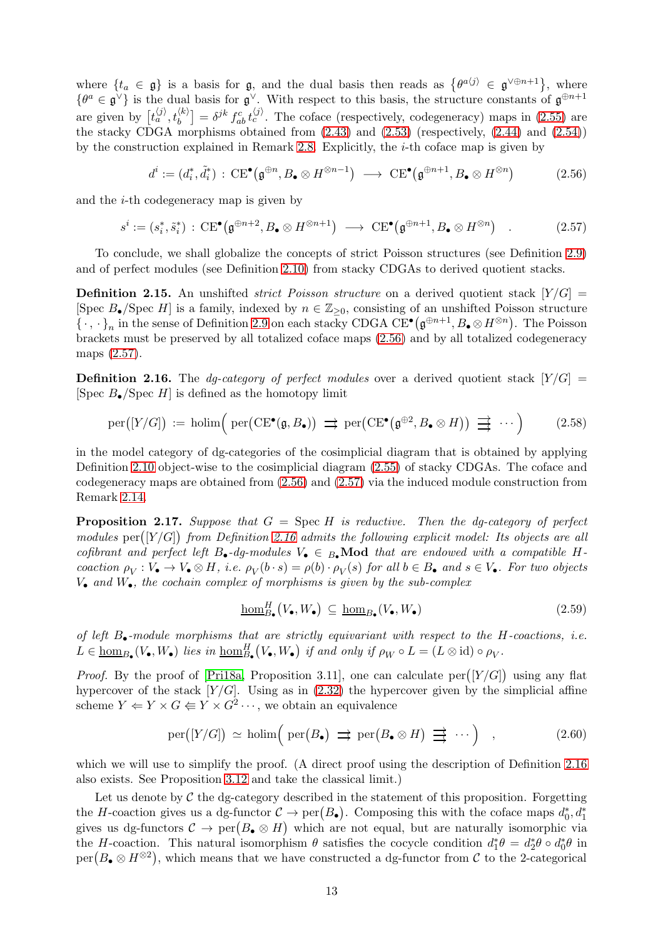where  $\{t_a \in \mathfrak{g}\}\$ is a basis for  $\mathfrak{g}$ , and the dual basis then reads as  $\{\theta^{a\langle j\rangle} \in \mathfrak{g}^{\vee\oplus n+1}\},\$  where  $\{\theta^a \in \mathfrak{g}^{\vee}\}\$ is the dual basis for  $\mathfrak{g}^{\vee}$ . With respect to this basis, the structure constants of  $\mathfrak{g}^{\oplus n+1}$ are given by  $[t_a^{(j)}, t_b^{(k)}] = \delta^{jk} f_{ab}^c t_c^{(j)}$ . The coface (respectively, codegeneracy) maps in [\(2.55\)](#page-11-1) are the stacky CDGA morphisms obtained from  $(2.43)$  and  $(2.53)$  (respectively,  $(2.44)$  and  $(2.54)$ ) by the construction explained in Remark [2.8.](#page-5-0) Explicitly, the  $i$ -th coface map is given by

<span id="page-12-1"></span><span id="page-12-0"></span>
$$
d^i := (d_i^*, \tilde{d}_i^*) \, : \, \mathrm{CE}^\bullet(\mathfrak{g}^{\oplus n}, B_\bullet \otimes H^{\otimes n-1}) \, \longrightarrow \, \mathrm{CE}^\bullet(\mathfrak{g}^{\oplus n+1}, B_\bullet \otimes H^{\otimes n}) \tag{2.56}
$$

and the  $i$ -th codegeneracy map is given by

$$
s^{i} := (s_{i}^{*}, \tilde{s}_{i}^{*}) : \mathrm{CE}^{\bullet}(\mathfrak{g}^{\oplus n+2}, B_{\bullet} \otimes H^{\otimes n+1}) \longrightarrow \mathrm{CE}^{\bullet}(\mathfrak{g}^{\oplus n+1}, B_{\bullet} \otimes H^{\otimes n})
$$
 (2.57)

To conclude, we shall globalize the concepts of strict Poisson structures (see Definition [2.9\)](#page-5-1) and of perfect modules (see Definition [2.10\)](#page-6-0) from stacky CDGAs to derived quotient stacks.

<span id="page-12-4"></span>**Definition 2.15.** An unshifted *strict Poisson structure* on a derived quotient stack  $[Y/G]$  = [Spec  $B_{\bullet}$ /Spec H] is a family, indexed by  $n \in \mathbb{Z}_{\geq 0}$ , consisting of an unshifted Poisson structure  $\{\cdot,\cdot\}_n$  in the sense of Definition [2.9](#page-5-1) on each stacky CDGA CE<sup>•</sup>( $\mathfrak{g}^{\oplus n+1}, B_{\bullet} \otimes H^{\otimes n}$ ). The Poisson brackets must be preserved by all totalized coface maps [\(2.56\)](#page-12-0) and by all totalized codegeneracy maps [\(2.57\)](#page-12-1).

<span id="page-12-2"></span>**Definition 2.16.** The *dg-category of perfect modules* over a derived quotient stack  $[Y/G]$  =  $[\text{Spec } B_{\bullet}/\text{Spec } H]$  is defined as the homotopy limit

$$
\mathrm{per}([\mathrm{Y}/G]) := \mathrm{holim}\Big(\mathrm{per}(\mathrm{CE}^{\bullet}(\mathfrak{g}, B_{\bullet})) \implies \mathrm{per}(\mathrm{CE}^{\bullet}(\mathfrak{g}^{\oplus 2}, B_{\bullet} \otimes H)) \implies \cdots\Big) \tag{2.58}
$$

in the model category of dg-categories of the cosimplicial diagram that is obtained by applying Definition [2.10](#page-6-0) object-wise to the cosimplicial diagram [\(2.55\)](#page-11-1) of stacky CDGAs. The coface and codegeneracy maps are obtained from [\(2.56\)](#page-12-0) and [\(2.57\)](#page-12-1) via the induced module construction from Remark [2.14.](#page-7-4)

<span id="page-12-3"></span>Proposition 2.17. *Suppose that* G = Spec H *is reductive. Then the dg-category of perfect* modules per( $[Y/G]$ ) from Definition [2.16](#page-12-2) admits the following explicit model: Its objects are all *cofibrant and perfect left*  $B_{\bullet}$ -*dg-modules*  $V_{\bullet} \in B_{\bullet}$  Mod *that are endowed with a compatible* H $coaction \rho_V: V_{\bullet} \to V_{\bullet} \otimes H$ , *i.e.*  $\rho_V(b \cdot s) = \rho(b) \cdot \rho_V(s)$  *for all*  $b \in B_{\bullet}$  *and*  $s \in V_{\bullet}$ *. For two objects* V• *and* W•*, the cochain complex of morphisms is given by the sub-complex*

$$
\underline{\text{hom}}_{B_{\bullet}}^{H}(V_{\bullet}, W_{\bullet}) \subseteq \underline{\text{hom}}_{B_{\bullet}}(V_{\bullet}, W_{\bullet})
$$
\n(2.59)

*of left* B•*-module morphisms that are strictly equivariant with respect to the* H*-coactions, i.e.*  $L \in \underline{\text{hom}}_{B_{\bullet}}(V_{\bullet}, W_{\bullet})$  *lies in*  $\underline{\text{hom}}_{B_{\bullet}}^H(V_{\bullet}, W_{\bullet})$  *if and only if*  $\rho_W \circ L = (L \otimes id) \circ \rho_V$ .

*Proof.* By the proof of [\[Pri18a,](#page-36-3) Proposition 3.11], one can calculate per $([Y/G])$  using any flat hypercover of the stack  $[Y/G]$ . Using as in [\(2.32\)](#page-8-1) the hypercover given by the simplicial affine scheme  $Y \Leftarrow Y \times G \Leftarrow Y \times G^2 \cdots$ , we obtain an equivalence

$$
\text{per}([Y/G]) \simeq \text{holim}\Big(\text{per}(B_{\bullet}) \implies \text{per}(B_{\bullet} \otimes H) \implies \cdots\Big) \quad , \tag{2.60}
$$

which we will use to simplify the proof. (A direct proof using the description of Definition [2.16](#page-12-2) also exists. See Proposition [3.12](#page-24-0) and take the classical limit.)

Let us denote by  $\mathcal C$  the dg-category described in the statement of this proposition. Forgetting the H-coaction gives us a dg-functor  $\mathcal{C} \to \text{per}(B_{\bullet})$ . Composing this with the coface maps  $d_0^*, d_1^*$ gives us dg-functors  $C \to \text{per}(B_{\bullet} \otimes H)$  which are not equal, but are naturally isomorphic via the H-coaction. This natural isomorphism  $\theta$  satisfies the cocycle condition  $d_1^*\theta = d_2^*\theta \circ d_0^*\theta$  in  $per(B_{\bullet}\otimes H^{\otimes 2})$ , which means that we have constructed a dg-functor from C to the 2-categorical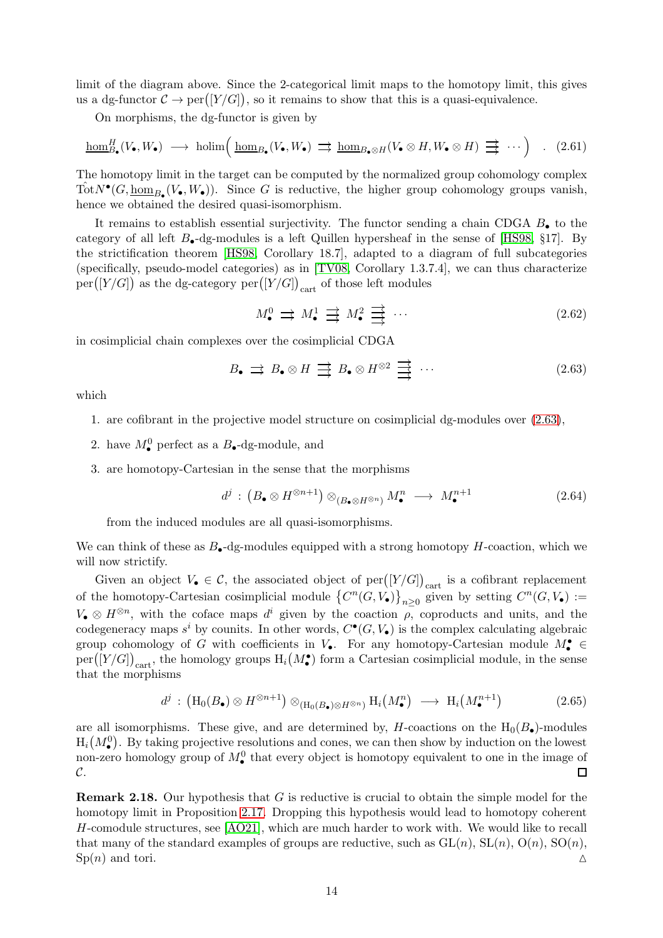limit of the diagram above. Since the 2-categorical limit maps to the homotopy limit, this gives us a dg-functor  $C \to \text{per}([Y/G])$ , so it remains to show that this is a quasi-equivalence.

On morphisms, the dg-functor is given by

$$
\underline{\hom}_{B_{\bullet}}^H(V_{\bullet}, W_{\bullet}) \longrightarrow \text{holim}\Big(\underline{\hom}_{B_{\bullet}}(V_{\bullet}, W_{\bullet}) \implies \underline{\hom}_{B_{\bullet} \otimes H}(V_{\bullet} \otimes H, W_{\bullet} \otimes H) \implies \cdots\Big) \quad . \quad (2.61)
$$

The homotopy limit in the target can be computed by the normalized group cohomology complex  $T\odot tN^{\bullet}(G, \underline{\hom}_{B_{\bullet}}(V_{\bullet}, W_{\bullet}))$ . Since G is reductive, the higher group cohomology groups vanish, hence we obtained the desired quasi-isomorphism.

It remains to establish essential surjectivity. The functor sending a chain CDGA  $B_{\bullet}$  to the category of all left  $B_{\bullet}$ -dg-modules is a left Quillen hypersheaf in the sense of [\[HS98,](#page-35-10) §17]. By the strictification theorem [\[HS98,](#page-35-10) Corollary 18.7], adapted to a diagram of full subcategories (specifically, pseudo-model categories) as in [\[TV08,](#page-36-6) Corollary 1.3.7.4], we can thus characterize  $\mathrm{per}([Y/G])$  as the dg-category  $\mathrm{per}([Y/G])_{\mathrm{cart}}$  of those left modules

<span id="page-13-0"></span>
$$
M_{\bullet}^{0} \implies M_{\bullet}^{1} \implies M_{\bullet}^{2} \implies \cdots \tag{2.62}
$$

in cosimplicial chain complexes over the cosimplicial CDGA

$$
B_{\bullet} \implies B_{\bullet} \otimes H \implies B_{\bullet} \otimes H^{\otimes 2} \implies \cdots \tag{2.63}
$$

which

- 1. are cofibrant in the projective model structure on cosimplicial dg-modules over [\(2.63\)](#page-13-0),
- 2. have  $M_{\bullet}^0$  perfect as a  $B_{\bullet}$ -dg-module, and
- 3. are homotopy-Cartesian in the sense that the morphisms

$$
d^j: (B_{\bullet} \otimes H^{\otimes n+1}) \otimes_{(B_{\bullet} \otimes H^{\otimes n})} M^n_{\bullet} \longrightarrow M^{n+1}_{\bullet} \tag{2.64}
$$

from the induced modules are all quasi-isomorphisms.

We can think of these as  $B_{\bullet}$ -dg-modules equipped with a strong homotopy H-coaction, which we will now strictify.

Given an object  $V_{\bullet} \in \mathcal{C}$ , the associated object of  $\text{per}([Y/G])_{\text{cart}}$  is a cofibrant replacement of the homotopy-Cartesian cosimplicial module  $\left\{C^n(G, V_\bullet)\right\}_{n\geq 0}$  given by setting  $C^n(G, V_\bullet) :=$  $V_{\bullet} \otimes H^{\otimes n}$ , with the coface maps  $d^{i}$  given by the coaction  $\rho$ , coproducts and units, and the codegeneracy maps  $s^i$  by counits. In other words,  $C^{\bullet}(G, V_{\bullet})$  is the complex calculating algebraic group cohomology of G with coefficients in  $V_{\bullet}$ . For any homotopy-Cartesian module  $M_{\bullet}^{\bullet} \in$ per $([Y/G])_{\text{cart}}$ , the homology groups  $H_i(M_{\bullet}^{\bullet})$  form a Cartesian cosimplicial module, in the sense that the morphisms

$$
d^j: \left(\mathrm{H}_0(B_{\bullet}) \otimes H^{\otimes n+1}\right) \otimes_{\left(\mathrm{H}_0(B_{\bullet}) \otimes H^{\otimes n}\right)} \mathrm{H}_i\left(M_{\bullet}^n\right) \longrightarrow \mathrm{H}_i\left(M_{\bullet}^{n+1}\right) \tag{2.65}
$$

are all isomorphisms. These give, and are determined by, H-coactions on the  $H_0(B_{\bullet})$ -modules  $H_i(M^0_{\bullet})$ . By taking projective resolutions and cones, we can then show by induction on the lowest non-zero homology group of  $M_{\bullet}^{0}$  that every object is homotopy equivalent to one in the image of  $\mathcal{C}.$  $\Box$ 

<span id="page-13-1"></span>**Remark 2.18.** Our hypothesis that  $G$  is reductive is crucial to obtain the simple model for the homotopy limit in Proposition [2.17.](#page-12-3) Dropping this hypothesis would lead to homotopy coherent H-comodule structures, see [\[AO21\]](#page-35-11), which are much harder to work with. We would like to recall that many of the standard examples of groups are reductive, such as  $GL(n)$ ,  $SL(n)$ ,  $O(n)$ ,  $SO(n)$ ,  $\mathrm{Sp}(n)$  and tori.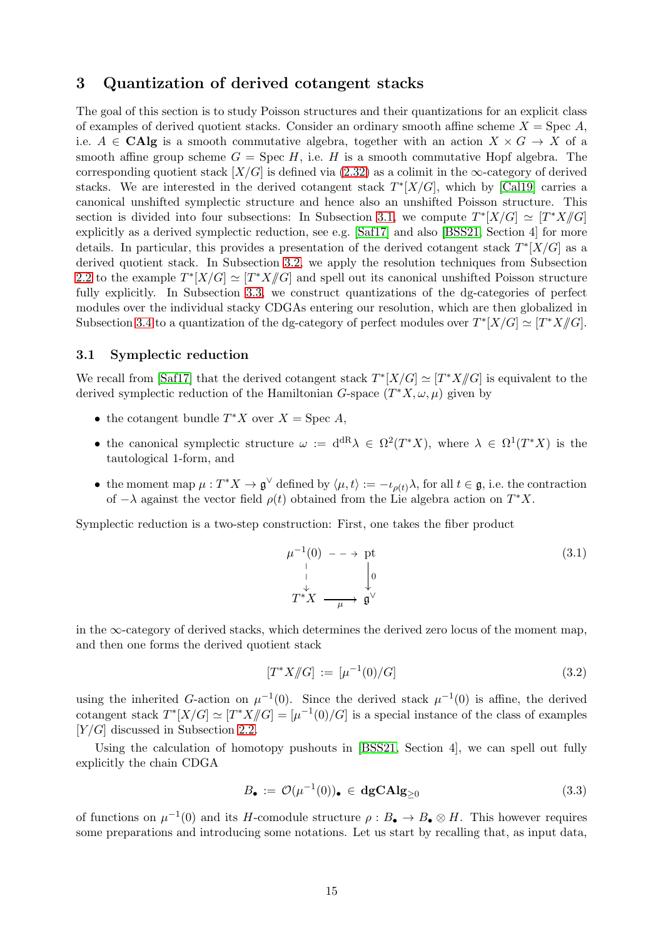# <span id="page-14-0"></span>3 Quantization of derived cotangent stacks

The goal of this section is to study Poisson structures and their quantizations for an explicit class of examples of derived quotient stacks. Consider an ordinary smooth affine scheme  $X = \text{Spec } A$ , i.e.  $A \in \mathbf{CAlg}$  is a smooth commutative algebra, together with an action  $X \times G \to X$  of a smooth affine group scheme  $G = \text{Spec } H$ , i.e. H is a smooth commutative Hopf algebra. The corresponding quotient stack  $[X/G]$  is defined via [\(2.32\)](#page-8-1) as a colimit in the  $\infty$ -category of derived stacks. We are interested in the derived cotangent stack  $T^*[X/G]$ , which by [\[Cal19\]](#page-35-12) carries a canonical unshifted symplectic structure and hence also an unshifted Poisson structure. This section is divided into four subsections: In Subsection [3.1,](#page-14-1) we compute  $T^*[X/G] \simeq [T^*X/\!\!/ G]$ explicitly as a derived symplectic reduction, see e.g. [\[Saf17\]](#page-36-7) and also [\[BSS21,](#page-35-7) Section 4] for more details. In particular, this provides a presentation of the derived cotangent stack  $T^*[X/G]$  as a derived quotient stack. In Subsection [3.2,](#page-16-0) we apply the resolution techniques from Subsection [2.2](#page-8-0) to the example  $T^*[X/G] \simeq [T^*X/\!\!/ G]$  and spell out its canonical unshifted Poisson structure fully explicitly. In Subsection [3.3,](#page-17-0) we construct quantizations of the dg-categories of perfect modules over the individual stacky CDGAs entering our resolution, which are then globalized in Subsection [3.4](#page-22-0) to a quantization of the dg-category of perfect modules over  $T^*[X/G] \simeq [T^*X/G]$ .

#### <span id="page-14-1"></span>3.1 Symplectic reduction

We recall from [\[Saf17\]](#page-36-7) that the derived cotangent stack  $T^*[X/G] \simeq [T^*X/\!\!/ G]$  is equivalent to the derived symplectic reduction of the Hamiltonian G-space  $(T^*X, \omega, \mu)$  given by

- the cotangent bundle  $T^*X$  over  $X = \text{Spec } A$ ,
- the canonical symplectic structure  $\omega := d^{dR}\lambda \in \Omega^2(T^*X)$ , where  $\lambda \in \Omega^1(T^*X)$  is the tautological 1-form, and
- the moment map  $\mu: T^*X \to \mathfrak{g}^{\vee}$  defined by  $\langle \mu, t \rangle := -\iota_{\rho(t)}\lambda$ , for all  $t \in \mathfrak{g}$ , i.e. the contraction of  $-\lambda$  against the vector field  $\rho(t)$  obtained from the Lie algebra action on  $T^*X$ .

Symplectic reduction is a two-step construction: First, one takes the fiber product

$$
\mu^{-1}(0) \quad - \quad \rightarrow \quad \text{pt}
$$
\n
$$
\downarrow \qquad \qquad \downarrow \qquad \qquad \downarrow \qquad \qquad \downarrow
$$
\n
$$
T^*X \quad \xrightarrow{\mu} \quad \mathfrak{g}^{\vee}
$$
\n(3.1)

in the  $\infty$ -category of derived stacks, which determines the derived zero locus of the moment map, and then one forms the derived quotient stack

$$
[T^*X/\!\!/G] := [\mu^{-1}(0)/G] \tag{3.2}
$$

using the inherited G-action on  $\mu^{-1}(0)$ . Since the derived stack  $\mu^{-1}(0)$  is affine, the derived cotangent stack  $T^*[X/G] \simeq [T^*X/\!\!/ G] = [\mu^{-1}(0)/G]$  is a special instance of the class of examples  $[Y/G]$  discussed in Subsection [2.2.](#page-8-0)

Using the calculation of homotopy pushouts in [\[BSS21,](#page-35-7) Section 4], we can spell out fully explicitly the chain CDGA

$$
B_{\bullet} := \mathcal{O}(\mu^{-1}(0))_{\bullet} \in \mathbf{dgCAlg}_{\geq 0} \tag{3.3}
$$

of functions on  $\mu^{-1}(0)$  and its H-comodule structure  $\rho : B_{\bullet} \to B_{\bullet} \otimes H$ . This however requires some preparations and introducing some notations. Let us start by recalling that, as input data,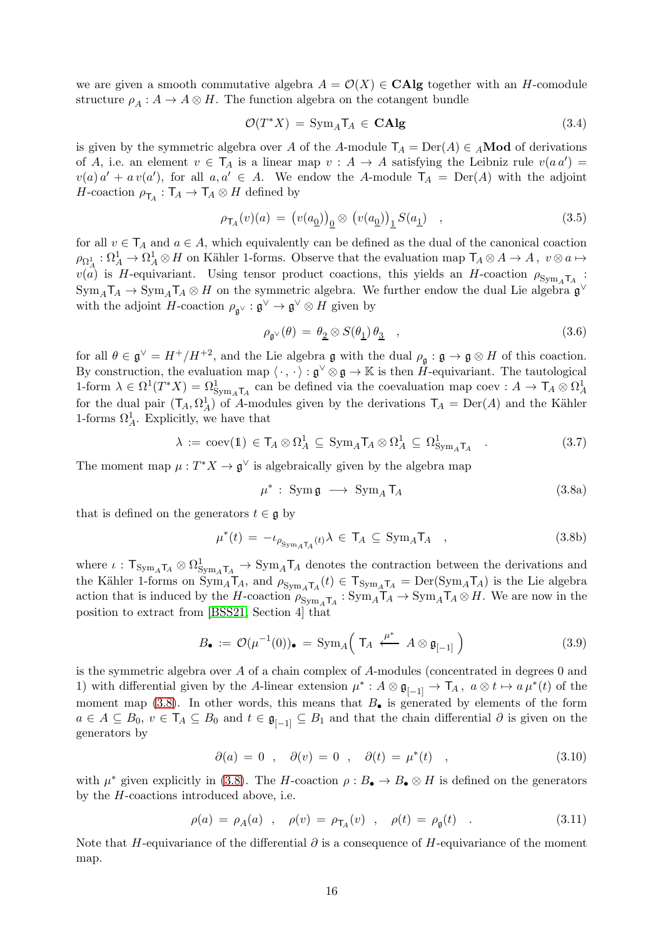we are given a smooth commutative algebra  $A = \mathcal{O}(X) \in \mathbf{CAlg}$  together with an H-comodule structure  $\rho_A : A \to A \otimes H$ . The function algebra on the cotangent bundle

$$
\mathcal{O}(T^*X) = \text{Sym}_A \mathsf{T}_A \in \mathbf{CAlg} \tag{3.4}
$$

is given by the symmetric algebra over A of the A-module  $T_A = Der(A) \in A\textbf{Mod}$  of derivations of A, i.e. an element  $v \in T_A$  is a linear map  $v : A \to A$  satisfying the Leibniz rule  $v(a a') =$  $v(a) a' + a v(a')$ , for all  $a, a' \in A$ . We endow the A-module  $T_A = Der(A)$  with the adjoint  $H\text{-coaction }\rho_{\mathsf{T}_A}: \mathsf{T}_A\to \mathsf{T}_A\otimes H$  defined by

$$
\rho_{\mathsf{T}_A}(v)(a) = \left(v(a_{\underline{0}})\right)_{\underline{0}} \otimes \left(v(a_{\underline{0}})\right)_{\underline{1}} S(a_{\underline{1}}) \quad , \tag{3.5}
$$

for all  $v \in T_A$  and  $a \in A$ , which equivalently can be defined as the dual of the canonical coaction  $\rho_{\Omega^1_A}: \Omega^1_A \to \Omega^1_A \otimes H$  on Kähler 1-forms. Observe that the evaluation map  $\mathsf{T}_A \otimes A \to A$ ,  $v \otimes a \mapsto$  $v(a)$  is H-equivariant. Using tensor product coactions, this yields an H-coaction  $\rho_{\text{Sym}_A, \mathsf{T}_A}$ :  $\text{Sym}_A \mathsf{T}_A \to \text{Sym}_A \mathsf{T}_A \otimes H$  on the symmetric algebra. We further endow the dual Lie algebra  $\mathfrak{g}^{\vee}$ with the adjoint H-coaction  $\rho_{\mathfrak{g}^\vee} : \mathfrak{g}^\vee \to \mathfrak{g}^\vee \otimes H$  given by

$$
\rho_{\mathfrak{g}^\vee}(\theta) = \theta_{\underline{2}} \otimes S(\theta_{\underline{1}}) \theta_{\underline{3}} \quad , \tag{3.6}
$$

for all  $\theta \in \mathfrak{g}^{\vee} = H^+/H^{+2}$ , and the Lie algebra  $\mathfrak g$  with the dual  $\rho_{\mathfrak g} : \mathfrak g \to \mathfrak g \otimes H$  of this coaction. By construction, the evaluation map  $\langle \cdot, \cdot \rangle : \mathfrak{g}^{\vee} \otimes \mathfrak{g} \to \mathbb{K}$  is then  $H$ -equivariant. The tautological 1-form  $\lambda \in \Omega^1(T^*X) = \Omega^1_{\text{Sym}_A \mathsf{T}_A}$  can be defined via the coevaluation map coev :  $A \to \mathsf{T}_A \otimes \Omega^1_A$ for the dual pair  $(T_A, \Omega_A^1)$  of A-modules given by the derivations  $T_A = \text{Der}(A)$  and the Kähler 1-forms  $\Omega^1_A$ . Explicitly, we have that

$$
\lambda := \text{coev}(\mathbb{1}) \in \mathsf{T}_A \otimes \Omega^1_A \subseteq \text{Sym}_A \mathsf{T}_A \otimes \Omega^1_A \subseteq \Omega^1_{\text{Sym}_A \mathsf{T}_A} \quad . \tag{3.7}
$$

The moment map  $\mu: T^*X \to \mathfrak{g}^{\vee}$  is algebraically given by the algebra map

<span id="page-15-1"></span><span id="page-15-0"></span>
$$
\mu^* : \text{Sym} \mathfrak{g} \longrightarrow \text{Sym}_A \mathsf{T}_A \tag{3.8a}
$$

that is defined on the generators  $t \in \mathfrak{g}$  by

$$
\mu^*(t) = -\iota_{\rho_{\text{Sym}_A \mathsf{T}_A}(t)} \lambda \in \mathsf{T}_A \subseteq \text{Sym}_A \mathsf{T}_A \quad , \tag{3.8b}
$$

where  $\iota$ :  $\mathsf{T}_{\text{Sym}_A\mathsf{T}_A} \otimes \Omega^1_{\text{Sym}_A\mathsf{T}_A} \to \text{Sym}_A\mathsf{T}_A$  denotes the contraction between the derivations and the Kähler 1-forms on  $Sym_A^A T_A$ , and  $\rho_{Sym_A^A T_A}(t) \in T_{Sym_A^A T_A} = Der(Sym_A^A T_A)$  is the Lie algebra action that is induced by the H-coaction  $\rho_{\text{Sym}_A T_A}: \text{Sym}_A \widetilde{T}_A \to \text{Sym}_A T_A \otimes H$ . We are now in the position to extract from [\[BSS21,](#page-35-7) Section 4] that

$$
B_{\bullet} := \mathcal{O}(\mu^{-1}(0))_{\bullet} = \text{Sym}_{A}\left(\mathsf{T}_{A} \stackrel{\mu^{*}}{\longleftarrow} A \otimes \mathfrak{g}_{[-1]}\right) \tag{3.9}
$$

is the symmetric algebra over A of a chain complex of A-modules (concentrated in degrees 0 and 1) with differential given by the A-linear extension  $\mu^*: A \otimes \mathfrak{g}_{[-1]} \to \mathsf{T}_A$ ,  $a \otimes t \mapsto a \mu^*(t)$  of the moment map [\(3.8\)](#page-15-0). In other words, this means that  $B_{\bullet}$  is generated by elements of the form  $a \in A \subseteq B_0$ ,  $v \in T_A \subseteq B_0$  and  $t \in \mathfrak{g}_{[-1]} \subseteq B_1$  and that the chain differential  $\partial$  is given on the generators by

<span id="page-15-2"></span>
$$
\partial(a) = 0 \quad , \quad \partial(v) = 0 \quad , \quad \partial(t) = \mu^*(t) \quad , \tag{3.10}
$$

with  $\mu^*$  given explicitly in [\(3.8\)](#page-15-0). The H-coaction  $\rho : B_{\bullet} \to B_{\bullet} \otimes H$  is defined on the generators by the H-coactions introduced above, i.e.

$$
\rho(a) = \rho_A(a) , \quad \rho(v) = \rho_{T_A}(v) , \quad \rho(t) = \rho_{\mathfrak{g}}(t) .
$$
\n(3.11)

Note that H-equivariance of the differential  $\partial$  is a consequence of H-equivariance of the moment map.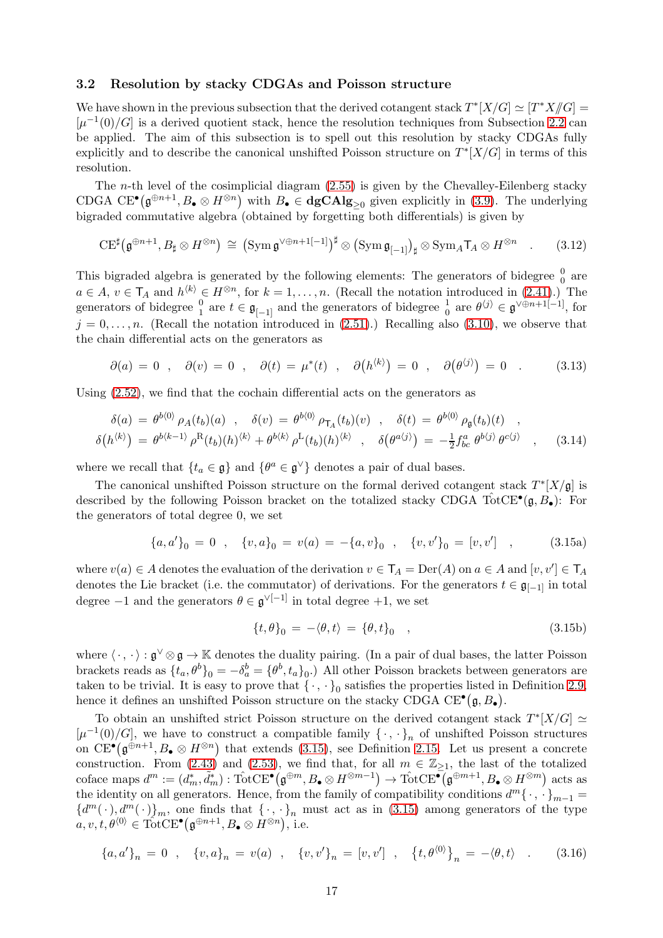#### <span id="page-16-0"></span>3.2 Resolution by stacky CDGAs and Poisson structure

We have shown in the previous subsection that the derived cotangent stack  $T^*[X/G] \simeq [T^*X/\!\!/ G] =$  $[\mu^{-1}(0)/G]$  is a derived quotient stack, hence the resolution techniques from Subsection [2.2](#page-8-0) can be applied. The aim of this subsection is to spell out this resolution by stacky CDGAs fully explicitly and to describe the canonical unshifted Poisson structure on  $T^*[X/G]$  in terms of this resolution.

The *n*-th level of the cosimplicial diagram  $(2.55)$  is given by the Chevalley-Eilenberg stacky CDGA CE<sup>•</sup>( $\mathfrak{g}^{\oplus n+1}, B_{\bullet} \otimes H^{\otimes n}$ ) with  $B_{\bullet} \in \mathbf{dgCAlg}_{\geq 0}$  given explicitly in [\(3.9\)](#page-15-1). The underlying bigraded commutative algebra (obtained by forgetting both differentials) is given by

$$
\mathrm{CE}^{\sharp}(\mathfrak{g}^{\oplus n+1},B_{\sharp}\otimes H^{\otimes n})\cong \left(\mathrm{Sym}\,\mathfrak{g}^{\vee\oplus n+1[-1]}\right)^{\sharp}\otimes\left(\mathrm{Sym}\,\mathfrak{g}_{[-1]}\right)_{\sharp}\otimes\mathrm{Sym}_{A}\mathsf{T}_{A}\otimes H^{\otimes n}\quad .\tag{3.12}
$$

This bigraded algebra is generated by the following elements: The generators of bidegree  $\frac{0}{0}$  are This organized algebra is generated by the following elements. The generators of ordegree  $\theta_0$  are  $a \in A$ ,  $v \in T_A$  and  $h^{(k)} \in H^{\otimes n}$ , for  $k = 1, ..., n$ . (Recall the notation introduced in [\(2.41\)](#page-9-3).) The generators of bidegree  $\frac{0}{1}$  are  $t \in \mathfrak{g}_{[-1]}$  and the generators of bidegree  $\frac{1}{0}$  are  $\theta^{\langle j \rangle} \in \mathfrak{g}^{\vee \oplus n+1[-1]}$ , for  $j = 0, \ldots, n$ . (Recall the notation introduced in [\(2.51\)](#page-11-4).) Recalling also [\(3.10\)](#page-15-2), we observe that the chain differential acts on the generators as

$$
\partial(a) = 0 \quad , \quad \partial(v) = 0 \quad , \quad \partial(t) = \mu^*(t) \quad , \quad \partial\left(h^{(k)}\right) = 0 \quad , \quad \partial\left(\theta^{(j)}\right) = 0 \quad . \tag{3.13}
$$

Using [\(2.52\)](#page-11-0), we find that the cochain differential acts on the generators as

$$
\delta(a) = \theta^{b\langle 0 \rangle} \rho_A(t_b)(a) , \quad \delta(v) = \theta^{b\langle 0 \rangle} \rho_{\mathsf{T}_A}(t_b)(v) , \quad \delta(t) = \theta^{b\langle 0 \rangle} \rho_{\mathfrak{g}}(t_b)(t) ,
$$
  

$$
\delta(h^{\langle k \rangle}) = \theta^{b\langle k-1 \rangle} \rho^{\mathsf{R}}(t_b)(h)^{\langle k \rangle} + \theta^{b\langle k \rangle} \rho^{\mathsf{L}}(t_b)(h)^{\langle k \rangle} , \quad \delta(\theta^{a\langle j \rangle}) = -\frac{1}{2} f_{bc}^a \theta^{b\langle j \rangle} \theta^{c\langle j \rangle} , \quad (3.14)
$$

where we recall that  $\{t_a \in \mathfrak{g}\}\$  and  $\{\theta^a \in \mathfrak{g}^{\vee}\}\$  denotes a pair of dual bases.

The canonical unshifted Poisson structure on the formal derived cotangent stack  $T^*[X/\mathfrak{g}]$  is described by the following Poisson bracket on the totalized stacky CDGA  $T\hat{o}tCE^{\bullet}(\mathfrak{g},B_{\bullet})$ : For the generators of total degree 0, we set

$$
\{a,a'\}_0 = 0 \quad , \quad \{v,a\}_0 = v(a) = -\{a,v\}_0 \quad , \quad \{v,v'\}_0 = [v,v'] \quad , \tag{3.15a}
$$

where  $v(a) \in A$  denotes the evaluation of the derivation  $v \in T_A = \text{Der}(A)$  on  $a \in A$  and  $[v, v'] \in T_A$ denotes the Lie bracket (i.e. the commutator) of derivations. For the generators  $t \in \mathfrak{g}_{[-1]}$  in total degree  $-1$  and the generators  $\theta \in \mathfrak{g}^{\vee[-1]}$  in total degree  $+1$ , we set

<span id="page-16-4"></span><span id="page-16-3"></span><span id="page-16-2"></span><span id="page-16-1"></span>
$$
\{t,\theta\}_0 = -\langle \theta, t \rangle = \{\theta, t\}_0 \quad , \tag{3.15b}
$$

where  $\langle \cdot , \cdot \rangle : \mathfrak{g}^{\vee} \otimes \mathfrak{g} \to \mathbb{K}$  denotes the duality pairing. (In a pair of dual bases, the latter Poisson brackets reads as  $\{t_a, \theta^b\}_0 = -\delta_a^b = \{\theta^b, t_a\}_0$ .) All other Poisson brackets between generators are taken to be trivial. It is easy to prove that  $\{\cdot, \cdot\}_0$  satisfies the properties listed in Definition [2.9,](#page-5-1) hence it defines an unshifted Poisson structure on the stacky CDGA  $CE^{\bullet}(\mathfrak{g}, B_{\bullet})$ .

To obtain an unshifted strict Poisson structure on the derived cotangent stack  $T^*[X/G] \simeq$  $[\mu^{-1}(0)/G]$ , we have to construct a compatible family  $\{\cdot,\cdot\}_n$  of unshifted Poisson structures on  $CE^{\bullet}(\mathfrak{g}^{\oplus n+1}, B_{\bullet} \otimes H^{\otimes n})$  that extends [\(3.15\)](#page-16-1), see Definition [2.15.](#page-12-4) Let us present a concrete construction. From [\(2.43\)](#page-9-6) and [\(2.53\)](#page-11-2), we find that, for all  $m \in \mathbb{Z}_{\geq 1}$ , the last of the totalized coface maps  $d^m := (d_m^*, \tilde{d}_m^*) : \hat{\text{TotCE}}^{\bullet}(\mathfrak{g}^{\oplus m}, B_{\bullet} \otimes H^{\otimes m-1}) \to \hat{\text{TotCE}}^{\bullet}(\mathfrak{g}^{\oplus m+1}, B_{\bullet} \otimes H^{\otimes m})$  acts as the identity on all generators. Hence, from the family of compatibility conditions  $d^m\{\cdot, \cdot\}_{m-1} =$  ${d^m(\cdot), d^m(\cdot)}_m$ , one finds that  ${\{\cdot, \cdot\}_n}$  must act as in [\(3.15\)](#page-16-1) among generators of the type  $a, v, t, \theta^{(0)} \in \widehat{\mathrm{TotCE}}^{\bullet}(\mathfrak{g}^{\oplus n+1}, B_{\bullet} \otimes H^{\otimes n}), \text{ i.e.}$ 

$$
\{a,a'\}_n = 0 \quad , \quad \{v,a\}_n = v(a) \quad , \quad \{v,v'\}_n = [v,v'] \quad , \quad \{t,\theta^{\langle 0 \rangle}\}_n = -\langle \theta, t \rangle \quad . \tag{3.16}
$$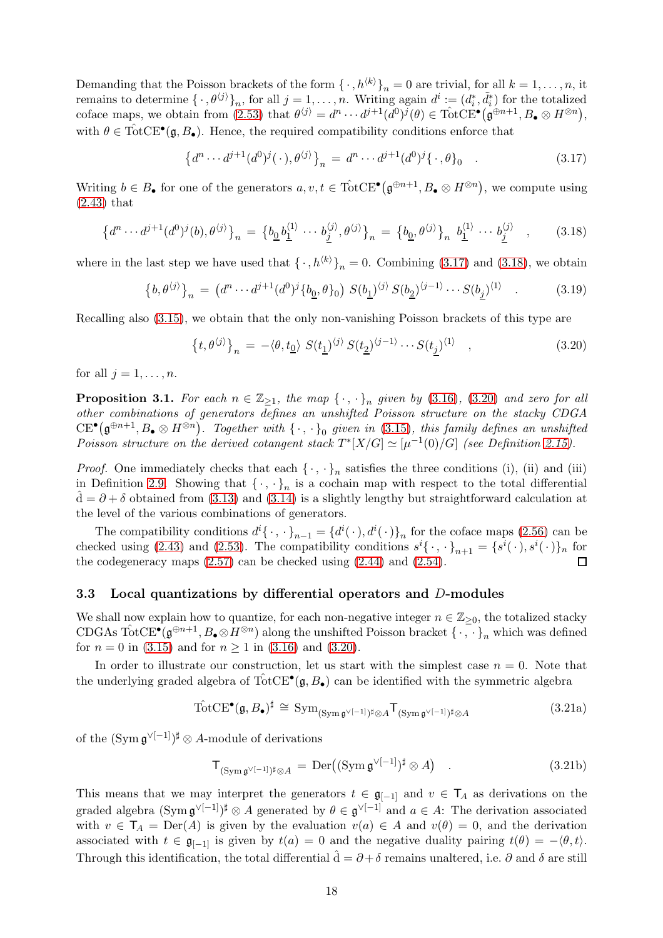Demanding that the Poisson brackets of the form  $\{\cdot, h^{(k)}\}_n = 0$  are trivial, for all  $k = 1, \ldots, n$ , it remains to determine  $\{\cdot,\theta^{(j)}\}_n$ , for all  $j=1,\ldots,n$ . Writing again  $d^i:=(d_i^*,\tilde{d}_i^*)$  for the totalized coface maps, we obtain from [\(2.53\)](#page-11-2) that  $\theta^{(j)} = d^n \cdots d^{j+1} (d^0)^j (\theta) \in \text{TotCE}^{\bullet}(\mathfrak{g}^{\oplus n+1}, B_{\bullet} \otimes H^{\otimes n}),$ with  $\theta \in \mathrm{TotCE}^{\bullet}(\mathfrak{g}, B_{\bullet}).$  Hence, the required compatibility conditions enforce that

<span id="page-17-2"></span><span id="page-17-1"></span>
$$
\left\{d^n \cdots d^{j+1}(d^0)^j(\cdot), \theta^{(j)}\right\}_n = d^n \cdots d^{j+1}(d^0)^j \{\cdot, \theta\}_0 \quad . \tag{3.17}
$$

Writing  $b \in B_{\bullet}$  for one of the generators  $a, v, t \in \widehat{\mathrm{TotCE}}^{\bullet}(\mathfrak{g}^{\oplus n+1}, B_{\bullet} \otimes H^{\otimes n})$ , we compute using [\(2.43\)](#page-9-6) that

$$
\{d^n \cdots d^{j+1}(d^0)^j(b), \theta^{(j)}\}_n = \{b_{\underline{0}}b_{\underline{1}}^{(1)} \cdots b_{\underline{j}}^{(j)}, \theta^{(j)}\}_n = \{b_{\underline{0}}, \theta^{(j)}\}_n b_{\underline{1}}^{(1)} \cdots b_{\underline{j}}^{(j)}, \qquad (3.18)
$$

where in the last step we have used that  $\{\cdot, h^{(k)}\}_n = 0$ . Combining [\(3.17\)](#page-17-1) and [\(3.18\)](#page-17-2), we obtain

$$
\{b, \theta^{(j)}\}_n = (d^n \cdots d^{j+1} (d^0)^j \{b_0, \theta\}_0) S(b_1)^{\langle j \rangle} S(b_2)^{\langle j-1 \rangle} \cdots S(b_j)^{\langle 1 \rangle} . \tag{3.19}
$$

Recalling also [\(3.15\)](#page-16-1), we obtain that the only non-vanishing Poisson brackets of this type are

<span id="page-17-3"></span>
$$
\left\{t, \theta^{(j)}\right\}_n = -\langle\theta, t_{\underline{0}}\rangle \ S(t_{\underline{1}})^{\langle j\rangle} S(t_{\underline{2}})^{\langle j-1\rangle} \cdots S(t_{\underline{j}})^{\langle 1\rangle} \quad , \tag{3.20}
$$

for all  $j = 1, \ldots, n$ .

**Proposition 3.1.** For each  $n \in \mathbb{Z}_{\geq 1}$ , the map  $\{\cdot, \cdot\}_n$  given by [\(3.16\)](#page-16-2), [\(3.20\)](#page-17-3) and zero for all *other combinations of generators defines an unshifted Poisson structure on the stacky CDGA*  $\mathrm{CE}^{\bullet}(\mathfrak{g}^{\oplus n+1}, B_{\bullet} \otimes H^{\otimes n})$ *. Together with*  $\{\cdot, \cdot\}_0$  given in [\(3.15\)](#page-16-1), this family defines an unshifted *Poisson structure on the derived cotangent stack*  $T^*[X/G] \simeq [\mu^{-1}(0)/G]$  *(see Definition [2.15\)](#page-12-4).* 

*Proof.* One immediately checks that each  $\{\cdot,\cdot\}_n$  satisfies the three conditions (i), (ii) and (iii) in Definition [2.9.](#page-5-1) Showing that  $\{\cdot,\cdot\}_n$  is a cochain map with respect to the total differential  $\hat{d} = \partial + \delta$  obtained from [\(3.13\)](#page-16-3) and [\(3.14\)](#page-16-4) is a slightly lengthy but straightforward calculation at the level of the various combinations of generators.

The compatibility conditions  $d^{i} \{\cdot, \cdot\}_{n-1} = \{d^{i}(\cdot), d^{i}(\cdot)\}_{n}$  for the coface maps [\(2.56\)](#page-12-0) can be checked using [\(2.43\)](#page-9-6) and [\(2.53\)](#page-11-2). The compatibility conditions  $s^{i} \{\cdot, \cdot\}_{n+1} = \{s^{i}(\cdot), s^{i}(\cdot)\}_{n}$  for the codegeneracy maps [\(2.57\)](#page-12-1) can be checked using [\(2.44\)](#page-10-3) and [\(2.54\)](#page-11-3). П

#### <span id="page-17-0"></span>3.3 Local quantizations by differential operators and D-modules

We shall now explain how to quantize, for each non-negative integer  $n \in \mathbb{Z}_{\geq 0}$ , the totalized stacky CDGAs  $\hat{\text{TotCE}}^{\bullet}(\mathfrak{g}^{\oplus n+1}, B_{\bullet} \otimes H^{\otimes n})$  along the unshifted Poisson bracket  $\{\cdot, \cdot\}_n$  which was defined for  $n = 0$  in [\(3.15\)](#page-16-1) and for  $n \ge 1$  in [\(3.16\)](#page-16-2) and [\(3.20\)](#page-17-3).

In order to illustrate our construction, let us start with the simplest case  $n = 0$ . Note that the underlying graded algebra of  $\hat{\text{TotCE}}^{\bullet}(\mathfrak{g}, B_{\bullet})$  can be identified with the symmetric algebra

$$
\hat{\text{TotCE}}^{\bullet}(\mathfrak{g}, B_{\bullet})^{\sharp} \cong \text{Sym}_{(\text{Sym} \mathfrak{g}^{\vee[-1]})^{\sharp} \otimes A} \mathsf{T}_{(\text{Sym} \mathfrak{g}^{\vee[-1]})^{\sharp} \otimes A}
$$
(3.21a)

of the  $(\text{Sym } \mathfrak{g}^{\vee[-1]})^{\sharp} \otimes A$ -module of derivations

<span id="page-17-4"></span>
$$
\mathsf{T}_{(\operatorname{Sym} \mathfrak{g}^{\vee[-1]})^{\sharp} \otimes A} = \operatorname{Der}((\operatorname{Sym} \mathfrak{g}^{\vee[-1]})^{\sharp} \otimes A) \quad . \tag{3.21b}
$$

This means that we may interpret the generators  $t \in \mathfrak{g}_{[-1]}$  and  $v \in \mathsf{T}_A$  as derivations on the graded algebra  $(\text{Sym } \mathfrak{g}^{\vee[-1]})^{\sharp} \otimes A$  generated by  $\theta \in \mathfrak{g}^{\vee[-1]}$  and  $a \in A$ : The derivation associated with  $v \in T_A = \text{Der}(A)$  is given by the evaluation  $v(a) \in A$  and  $v(\theta) = 0$ , and the derivation associated with  $t \in \mathfrak{g}_{[-1]}$  is given by  $t(a) = 0$  and the negative duality pairing  $t(\theta) = -\langle \theta, t \rangle$ . Through this identification, the total differential  $\hat{d} = \partial + \delta$  remains unaltered, i.e.  $\partial$  and  $\delta$  are still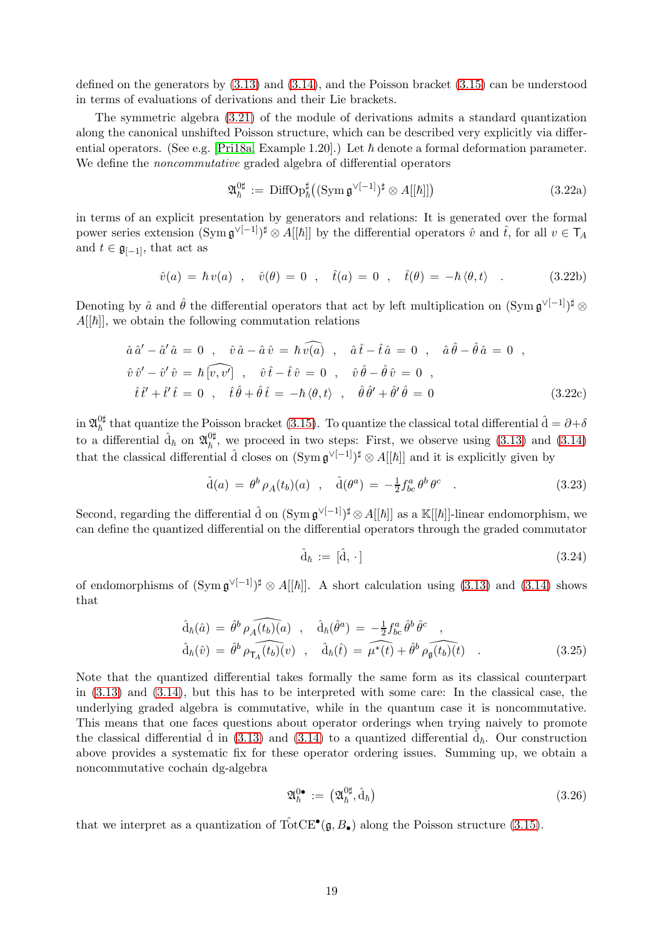defined on the generators by [\(3.13\)](#page-16-3) and [\(3.14\)](#page-16-4), and the Poisson bracket [\(3.15\)](#page-16-1) can be understood in terms of evaluations of derivations and their Lie brackets.

The symmetric algebra [\(3.21\)](#page-17-4) of the module of derivations admits a standard quantization along the canonical unshifted Poisson structure, which can be described very explicitly via differ-ential operators. (See e.g. [\[Pri18a,](#page-36-3) Example 1.20].) Let  $\hbar$  denote a formal deformation parameter. We define the *noncommutative* graded algebra of differential operators

<span id="page-18-1"></span>
$$
\mathfrak{A}_{\hbar}^{0\sharp} := \mathrm{DiffOp}_{\hbar}^{\sharp}((\mathrm{Sym} \, \mathfrak{g}^{\vee[-1]})^{\sharp} \otimes A[[\hbar]]) \tag{3.22a}
$$

in terms of an explicit presentation by generators and relations: It is generated over the formal power series extension  $(\text{Sym } \mathfrak{g}^{\vee[-1]})^{\sharp} \otimes A[[\hbar]]$  by the differential operators  $\hat{v}$  and  $\hat{t}$ , for all  $v \in T_A$ and  $t \in \mathfrak{g}_{[-1]}$ , that act as

$$
\hat{v}(a) = \hbar v(a) , \quad \hat{v}(\theta) = 0 , \quad \hat{t}(a) = 0 , \quad \hat{t}(\theta) = -\hbar \langle \theta, t \rangle . \tag{3.22b}
$$

Denoting by  $\hat{a}$  and  $\hat{\theta}$  the differential operators that act by left multiplication on  $(\text{Sym } \mathfrak{g}^{\vee[-1]})^{\sharp} \otimes$  $A[[\hbar]]$ , we obtain the following commutation relations

$$
\hat{a}\hat{a}' - \hat{a}'\hat{a} = 0 \ , \quad \hat{v}\hat{a} - \hat{a}\hat{v} = \hbar \widehat{v(a)} \ , \quad \hat{a}\hat{t} - \hat{t}\hat{a} = 0 \ , \quad \hat{a}\hat{\theta} - \hat{\theta}\hat{a} = 0 \ ,
$$
  

$$
\hat{v}\hat{v}' - \hat{v}'\hat{v} = \hbar \widehat{[v,v']} \ , \quad \hat{v}\hat{t} - \hat{t}\hat{v} = 0 \ , \quad \hat{v}\hat{\theta} - \hat{\theta}\hat{v} = 0 \ ,
$$
  

$$
\hat{t}\hat{t}' + \hat{t}'\hat{t} = 0 \ , \quad \hat{t}\hat{\theta} + \hat{\theta}\hat{t} = -\hbar \langle \theta, t \rangle \ , \quad \hat{\theta}\hat{\theta}' + \hat{\theta}'\hat{\theta} = 0 \tag{3.22c}
$$

in  $\mathfrak{A}^{0sharp}_\hbar$  that quantize the Poisson bracket [\(3.15\)](#page-16-1). To quantize the classical total differential  $\hat{\mathrm{d}}=\partial+\delta$ to a differential  $\hat{d}_\hbar$  on  $\mathfrak{A}^{\mathfrak{0}\sharp}_{\hbar}$ , we proceed in two steps: First, we observe using [\(3.13\)](#page-16-3) and [\(3.14\)](#page-16-4) that the classical differential  $\hat{d}$  closes on  $(Sym\,\mathfrak{g}^{\vee[-1]})^{\sharp}\otimes A[[\hbar]]$  and it is explicitly given by

$$
\hat{\mathbf{d}}(a) = \theta^b \, \rho_A(t_b)(a) \quad , \quad \hat{\mathbf{d}}(\theta^a) = -\frac{1}{2} f^a_{bc} \, \theta^b \, \theta^c \quad . \tag{3.23}
$$

Second, regarding the differential  $\hat{d}$  on  $(Sym\mathfrak{g}^{\vee[-1]})^{\sharp}\otimes A[[\hbar]]$  as a  $\mathbb{K}[[\hbar]]$ -linear endomorphism, we can define the quantized differential on the differential operators through the graded commutator

<span id="page-18-2"></span><span id="page-18-0"></span>
$$
\hat{\mathbf{d}}_{\hbar} := [\hat{\mathbf{d}}, \cdot] \tag{3.24}
$$

of endomorphisms of  $(\text{Sym } \mathfrak{g}^{\vee[-1]})^{\sharp} \otimes A[[\hbar]]$ . A short calculation using [\(3.13\)](#page-16-3) and [\(3.14\)](#page-16-4) shows that

$$
\hat{d}_{\hbar}(\hat{a}) = \hat{\theta}^{b} \rho_{\widehat{A(t_{b})}(a)} \quad , \quad \hat{d}_{\hbar}(\hat{\theta}^{a}) = -\frac{1}{2} f_{bc}^{a} \hat{\theta}^{b} \hat{\theta}^{c} \quad , \n\hat{d}_{\hbar}(\hat{v}) = \hat{\theta}^{b} \rho_{\widehat{A(t_{b})}(v)} \quad , \quad \hat{d}_{\hbar}(\hat{t}) = \widehat{\mu^{*}(t)} + \hat{\theta}^{b} \rho_{\widehat{\mathfrak{g}(t_{b})}(t)} \quad .
$$
\n(3.25)

Note that the quantized differential takes formally the same form as its classical counterpart in [\(3.13\)](#page-16-3) and [\(3.14\)](#page-16-4), but this has to be interpreted with some care: In the classical case, the underlying graded algebra is commutative, while in the quantum case it is noncommutative. This means that one faces questions about operator orderings when trying naively to promote the classical differential  $\hat{d}$  in [\(3.13\)](#page-16-3) and [\(3.14\)](#page-16-4) to a quantized differential  $\hat{d}_{\hbar}$ . Our construction above provides a systematic fix for these operator ordering issues. Summing up, we obtain a noncommutative cochain dg-algebra

$$
\mathfrak{A}_{\hbar}^{\mathbf{0}\bullet} := (\mathfrak{A}_{\hbar}^{\mathbf{0}\sharp}, \hat{\mathbf{d}}_{\hbar}) \tag{3.26}
$$

that we interpret as a quantization of  $\hat{\text{TotCE}}^{\bullet}(\mathfrak{g}, B_{\bullet})$  along the Poisson structure [\(3.15\)](#page-16-1).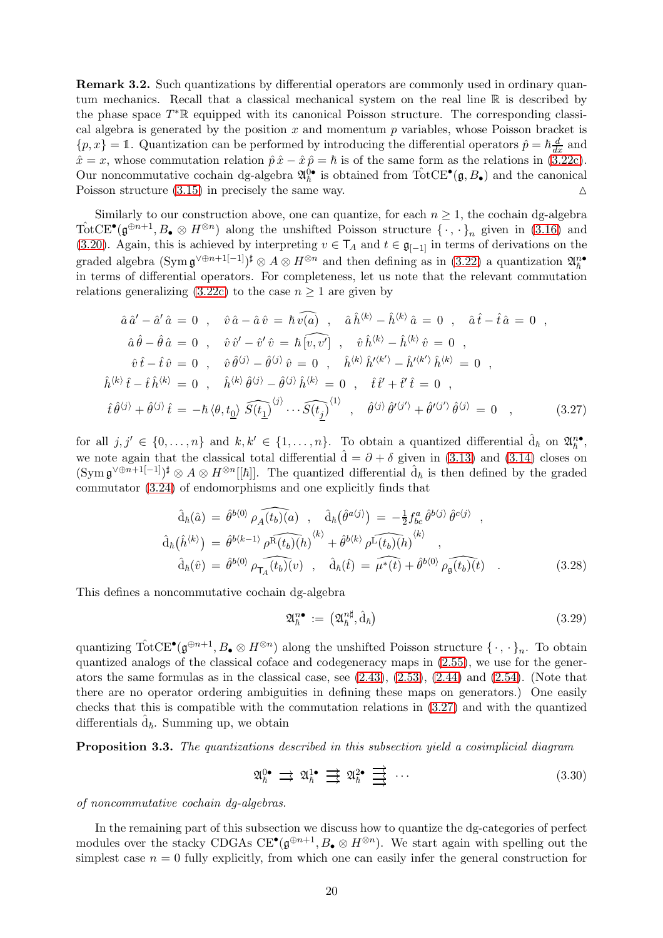Remark 3.2. Such quantizations by differential operators are commonly used in ordinary quantum mechanics. Recall that a classical mechanical system on the real line R is described by the phase space  $T^*\mathbb{R}$  equipped with its canonical Poisson structure. The corresponding classical algebra is generated by the position  $x$  and momentum  $p$  variables, whose Poisson bracket is  $\{p, x\} = 1$ . Quantization can be performed by introducing the differential operators  $\hat{p} = \hbar \frac{d}{dx}$  and  $\hat{x} = x$ , whose commutation relation  $\hat{p}\,\hat{x} - \hat{x}\,\hat{p} = \hbar$  is of the same form as the relations in [\(3.22c\)](#page-18-0). Our noncommutative cochain dg-algebra  $\mathfrak{A}_h^{0\bullet}$  is obtained from  $\hat{\text{TotCE}}^{\bullet}(\mathfrak{g}, B_{\bullet})$  and the canonical Poisson structure  $(3.15)$  in precisely the same way.  $\triangle$ 

Similarly to our construction above, one can quantize, for each  $n \geq 1$ , the cochain dg-algebra TotCE<sup>•</sup>( $\mathfrak{g}^{\oplus n+1}, B_{\bullet} \otimes H^{\otimes n}$ ) along the unshifted Poisson structure  $\{\cdot, \cdot\}_n$  given in [\(3.16\)](#page-16-2) and [\(3.20\)](#page-17-3). Again, this is achieved by interpreting  $v \in T_A$  and  $t \in \mathfrak{g}_{[-1]}$  in terms of derivations on the graded algebra  $(\text{Sym}\,\mathfrak{g}^{\vee\oplus n+1[-1]})^{\sharp}\otimes A\otimes H^{\otimes n}$  and then defining as in  $(3.22)$  a quantization  $\mathfrak{A}_{\hbar}^{n\bullet}$ in terms of differential operators. For completeness, let us note that the relevant commutation relations generalizing [\(3.22c\)](#page-18-0) to the case  $n \geq 1$  are given by

$$
\hat{a}\hat{a}' - \hat{a}'\hat{a} = 0 \ , \quad \hat{v}\hat{a} - \hat{a}\hat{v} = \hbar\widehat{v(a)} \ , \quad \hat{a}\hat{h}^{(k)} - \hat{h}^{(k)}\hat{a} = 0 \ , \quad \hat{a}\hat{t} - \hat{t}\hat{a} = 0 \ ,
$$
  

$$
\hat{a}\hat{\theta} - \hat{\theta}\hat{a} = 0 \ , \quad \hat{v}\hat{v}' - \hat{v}'\hat{v} = \hbar[\widehat{v}, \widehat{v}'] \ , \quad \hat{v}\hat{h}^{(k)} - \hat{h}^{(k)}\hat{v} = 0 \ ,
$$
  

$$
\hat{v}\hat{t} - \hat{t}\hat{v} = 0 \ , \quad \hat{v}\hat{\theta}^{(j)} - \hat{\theta}^{(j)}\hat{v} = 0 \ , \quad \hat{h}^{(k)}\hat{h}^{(k')} - \hat{h}^{(k')}\hat{h}^{(k)} = 0 \ ,
$$
  

$$
\hat{h}^{(k)}\hat{t} - \hat{t}\hat{h}^{(k)} = 0 \ , \quad \hat{h}^{(k)}\hat{\theta}^{(j)} - \hat{\theta}^{(j)}\hat{h}^{(k)} = 0 \ , \quad \hat{t}\hat{t}' + \hat{t}'\hat{t} = 0 \ ,
$$
  

$$
\hat{t}\hat{\theta}^{(j)} + \hat{\theta}^{(j)}\hat{t} = -\hbar\langle\theta, t_{\underline{0}}\rangle \overbrace{S(t_{\underline{1}})}^{(j)} \cdots \overbrace{S(t_{\underline{j}})}^{(1)} \ , \quad \hat{\theta}^{(j)}\hat{\theta}^{(j')} + \hat{\theta}^{(j')}\hat{\theta}^{(j)} = 0 \ , \tag{3.27}
$$

for all  $j, j' \in \{0, \ldots, n\}$  and  $k, k' \in \{1, \ldots, n\}$ . To obtain a quantized differential  $\hat{d}_{\hbar}$  on  $\mathfrak{A}_{\hbar}^{n\bullet}$ , we note again that the classical total differential  $\hat{d} = \partial + \delta$  given in [\(3.13\)](#page-16-3) and [\(3.14\)](#page-16-4) closes on  $(\text{Sym } \mathfrak{g}^{\vee \oplus n+1}[-1])^{\sharp} \otimes A \otimes H^{\otimes n}[[\hbar]]$ . The quantized differential  $\hat{d}_{\hbar}$  is then defined by the graded commutator [\(3.24\)](#page-18-2) of endomorphisms and one explicitly finds that

$$
\hat{d}_{\hbar}(\hat{a}) = \hat{\theta}^{b\langle 0 \rangle} \rho_{\hat{A}}(\widehat{t_b})(a) , \quad \hat{d}_{\hbar}(\hat{\theta}^{a\langle j \rangle}) = -\frac{1}{2} f_{bc}^a \hat{\theta}^{b\langle j \rangle} \hat{\theta}^{c\langle j \rangle} ,
$$
\n
$$
\hat{d}_{\hbar}(\hat{h}^{\langle k \rangle}) = \hat{\theta}^{b\langle k-1 \rangle} \rho^{\hat{R}}(\widehat{t_b})(h)^{\langle k \rangle} + \hat{\theta}^{b\langle k \rangle} \rho^{\hat{L}}(\widehat{t_b})(h)^{\langle k \rangle} ,
$$
\n
$$
\hat{d}_{\hbar}(\hat{v}) = \hat{\theta}^{b\langle 0 \rangle} \rho_{\hat{I_A}}(\widehat{t_b})(v) , \quad \hat{d}_{\hbar}(\hat{t}) = \widehat{\mu^*(t)} + \hat{\theta}^{b\langle 0 \rangle} \rho_{\hat{\mathfrak{g}}}(\widehat{t_b})(t) .
$$
\n(3.28)

This defines a noncommutative cochain dg-algebra

<span id="page-19-0"></span>
$$
\mathfrak{A}_{\hbar}^{\boldsymbol{n}\bullet} := \left( \mathfrak{A}_{\hbar}^{\boldsymbol{n}\sharp}, \hat{\mathbf{d}}_{\hbar} \right) \tag{3.29}
$$

quantizing  $\text{TotCE}^{\bullet}(\mathfrak{g}^{\oplus n+1}, B_{\bullet} \otimes H^{\otimes n})$  along the unshifted Poisson structure  $\{\cdot, \cdot\}_n$ . To obtain quantized analogs of the classical coface and codegeneracy maps in [\(2.55\)](#page-11-1), we use for the generators the same formulas as in the classical case, see  $(2.43)$ ,  $(2.53)$ ,  $(2.44)$  and  $(2.54)$ . (Note that there are no operator ordering ambiguities in defining these maps on generators.) One easily checks that this is compatible with the commutation relations in [\(3.27\)](#page-19-0) and with the quantized differentials  $\hat{d}_\hbar$ . Summing up, we obtain

Proposition 3.3. *The quantizations described in this subsection yield a cosimplicial diagram*

<span id="page-19-1"></span>
$$
\mathfrak{A}_{\hbar}^{0\bullet} \implies \mathfrak{A}_{\hbar}^{1\bullet} \implies \mathfrak{A}_{\hbar}^{2\bullet} \implies \cdots \tag{3.30}
$$

*of noncommutative cochain dg-algebras.*

In the remaining part of this subsection we discuss how to quantize the dg-categories of perfect modules over the stacky CDGAs  $CE^{\bullet}(\mathfrak{g}^{\oplus n+1}, B_{\bullet} \otimes H^{\otimes n})$ . We start again with spelling out the simplest case  $n = 0$  fully explicitly, from which one can easily infer the general construction for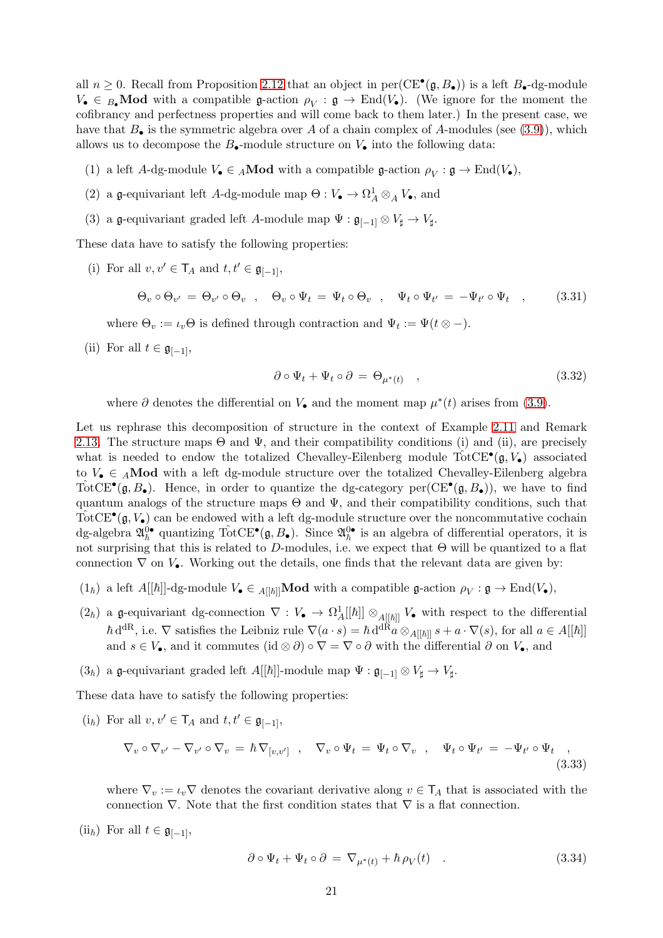all  $n \geq 0$ . Recall from Proposition [2.12](#page-7-2) that an object in per( $CE^{\bullet}(\mathfrak{g}, B_{\bullet})$ ) is a left  $B_{\bullet}$ -dg-module  $V_{\bullet} \in B_{\bullet} \textbf{Mod}$  with a compatible g-action  $\rho_V : \mathfrak{g} \to \text{End}(V_{\bullet})$ . (We ignore for the moment the cofibrancy and perfectness properties and will come back to them later.) In the present case, we have that  $B_{\bullet}$  is the symmetric algebra over A of a chain complex of A-modules (see [\(3.9\)](#page-15-1)), which allows us to decompose the  $B_{\bullet}$ -module structure on  $V_{\bullet}$  into the following data:

- (1) a left A-dg-module  $V_{\bullet} \in A\textbf{Mod}$  with a compatible g-action  $\rho_V : \mathfrak{g} \to \textbf{End}(V_{\bullet}),$
- (2) a g-equivariant left A-dg-module map  $\Theta: V_{\bullet} \to \Omega^1_A \otimes_A V_{\bullet}$ , and
- (3) a g-equivariant graded left A-module map  $\Psi : \mathfrak{g}_{[-1]} \otimes V_{\sharp} \to V_{\sharp}.$

These data have to satisfy the following properties:

(i) For all  $v, v' \in \mathsf{T}_A$  and  $t, t' \in \mathfrak{g}_{[-1]},$ 

$$
\Theta_v \circ \Theta_{v'} = \Theta_{v'} \circ \Theta_v \quad , \quad \Theta_v \circ \Psi_t = \Psi_t \circ \Theta_v \quad , \quad \Psi_t \circ \Psi_{t'} = -\Psi_{t'} \circ \Psi_t \quad , \tag{3.31}
$$

where  $\Theta_v := \iota_v \Theta$  is defined through contraction and  $\Psi_t := \Psi(t \otimes -)$ .

(ii) For all  $t \in \mathfrak{g}_{[-1]},$ 

$$
\partial \circ \Psi_t + \Psi_t \circ \partial = \Theta_{\mu^*(t)} \quad , \tag{3.32}
$$

where  $\partial$  denotes the differential on  $V_{\bullet}$  and the moment map  $\mu^*(t)$  arises from [\(3.9\)](#page-15-1).

Let us rephrase this decomposition of structure in the context of Example [2.11](#page-6-1) and Remark [2.13.](#page-7-5) The structure maps  $\Theta$  and  $\Psi$ , and their compatibility conditions (i) and (ii), are precisely what is needed to endow the totalized Chevalley-Eilenberg module  $Tot^cCE^{\bullet}(\mathfrak{g}, V_{\bullet})$  associated to  $V_{\bullet} \in A\textbf{Mod}$  with a left dg-module structure over the totalized Chevalley-Eilenberg algebra TotCE<sup> $\bullet$ </sup>( $\mathfrak{g}, B_{\bullet}$ ). Hence, in order to quantize the dg-category per(CE $\bullet$ ( $\mathfrak{g}, B_{\bullet}$ )), we have to find quantum analogs of the structure maps  $\Theta$  and  $\Psi$ , and their compatibility conditions, such that  $\hat{\text{TotCE}}^{\bullet}(\mathfrak{g}, V_{\bullet})$  can be endowed with a left dg-module structure over the noncommutative cochain dg-algebra  $\mathfrak{A}^{0\bullet}_{\hbar}$  quantizing  $\hat{\mathrm{TotCE}}^{\bullet}(\mathfrak{g},B_{\bullet}).$  Since  $\mathfrak{A}^{0\bullet}_{\hbar}$  is an algebra of differential operators, it is not surprising that this is related to D-modules, i.e. we expect that  $\Theta$  will be quantized to a flat connection  $\nabla$  on  $V_{\bullet}$ . Working out the details, one finds that the relevant data are given by:

- $(1_{\hbar})$  a left  $A[[\hbar]]$ -dg-module  $V_{\bullet} \in A[[\hbar]]$ **Mod** with a compatible g-action  $\rho_V : \mathfrak{g} \to \text{End}(V_{\bullet}),$
- $(2_{\hbar})$  a g-equivariant dg-connection  $\nabla: V_{\bullet} \to \Omega^1_A[[\hbar]] \otimes_{A[[\hbar]]} V_{\bullet}$  with respect to the differential  $\hbar d^{dR}$ , i.e.  $\nabla$  satisfies the Leibniz rule  $\nabla(a \cdot s) = \hbar d^{dR} a \otimes_{A[[\hbar]]} s + a \cdot \nabla(s)$ , for all  $a \in A[[\hbar]]$ and  $s \in V_{\bullet}$ , and it commutes (id ⊗  $\partial$ ) ∘  $\nabla = \nabla \circ \partial$  with the differential  $\partial$  on  $V_{\bullet}$ , and
- $(3_{\hbar})$  a g-equivariant graded left  $A[[\hbar]]$ -module map  $\Psi : \mathfrak{g}_{[-1]} \otimes V_{\sharp} \to V_{\sharp}$ .

These data have to satisfy the following properties:

 $(i_{\hbar})$  For all  $v, v' \in \mathsf{T}_A$  and  $t, t' \in \mathfrak{g}_{[-1]},$ 

$$
\nabla_v \circ \nabla_{v'} - \nabla_{v'} \circ \nabla_v = \hbar \nabla_{[v,v']} \quad , \quad \nabla_v \circ \Psi_t = \Psi_t \circ \nabla_v \quad , \quad \Psi_t \circ \Psi_{t'} = -\Psi_{t'} \circ \Psi_t \quad , \tag{3.33}
$$

where  $\nabla_v := \iota_v \nabla$  denotes the covariant derivative along  $v \in \mathsf{T}_A$  that is associated with the connection  $\nabla$ . Note that the first condition states that  $\nabla$  is a flat connection.

(ii<sub> $\hbar$ </sub>) For all  $t \in \mathfrak{g}_{[-1]},$ 

$$
\partial \circ \Psi_t + \Psi_t \circ \partial = \nabla_{\mu^*(t)} + \hbar \rho_V(t) \quad . \tag{3.34}
$$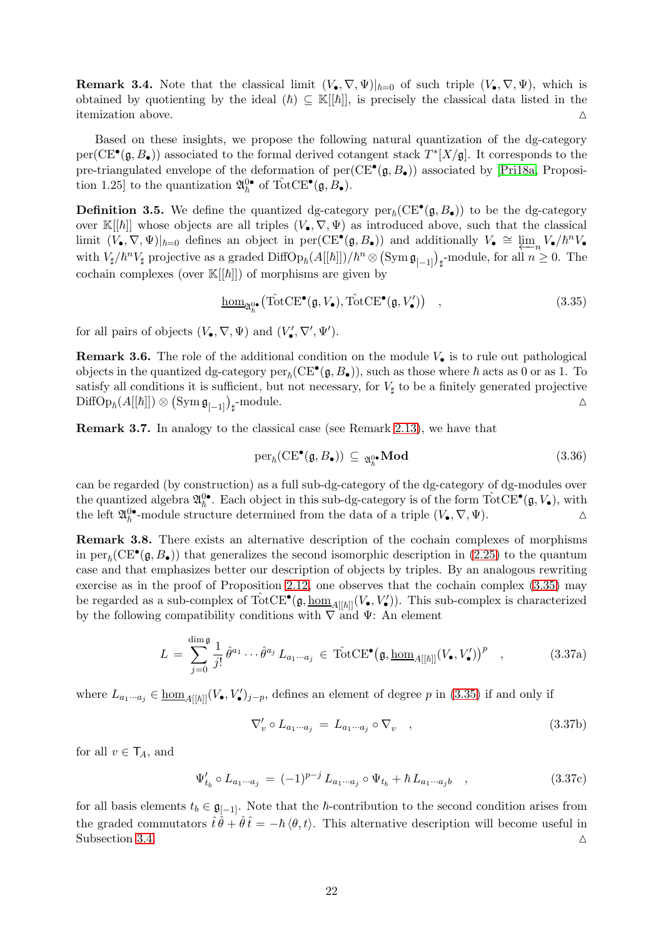**Remark 3.4.** Note that the classical limit  $(V_{\bullet}, \nabla, \Psi)|_{\hbar=0}$  of such triple  $(V_{\bullet}, \nabla, \Psi)$ , which is obtained by quotienting by the ideal  $(\hbar) \subseteq \mathbb{K}[[\hbar]]$ , is precisely the classical data listed in the itemization above.  $\triangle$ 

Based on these insights, we propose the following natural quantization of the dg-category  $per(CE^{\bullet}(\mathfrak{g}, B_{\bullet}))$  associated to the formal derived cotangent stack  $T^{*}[X/\mathfrak{g}]$ . It corresponds to the pre-triangulated envelope of the deformation of  $per(CE^{\bullet}(\mathfrak{g}, B_{\bullet}))$  associated by [\[Pri18a,](#page-36-3) Proposition 1.25] to the quantization  $\mathfrak{A}_{\hbar}^{0\bullet}$  of TotCE<sup> $\bullet$ </sup>(g,  $B_{\bullet}$ ).

**Definition 3.5.** We define the quantized dg-category  $per_{\hbar}(CE^{\bullet}(\mathfrak{g}, B_{\bullet}))$  to be the dg-category over K[[h]] whose objects are all triples  $(V_{\bullet}, \nabla, \Psi)$  as introduced above, such that the classical limit  $(\overline{V}_\bullet, \nabla, \Psi)|_{\hbar=0}$  defines an object in per $(CE^\bullet(\mathfrak{g}, B_\bullet))$  and additionally  $V_\bullet \cong \varprojlim_n V_\bullet/\hbar^n V_\bullet$ with  $V_{\sharp}/\hbar^n V_{\sharp}$  projective as a graded DiffOp<sub> $\hbar(A[[\hbar]])/\hbar^n \otimes (\text{Sym } \mathfrak{g}_{[-1]})_{\sharp}$ -module, for all  $n \geq 0$ . The</sub> cochain complexes (over  $\mathbb{K}[[\hbar]])$  of morphisms are given by

<span id="page-21-0"></span>
$$
\underline{\text{hom}}_{\mathfrak{A}_{\hbar}^{0\bullet}}(\hat{\text{TotCE}}^{\bullet}(\mathfrak{g}, V_{\bullet}), \hat{\text{TotCE}}^{\bullet}(\mathfrak{g}, V_{\bullet}')) \quad , \tag{3.35}
$$

for all pairs of objects  $(V_{\bullet}, \nabla, \Psi)$  and  $(V'_{\bullet}, \nabla', \Psi')$ .

**Remark 3.6.** The role of the additional condition on the module  $V_{\bullet}$  is to rule out pathological objects in the quantized dg-category  $per_{\hbar}(\text{CE}^{\bullet}(\mathfrak{g}, B_{\bullet}))$ , such as those where  $\hbar$  acts as 0 or as 1. To satisfy all conditions it is sufficient, but not necessary, for  $V_{\sharp}$  to be a finitely generated projective  $\mathrm{DiffOp}_{\hbar}(A[[\hbar]])\otimes (\mathrm{Sym}\,\mathfrak{g}_{[-1]})_{\sharp}$ -module. △

<span id="page-21-1"></span>Remark 3.7. In analogy to the classical case (see Remark [2.13\)](#page-7-5), we have that

$$
\text{per}_{\hbar}(\text{CE}^{\bullet}(\mathfrak{g}, B_{\bullet})) \subseteq \mathfrak{g}_{\hbar}^{0\bullet} \mathbf{Mod} \tag{3.36}
$$

can be regarded (by construction) as a full sub-dg-category of the dg-category of dg-modules over the quantized algebra  $\mathfrak{A}_\hbar^0$ . Each object in this sub-dg-category is of the form  $\text{TotCE}^{\bullet}(\mathfrak{g}, V_{\bullet}),$  with the left  $\mathfrak{A}_{\hbar}^{0\bullet}$ -module structure determined from the data of a triple  $(V_{\bullet}, \nabla, \Psi)$ .

<span id="page-21-2"></span>Remark 3.8. There exists an alternative description of the cochain complexes of morphisms in per<sub> $h$ </sub>(CE<sup>•</sup>( $g, B$ <sub>•</sub>)) that generalizes the second isomorphic description in [\(2.25\)](#page-7-0) to the quantum case and that emphasizes better our description of objects by triples. By an analogous rewriting exercise as in the proof of Proposition [2.12,](#page-7-2) one observes that the cochain complex [\(3.35\)](#page-21-0) may be regarded as a sub-complex of  $\hat{\text{TotCE}}^{\bullet}(\mathfrak{g}, \underline{\text{hom}}_{A[[\hbar]]}(V_{\bullet}, V_{\bullet}'))$ . This sub-complex is characterized by the following compatibility conditions with  $\nabla$  and  $\Psi$ : An element

$$
L = \sum_{j=0}^{\dim \mathfrak{g}} \frac{1}{j!} \hat{\theta}^{a_1} \cdots \hat{\theta}^{a_j} L_{a_1 \cdots a_j} \in \hat{\mathrm{TotCE}}^{\bullet}(\mathfrak{g}, \underline{\mathrm{hom}}_{A[[\hbar]]}(V_{\bullet}, V_{\bullet}'))^p \quad , \tag{3.37a}
$$

where  $L_{a_1\cdots a_j} \in \underline{\text{hom}}_{A[[\hbar]]}(V_\bullet, V'_\bullet)_{j-p}$ , defines an element of degree p in [\(3.35\)](#page-21-0) if and only if

$$
\nabla'_{v} \circ L_{a_{1}\cdots a_{j}} = L_{a_{1}\cdots a_{j}} \circ \nabla_{v} , \qquad (3.37b)
$$

for all  $v \in \mathsf{T}_A$ , and

$$
\Psi'_{t_b} \circ L_{a_1 \cdots a_j} = (-1)^{p-j} L_{a_1 \cdots a_j} \circ \Psi_{t_b} + \hbar L_{a_1 \cdots a_j b} \quad , \tag{3.37c}
$$

for all basis elements  $t_b \in \mathfrak{g}_{[-1]}$ . Note that the  $\hbar$ -contribution to the second condition arises from the graded commutators  $\hat{t}\hat{\theta} + \hat{\theta}\hat{t} = -\hbar \langle \theta, t \rangle$ . This alternative description will become useful in Subsection [3.4.](#page-22-0)  $\triangle$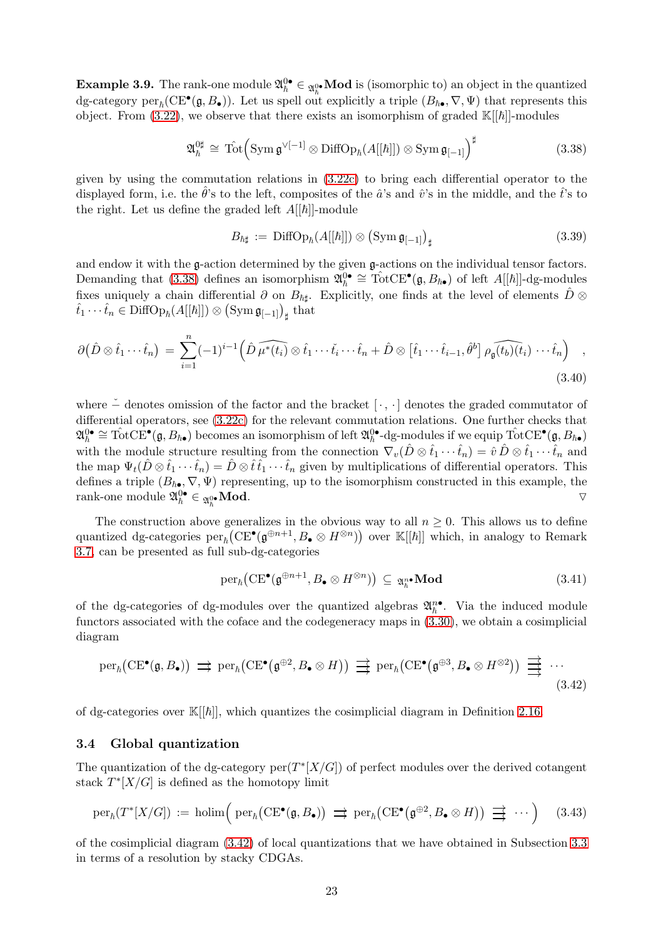<span id="page-22-4"></span>**Example 3.9.** The rank-one module  $\mathfrak{A}_{\hbar}^0 \in \mathfrak{A}_{\hbar}^0$ . Mod is (isomorphic to) an object in the quantized dg-category per<sub> $\hbar$ </sub>(CE<sup>•</sup>( $\mathfrak{g}, B_{\bullet}$ )). Let us spell out explicitly a triple  $(B_{\hbar \bullet}, \nabla, \Psi)$  that represents this object. From  $(3.22)$ , we observe that there exists an isomorphism of graded  $\mathbb{K}[[\hbar]]$ -modules

$$
\mathfrak{A}_{\hbar}^{0\sharp} \cong \hat{\mathrm{Tot}} \Big( \mathrm{Sym} \, \mathfrak{g}^{\vee[-1]} \otimes \mathrm{DiffOp}_{\hbar}(A[[\hbar]]) \otimes \mathrm{Sym} \, \mathfrak{g}_{[-1]}\Big)^{\sharp} \tag{3.38}
$$

given by using the commutation relations in [\(3.22c\)](#page-18-0) to bring each differential operator to the displayed form, i.e. the  $\hat{\theta}$ 's to the left, composites of the  $\hat{a}$ 's and  $\hat{v}$ 's in the middle, and the  $\hat{t}$ 's to the right. Let us define the graded left  $A[[\hbar]]$ -module

<span id="page-22-6"></span><span id="page-22-5"></span><span id="page-22-1"></span>
$$
B_{\hbar\sharp} := \mathrm{DiffOp}_{\hbar}(A[[\hbar]]) \otimes \left(\mathrm{Sym} \,\mathfrak{g}_{[-1]}\right)_{\sharp} \tag{3.39}
$$

and endow it with the g-action determined by the given g-actions on the individual tensor factors. Demanding that [\(3.38\)](#page-22-1) defines an isomorphism  $\mathfrak{A}_{\hbar}^{\mathbf{0}\bullet} \cong \hat{\mathrm{TotCE}}^{\bullet}(\mathfrak{g}, B_{\hbar\bullet})$  of left  $A[[\hbar]]$ -dg-modules fixes uniquely a chain differential  $\partial$  on  $B_{\hbar\sharp}$ . Explicitly, one finds at the level of elements  $\hat{D} \otimes$  $\hat{t}_1 \cdots \hat{t}_n \in \mathrm{DiffOp}_\hbar(A[[\hbar]]) \otimes \big(\mathrm{Sym} \, \mathfrak{g}_{[-1]}\big)_\sharp \text{ that }$ 

$$
\partial(\hat{D}\otimes \hat{t}_1\cdots \hat{t}_n) = \sum_{i=1}^n (-1)^{i-1} \left( \widehat{D}\,\widehat{\mu^*(t_i)} \otimes \hat{t}_1\cdots \hat{t}_i\cdots \hat{t}_n + \hat{D}\otimes [\hat{t}_1\cdots \hat{t}_{i-1},\hat{\theta}^b] \,\widehat{\rho_\mathfrak{g}(t_b)(t_i)}\cdots \hat{t}_n \right) ,
$$
\n(3.40)

where  $\sim$  denotes omission of the factor and the bracket  $[\cdot, \cdot]$  denotes the graded commutator of differential operators, see [\(3.22c\)](#page-18-0) for the relevant commutation relations. One further checks that  $\mathfrak{A}_{\hbar}^{0\bullet} \cong \mathring{\mathrm{Tot}}(\mathfrak{g}, B_{\hbar \bullet})$  becomes an isomorphism of left  $\mathfrak{A}_{\hbar}^{0\bullet}$ -dg-modules if we equip  $\mathring{\mathrm{Tot}}\mathrm{CE}^{\bullet}(\mathfrak{g}, B_{\hbar \bullet})$ with the module structure resulting from the connection  $\nabla_v(\hat{D}\otimes \hat{t}_1\cdots \hat{t}_n)=\hat{v}\,\hat{D}\otimes \hat{t}_1\cdots \hat{t}_n$  and the map  $\Psi_t(\tilde{D}\otimes \hat{t}_1\cdots \hat{t}_n)=\tilde{D}\otimes \hat{t}\hat{t}_1\cdots \hat{t}_n$  given by multiplications of differential operators. This defines a triple  $(B_{\hbar \bullet}, \nabla, \Psi)$  representing, up to the isomorphism constructed in this example, the rank-one module  $\mathfrak{A}^{0\bullet}_{\hbar}\in\mathfrak{A}^{0\bullet}_{\hbar}$  $_{\hbar}^{\circ}$  Mod.  $\qquad \qquad \nabla$ 

The construction above generalizes in the obvious way to all  $n \geq 0$ . This allows us to define quantized dg-categories  $\text{per}_\hbar(\text{CE}^{\bullet}(\mathfrak{g}^{\oplus n+1}, B_{\bullet} \otimes H^{\otimes n}))$  over  $\mathbb{K}[[\hbar]]$  which, in analogy to Remark [3.7,](#page-21-1) can be presented as full sub-dg-categories

<span id="page-22-3"></span><span id="page-22-2"></span>
$$
\operatorname{per}_{\hbar}(\mathbf{CE}^{\bullet}(\mathfrak{g}^{\oplus n+1}, B_{\bullet} \otimes H^{\otimes n})) \subseteq \mathfrak{g}_{\hbar}^{\bullet} \bullet \mathbf{Mod} \tag{3.41}
$$

of the dg-categories of dg-modules over the quantized algebras  $\mathfrak{A}_{\hbar}^{n\bullet}$ . Via the induced module functors associated with the coface and the codegeneracy maps in [\(3.30\)](#page-19-1), we obtain a cosimplicial diagram

$$
\operatorname{per}_{\hbar}(\mathbf{CE}^{\bullet}(\mathfrak{g},B_{\bullet})) \implies \operatorname{per}_{\hbar}(\mathbf{CE}^{\bullet}(\mathfrak{g}^{\oplus 2},B_{\bullet}\otimes H)) \implies \operatorname{per}_{\hbar}(\mathbf{CE}^{\bullet}(\mathfrak{g}^{\oplus 3},B_{\bullet}\otimes H^{\otimes 2})) \implies \cdots
$$
\n(3.42)

of dg-categories over  $\mathbb{K}[[\hbar]]$ , which quantizes the cosimplicial diagram in Definition [2.16.](#page-12-2)

#### <span id="page-22-0"></span>3.4 Global quantization

The quantization of the dg-category  $per(T^*[X/G])$  of perfect modules over the derived cotangent stack  $T^*[X/G]$  is defined as the homotopy limit

$$
\mathrm{per}_{\hbar}(T^*[X/G]) := \mathrm{holim}\Big(\mathrm{per}_{\hbar}(\mathrm{CE}^{\bullet}(\mathfrak{g}, B_{\bullet})) \implies \mathrm{per}_{\hbar}(\mathrm{CE}^{\bullet}(\mathfrak{g}^{\oplus 2}, B_{\bullet} \otimes H)) \implies \cdots\Big) \tag{3.43}
$$

of the cosimplicial diagram [\(3.42\)](#page-22-2) of local quantizations that we have obtained in Subsection [3.3](#page-17-0) in terms of a resolution by stacky CDGAs.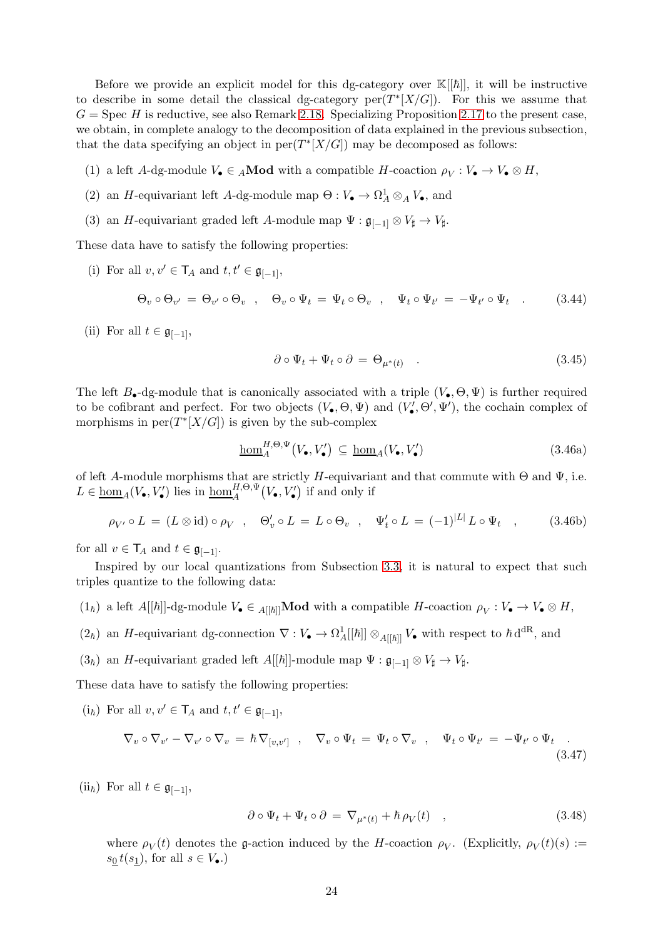Before we provide an explicit model for this dg-category over  $\mathbb{K}[[\hbar]]$ , it will be instructive to describe in some detail the classical dg-category  $per(T^*[X/G])$ . For this we assume that  $G =$  Spec H is reductive, see also Remark [2.18.](#page-13-1) Specializing Proposition [2.17](#page-12-3) to the present case, we obtain, in complete analogy to the decomposition of data explained in the previous subsection, that the data specifying an object in  $per(T^{*}[X/G])$  may be decomposed as follows:

- (1) a left A-dg-module  $V_{\bullet} \in {}_A \mathbf{Mod}$  with a compatible H-coaction  $\rho_V : V_{\bullet} \to V_{\bullet} \otimes H$ ,
- (2) an *H*-equivariant left *A*-dg-module map  $\Theta : V_{\bullet} \to \Omega^1_A \otimes_A V_{\bullet}$ , and
- (3) an H-equivariant graded left A-module map  $\Psi : \mathfrak{g}_{[-1]} \otimes V_{\sharp} \to V_{\sharp}$ .

These data have to satisfy the following properties:

(i) For all  $v, v' \in \mathsf{T}_A$  and  $t, t' \in \mathfrak{g}_{[-1]},$ 

$$
\Theta_v \circ \Theta_{v'} = \Theta_{v'} \circ \Theta_v \quad , \quad \Theta_v \circ \Psi_t = \Psi_t \circ \Theta_v \quad , \quad \Psi_t \circ \Psi_{t'} = -\Psi_{t'} \circ \Psi_t \quad . \tag{3.44}
$$

(ii) For all  $t \in \mathfrak{g}_{[-1]},$ 

$$
\partial \circ \Psi_t + \Psi_t \circ \partial = \Theta_{\mu^*(t)} \quad . \tag{3.45}
$$

The left  $B_{\bullet}$ -dg-module that is canonically associated with a triple  $(V_{\bullet}, \Theta, \Psi)$  is further required to be cofibrant and perfect. For two objects  $(V_\bullet, \Theta, \Psi)$  and  $(V'_\bullet, \Theta', \Psi')$ , the cochain complex of morphisms in  $per(T^*[X/G])$  is given by the sub-complex

$$
\underline{\hom}^{H,\Theta,\Psi}_A(V_\bullet,V_\bullet') \subseteq \underline{\hom}_A(V_\bullet,V_\bullet')
$$
\n(3.46a)

of left A-module morphisms that are strictly H-equivariant and that commute with  $\Theta$  and  $\Psi$ , i.e.  $L \in \underline{\text{hom}}_A(V_\bullet, V'_\bullet)$  lies in  $\underline{\text{hom}}_A^{H, \Theta, \Psi}(V_\bullet, V'_\bullet)$  if and only if

$$
\rho_{V'} \circ L = (L \otimes id) \circ \rho_V \quad , \quad \Theta'_v \circ L = L \circ \Theta_v \quad , \quad \Psi'_t \circ L = (-1)^{|L|} L \circ \Psi_t \quad , \tag{3.46b}
$$

for all  $v \in \mathsf{T}_A$  and  $t \in \mathfrak{g}_{[-1]}$ .

Inspired by our local quantizations from Subsection [3.3,](#page-17-0) it is natural to expect that such triples quantize to the following data:

- $(1_h)$  a left  $A[[\hbar]]$ -dg-module  $V_{\bullet} \in A[[\hbar]]$ **Mod** with a compatible H-coaction  $\rho_V : V_{\bullet} \to V_{\bullet} \otimes H$ ,
- $(2_{\hbar})$  an H-equivariant dg-connection  $\nabla: V_{\bullet} \to \Omega_A^1[[\hbar]] \otimes_{A[[\hbar]]} V_{\bullet}$  with respect to  $\hbar d^{dR}$ , and
- $(3_{\hbar})$  an H-equivariant graded left  $A[[\hbar]]$ -module map  $\Psi : \mathfrak{g}_{[-1]} \otimes V_{\sharp} \to V_{\sharp}$ .

These data have to satisfy the following properties:

(i<sub>h</sub>) For all  $v, v' \in \mathsf{T}_A$  and  $t, t' \in \mathfrak{g}_{[-1]},$ 

$$
\nabla_v \circ \nabla_{v'} - \nabla_{v'} \circ \nabla_v = \hbar \nabla_{[v, v']} \quad , \quad \nabla_v \circ \Psi_t = \Psi_t \circ \nabla_v \quad , \quad \Psi_t \circ \Psi_{t'} = -\Psi_{t'} \circ \Psi_t \quad .
$$
\n(3.47)

(ii<sub> $\hbar$ </sub>) For all  $t \in \mathfrak{g}_{[-1]},$ 

$$
\partial \circ \Psi_t + \Psi_t \circ \partial = \nabla_{\mu^*(t)} + \hbar \rho_V(t) \quad , \tag{3.48}
$$

where  $\rho_V(t)$  denotes the g-action induced by the H-coaction  $\rho_V$ . (Explicitly,  $\rho_V(t)(s) :=$  $s_0 t(s_1)$ , for all  $s \in V_{\bullet}$ .)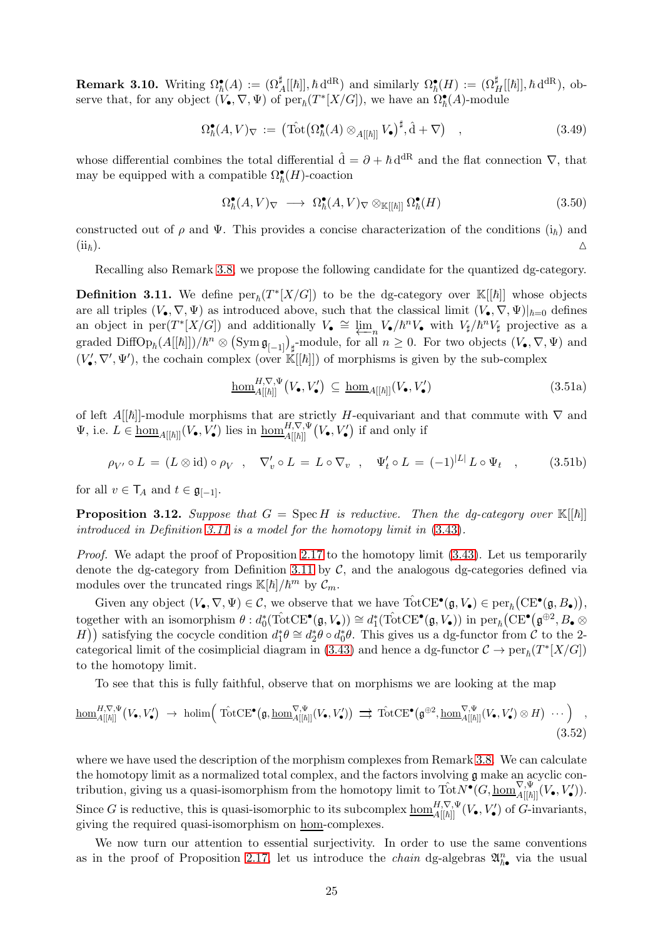**Remark 3.10.** Writing  $\Omega_h^{\bullet}(A) := (\Omega_A^{\sharp}[[\hbar]], \hbar d^{dR})$  and similarly  $\Omega_h^{\bullet}(H) := (\Omega_H^{\sharp}[[\hbar]], \hbar d^{dR}),$  observe that, for any object  $(V_\bullet, \nabla, \Psi)$  of  $\text{per}_\hbar(T^*[X/G])$ , we have an  $\Omega^\bullet_\hbar(A)$ -module

$$
\Omega_h^{\bullet}(A, V)_{\nabla} := (\text{Tot}(\Omega_h^{\bullet}(A) \otimes_{A[[h]]} V_{\bullet})^{\sharp}, \hat{\mathbf{d}} + \nabla) , \qquad (3.49)
$$

whose differential combines the total differential  $\hat{d} = \partial + \hbar d^{dR}$  and the flat connection  $\nabla$ , that may be equipped with a compatible  $\Omega_h^{\bullet}(H)$ -coaction

$$
\Omega_h^{\bullet}(A, V)_{\nabla} \longrightarrow \Omega_h^{\bullet}(A, V)_{\nabla} \otimes_{\mathbb{K}[[\hbar]]} \Omega_h^{\bullet}(H) \tag{3.50}
$$

constructed out of  $\rho$  and  $\Psi$ . This provides a concise characterization of the conditions (i<sub>h</sub>) and  $(i$ i $_{\hbar}).$ 

Recalling also Remark [3.8,](#page-21-2) we propose the following candidate for the quantized dg-category.

<span id="page-24-1"></span>**Definition 3.11.** We define  $\text{per}_{\hbar}(T^*[X/G])$  to be the dg-category over  $\mathbb{K}[[\hbar]]$  whose objects are all triples  $(V_\bullet, \nabla, \Psi)$  as introduced above, such that the classical limit  $(V_\bullet, \nabla, \Psi)|_{\hbar=0}$  defines an object in per $(T^*[X/G])$  and additionally  $V_{\bullet} \cong \varprojlim_n V_{\bullet}/\hbar^n V_{\bullet}$  with  $V_{\sharp}/\hbar^n V_{\sharp}$  projective as a graded  $\text{DiffOp}_{\hbar}(A[[\hbar]])/\hbar^n \otimes (\text{Sym } \mathfrak{g}_{[-1]})_{\sharp}$ -module, for all  $n \geq 0$ . For two objects  $(V_{\bullet}, \nabla, \Psi)$  and  $(V'_\bullet, \nabla', \Psi')$ , the cochain complex (over  $\mathbb{K}[[\hbar]])$  of morphisms is given by the sub-complex

$$
\underline{\hom}_{A[[\hbar]]}^{H,\nabla,\Psi}(V_\bullet,V_\bullet') \subseteq \underline{\hom}_{A[[\hbar]]}(V_\bullet,V_\bullet')
$$
\n(3.51a)

of left  $A[[\hbar]]$ -module morphisms that are strictly H-equivariant and that commute with  $\nabla$  and  $\Psi$ , i.e.  $L \in \underline{\text{hom}}_{A[[\hbar]]}(V_{\bullet}, V_{\bullet}')$  lies in  $\underline{\text{hom}}_{A[[\hbar]]}^{H,\nabla,\Psi}(V_{\bullet}, V_{\bullet}')$  if and only if

$$
\rho_{V'} \circ L = (L \otimes id) \circ \rho_V \quad , \quad \nabla'_v \circ L = L \circ \nabla_v \quad , \quad \Psi'_t \circ L = (-1)^{|L|} L \circ \Psi_t \quad , \tag{3.51b}
$$

for all  $v \in \mathsf{T}_A$  and  $t \in \mathfrak{g}_{[-1]}$ .

<span id="page-24-0"></span>**Proposition 3.12.** Suppose that  $G = \text{Spec } H$  is reductive. Then the dg-category over  $\mathbb{K}[[\hbar]]$ *introduced in Definition [3.11](#page-24-1) is a model for the homotopy limit in* [\(3.43\)](#page-22-3)*.*

*Proof.* We adapt the proof of Proposition [2.17](#page-12-3) to the homotopy limit [\(3.43\)](#page-22-3). Let us temporarily denote the dg-category from Definition [3.11](#page-24-1) by  $\mathcal{C}$ , and the analogous dg-categories defined via modules over the truncated rings  $\mathbb{K}[\hbar]/\hbar^m$  by  $\mathcal{C}_m$ .

Given any object  $(V_\bullet, \nabla, \Psi) \in \mathcal{C}$ , we observe that we have  $\hat{\text{TotCE}}^{\bullet}(\mathfrak{g}, V_\bullet) \in \text{per}_{\hbar}(\text{CE}^{\bullet}(\mathfrak{g}, B_\bullet)),$ together with an isomorphism  $\theta: d_0^*(\hat{\mathrm{Tot}} \times \mathbb{C} \mathbb{P}^{\bullet}(\mathfrak{g}, V_{\bullet})) \cong d_1^*(\hat{\mathrm{Tot}} \times \mathbb{C} \mathbb{P}^{\bullet}(\mathfrak{g}, V_{\bullet}))$  in  $\mathrm{per}_\hbar(\mathrm{CE}^{\bullet}(\mathfrak{g}^{\oplus 2}, B_{\bullet} \otimes V_{\bullet}))$ H) satisfying the cocycle condition  $d_1^*\theta \cong d_2^*\theta \circ d_0^*\theta$ . This gives us a dg-functor from  $\hat{\mathcal{C}}$  to the 2-categorical limit of the cosimplicial diagram in [\(3.43\)](#page-22-3) and hence a dg-functor  $\mathcal{C} \to \text{per}_{\hbar}(T^*[X/G])$ to the homotopy limit.

To see that this is fully faithful, observe that on morphisms we are looking at the map

$$
\underline{\text{hom}}_{A[[\hbar]]}^{H,\nabla,\Psi}(V_{\bullet},V_{\bullet}') \to \text{holim}\left(\text{TotCE}^{\bullet}(\mathfrak{g},\underline{\text{hom}}_{A[[\hbar]]}^{T,\Psi}(V_{\bullet},V_{\bullet}')) \implies \text{TotCE}^{\bullet}(\mathfrak{g}^{\oplus 2},\underline{\text{hom}}_{A[[\hbar]]}^{T,\Psi}(V_{\bullet},V_{\bullet}') \otimes H) \cdots \right) ,\tag{3.52}
$$

where we have used the description of the morphism complexes from Remark [3.8.](#page-21-2) We can calculate the homotopy limit as a normalized total complex, and the factors involving  $\mathfrak g$  make an acyclic contribution, giving us a quasi-isomorphism from the homotopy limit to  $\text{Tot}N^{\bullet}(G, \underline{\text{hom}}_{A[[\hbar]]}^{\nabla,\Psi}(V_{\bullet}, V_{\bullet}')).$ Since G is reductive, this is quasi-isomorphic to its subcomplex  $\underline{\text{hom}}_{A[[\hbar]]}^{H,\nabla,\Psi}(V_\bullet,V'_\bullet)$  of G-invariants, giving the required quasi-isomorphism on hom-complexes.

We now turn our attention to essential surjectivity. In order to use the same conventions as in the proof of Proposition [2.17,](#page-12-3) let us introduce the *chain* dg-algebras  $\mathfrak{A}_{\hbar\bullet}^n$  via the usual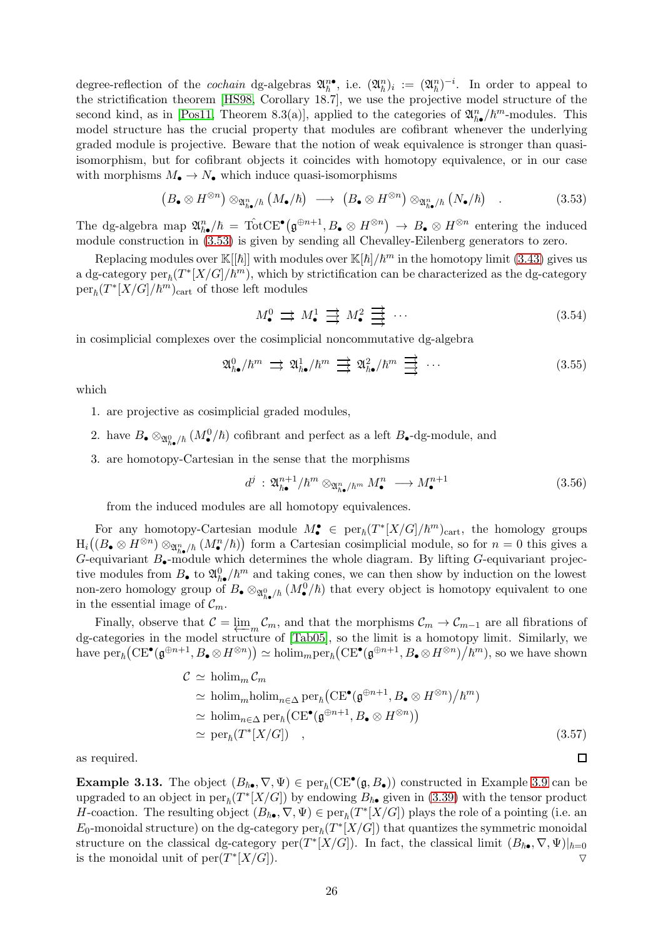degree-reflection of the *cochain* dg-algebras  $\mathfrak{A}_{\hbar}^{n\bullet}$ , i.e.  $(\mathfrak{A}_{\hbar}^n)_{i} := (\mathfrak{A}_{\hbar}^n)^{-i}$ . In order to appeal to the strictification theorem [\[HS98,](#page-35-10) Corollary 18.7], we use the projective model structure of the second kind, as in [\[Pos11,](#page-36-8) Theorem 8.3(a)], applied to the categories of  $\mathfrak{A}_{\hbar\bullet}^n/\hbar^m$ -modules. This model structure has the crucial property that modules are cofibrant whenever the underlying graded module is projective. Beware that the notion of weak equivalence is stronger than quasiisomorphism, but for cofibrant objects it coincides with homotopy equivalence, or in our case with morphisms  $M_{\bullet} \to N_{\bullet}$  which induce quasi-isomorphisms

$$
(B_{\bullet} \otimes H^{\otimes n}) \otimes_{\mathfrak{A}_{h\bullet}^n/\hbar} (M_{\bullet}/\hbar) \longrightarrow (B_{\bullet} \otimes H^{\otimes n}) \otimes_{\mathfrak{A}_{h\bullet}^n/\hbar} (N_{\bullet}/\hbar) . \tag{3.53}
$$

The dg-algebra map  $\mathfrak{A}_{\hbar\bullet}^n/\hbar = \hat{\mathrm{Tot}} \mathrm{CE}^{\bullet}(\mathfrak{g}^{\oplus n+1}, B_{\bullet} \otimes H^{\otimes n}) \to B_{\bullet} \otimes H^{\otimes n}$  entering the induced module construction in [\(3.53\)](#page-25-0) is given by sending all Chevalley-Eilenberg generators to zero.

Replacing modules over  $\mathbb{K}[[\hbar]]$  with modules over  $\mathbb{K}[\hbar]/\hbar^m$  in the homotopy limit [\(3.43\)](#page-22-3) gives us a dg-category  $per_h(T^*[X/G]/\hbar^m)$ , which by strictification can be characterized as the dg-category  $per_{\hbar}(T^{*}[X/G]/\hbar^{m})_{\text{cart}}$  of those left modules

<span id="page-25-0"></span>
$$
M_{\bullet}^{0} \implies M_{\bullet}^{1} \implies M_{\bullet}^{2} \implies \cdots \tag{3.54}
$$

in cosimplicial complexes over the cosimplicial noncommutative dg-algebra

$$
\mathfrak{A}_{\hbar\bullet}^{0}/\hbar^{m} \implies \mathfrak{A}_{\hbar\bullet}^{1}/\hbar^{m} \implies \mathfrak{A}_{\hbar\bullet}^{2}/\hbar^{m} \implies \cdots \tag{3.55}
$$

which

- 1. are projective as cosimplicial graded modules,
- 2. have  $B_{\bullet} \otimes_{\mathfrak{A}_{h}^0/h} (M_{\bullet}^0/h)$  cofibrant and perfect as a left  $B_{\bullet}$ -dg-module, and
- 3. are homotopy-Cartesian in the sense that the morphisms

$$
d^j : \mathfrak{A}_{\hbar\bullet}^{n+1}/\hbar^m \otimes_{\mathfrak{A}_{\hbar\bullet}^n}/\hbar^m M_{\bullet}^n \longrightarrow M_{\bullet}^{n+1}
$$
\n(3.56)

from the induced modules are all homotopy equivalences.

For any homotopy-Cartesian module  $M_{\bullet}^{\bullet} \in \text{per}_{\hbar}(T^*[X/G]/\hbar^m)_{\text{cart}},$  the homology groups  $H_i((B_{\bullet} \otimes H^{\otimes n}) \otimes_{\mathfrak{A}_{h\bullet}^n/h}(M_{\bullet}^n/h))$  form a Cartesian cosimplicial module, so for  $n=0$  this gives a G-equivariant  $B_{\bullet}$ -module which determines the whole diagram. By lifting G-equivariant projective modules from  $B_{\bullet}$  to  $\mathfrak{A}_{\hbar\bullet}^{0}/\hbar^m$  and taking cones, we can then show by induction on the lowest non-zero homology group of  $B_{\bullet} \otimes_{\mathfrak{A}_{h}^0/h} (M_{\bullet}^0/h)$  that every object is homotopy equivalent to one in the essential image of  $\mathcal{C}_m$ .

Finally, observe that  $\mathcal{C} = \varprojlim_m \mathcal{C}_m$ , and that the morphisms  $\mathcal{C}_m \to \mathcal{C}_{m-1}$  are all fibrations of dg-categories in the model structure of [\[Tab05\]](#page-36-9), so the limit is a homotopy limit. Similarly, we have  $\text{per}_\hbar(\text{CE}^{\bullet}(\mathfrak{g}^{\oplus n+1}, B_{\bullet} \otimes H^{\otimes n})) \simeq \text{holim}_{m} \text{per}_{\hbar}(\text{CE}^{\bullet}(\mathfrak{g}^{\oplus n+1}, B_{\bullet} \otimes H^{\otimes n})/\hbar^m)$ , so we have shown

$$
\mathcal{C} \simeq \text{holim}_{m} \mathcal{C}_{m}
$$
\n
$$
\simeq \text{holim}_{m} \text{holim}_{n \in \Delta} \text{per}_{\hbar} (\text{CE}^{\bullet}(\mathfrak{g}^{\oplus n+1}, B_{\bullet} \otimes H^{\otimes n}) / \hbar^{m})
$$
\n
$$
\simeq \text{holim}_{n \in \Delta} \text{per}_{\hbar} (\text{CE}^{\bullet}(\mathfrak{g}^{\oplus n+1}, B_{\bullet} \otimes H^{\otimes n}))
$$
\n
$$
\simeq \text{per}_{\hbar} (T^{*}[X/G]) , \qquad (3.57)
$$

□

as required.

<span id="page-25-1"></span>**Example 3.13.** The object  $(B_{\hbar\bullet}, \nabla, \Psi) \in \text{per}_{\hbar}(\mathbb{CE}^{\bullet}(\mathfrak{g}, B_{\bullet}))$  constructed in Example [3.9](#page-22-4) can be upgraded to an object in  $per_{\hbar}(T^*[X/G])$  by endowing  $B_{\hbar\bullet}$  given in [\(3.39\)](#page-22-5) with the tensor product *H*-coaction. The resulting object  $(B_{\hbar \bullet}, \nabla, \Psi) \in \text{per}_{\hbar}(T^*[X/G])$  plays the role of a pointing (i.e. an  $E_0$ -monoidal structure) on the dg-category  $per_{\hbar}(T^*[X/G])$  that quantizes the symmetric monoidal structure on the classical dg-category per $(T^*[X/G])$ . In fact, the classical limit  $(B_{\hbar \bullet}, \nabla, \Psi)|_{\hbar=0}$ is the monoidal unit of per $(T^*[X/G])$ .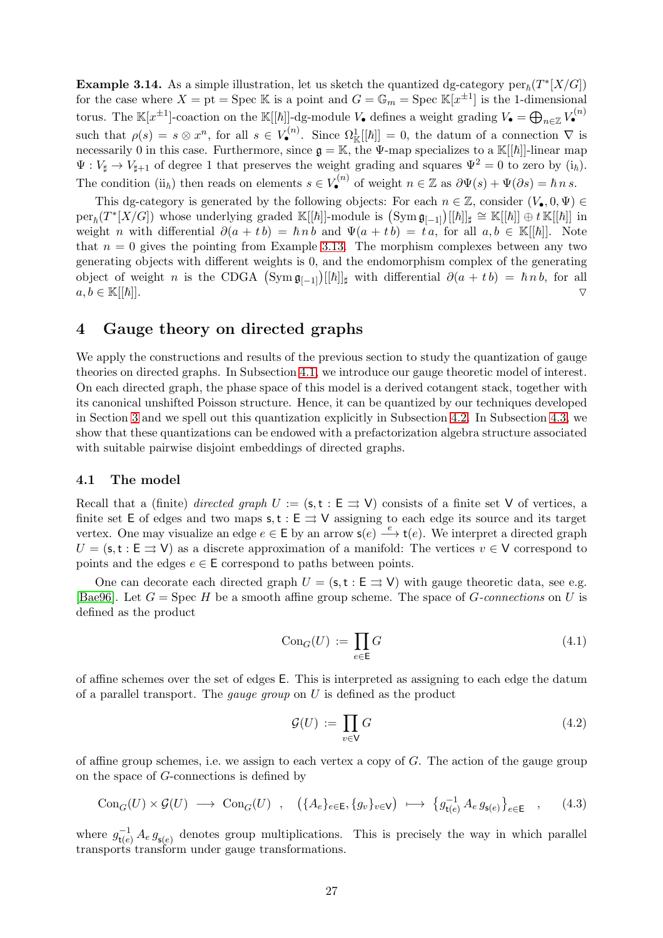**Example 3.14.** As a simple illustration, let us sketch the quantized dg-category  $\text{per}_{\hbar}(T^*[X/G])$ for the case where  $X = pt = \text{Spec } \mathbb{K}$  is a point and  $G = \mathbb{G}_m = \text{Spec } \mathbb{K}[x^{\pm 1}]$  is the 1-dimensional torus. The  $\mathbb{K}[x^{\pm 1}]$ -coaction on the  $\mathbb{K}[[\hbar]]$ -dg-module  $V_{\bullet}$  defines a weight grading  $V_{\bullet} = \bigoplus_{n \in \mathbb{Z}} V_{\bullet}^{(n)}$ such that  $\rho(s) = s \otimes x^n$ , for all  $s \in V_{\bullet}^{(n)}$ . Since  $\Omega^1_{\mathbb{K}}[[\hbar]] = 0$ , the datum of a connection  $\nabla$  is necessarily 0 in this case. Furthermore, since  $\mathfrak{g} = \mathbb{K}$ , the  $\Psi$ -map specializes to a  $\mathbb{K}[[\hbar]]$ -linear map  $\Psi: V_{\sharp} \to V_{\sharp+1}$  of degree 1 that preserves the weight grading and squares  $\Psi^2 = 0$  to zero by  $(i_{\hbar}).$ The condition  $(ii_{\hbar})$  then reads on elements  $s \in V_{\bullet}^{(n)}$  of weight  $n \in \mathbb{Z}$  as  $\partial \Psi(s) + \Psi(\partial s) = \hbar n s$ .

This dg-category is generated by the following objects: For each  $n \in \mathbb{Z}$ , consider  $(V_{\bullet}, 0, \Psi) \in$  $per_{\hbar}(T^*[X/G])$  whose underlying graded  $\mathbb{K}[[\hbar]]$ -module is  $(Sym \mathfrak{g}_{[-1]})[[\hbar]]_{\sharp} \cong \mathbb{K}[[\hbar]] \oplus t \mathbb{K}[[\hbar]]$  in weight *n* with differential  $\partial(a + t b) = \hbar n b$  and  $\Psi(a + t b) = t a$ , for all  $a, b \in \mathbb{K}[[\hbar]]$ . Note that  $n = 0$  gives the pointing from Example [3.13.](#page-25-1) The morphism complexes between any two generating objects with different weights is 0, and the endomorphism complex of the generating object of weight n is the CDGA  $(\text{Sym } \mathfrak{g}_{[-1]})[[\hbar]]_{\sharp}$  with differential  $\partial(a + t b) = \hbar n b$ , for all  $a, b \in \mathbb{K}[[\hbar]].$ 

# <span id="page-26-0"></span>4 Gauge theory on directed graphs

We apply the constructions and results of the previous section to study the quantization of gauge theories on directed graphs. In Subsection [4.1,](#page-26-1) we introduce our gauge theoretic model of interest. On each directed graph, the phase space of this model is a derived cotangent stack, together with its canonical unshifted Poisson structure. Hence, it can be quantized by our techniques developed in Section [3](#page-14-0) and we spell out this quantization explicitly in Subsection [4.2.](#page-30-0) In Subsection [4.3,](#page-33-0) we show that these quantizations can be endowed with a prefactorization algebra structure associated with suitable pairwise disjoint embeddings of directed graphs.

#### <span id="page-26-1"></span>4.1 The model

Recall that a (finite) *directed graph*  $U := (\mathsf{s}, \mathsf{t} : \mathsf{E} \implies \mathsf{V})$  consists of a finite set V of vertices, a finite set E of edges and two maps  $s, t : E \rightrightarrows V$  assigning to each edge its source and its target vertex. One may visualize an edge  $e \in \mathsf{E}$  by an arrow  $\mathsf{s}(e) \stackrel{e}{\longrightarrow} \mathsf{t}(e)$ . We interpret a directed graph  $U = (\mathsf{s}, \mathsf{t} : \mathsf{E} \rightrightarrows \mathsf{V})$  as a discrete approximation of a manifold: The vertices  $v \in \mathsf{V}$  correspond to points and the edges  $e \in \mathsf{E}$  correspond to paths between points.

One can decorate each directed graph  $U = (\mathsf{s}, \mathsf{t} : \mathsf{E} \implies \mathsf{V})$  with gauge theoretic data, see e.g. [\[Bae96\]](#page-35-13). Let  $G =$  Spec H be a smooth affine group scheme. The space of  $G$ -connections on U is defined as the product

$$
Con_G(U) := \prod_{e \in E} G \tag{4.1}
$$

of affine schemes over the set of edges E. This is interpreted as assigning to each edge the datum of a parallel transport. The *gauge group* on U is defined as the product

<span id="page-26-3"></span><span id="page-26-2"></span>
$$
\mathcal{G}(U) := \prod_{v \in V} G \tag{4.2}
$$

of affine group schemes, i.e. we assign to each vertex a copy of  $G$ . The action of the gauge group on the space of G-connections is defined by

$$
\text{Con}_G(U) \times \mathcal{G}(U) \longrightarrow \text{Con}_G(U) , \quad (\{A_e\}_{e \in \mathsf{E}}, \{g_v\}_{v \in \mathsf{V}}) \longmapsto \{g_{\mathsf{t}(e)}^{-1} A_e g_{\mathsf{s}(e)}\}_{e \in \mathsf{E}} , \quad (4.3)
$$

where  $g_{\mathsf{t}(e)}^{-1} A_e g_{\mathsf{s}(e)}$  denotes group multiplications. This is precisely the way in which parallel transports transform under gauge transformations.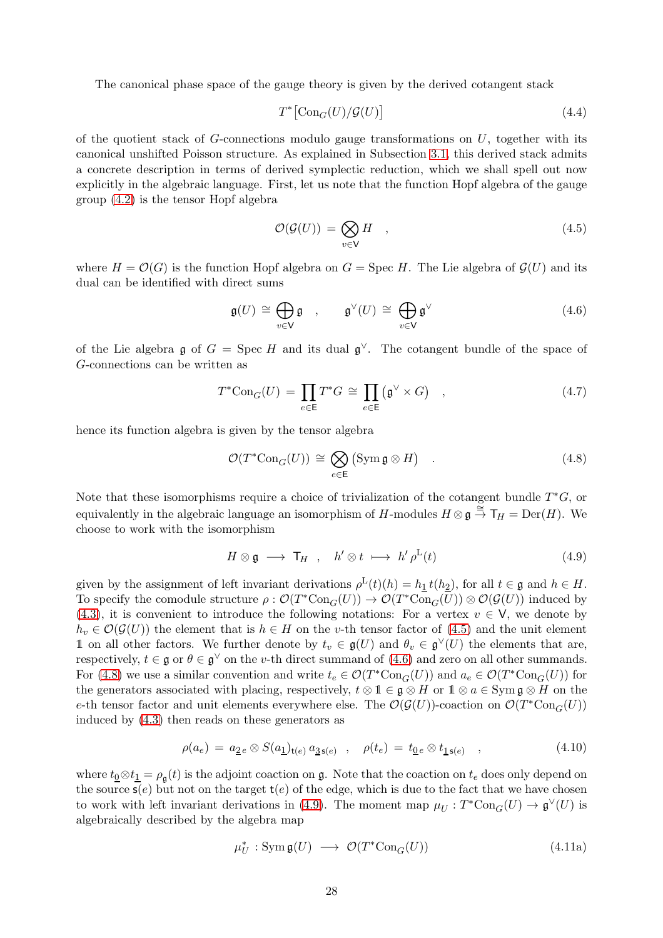The canonical phase space of the gauge theory is given by the derived cotangent stack

$$
T^*\big[\text{Con}_G(U)/\mathcal{G}(U)\big] \tag{4.4}
$$

of the quotient stack of  $G$ -connections modulo gauge transformations on  $U$ , together with its canonical unshifted Poisson structure. As explained in Subsection [3.1,](#page-14-1) this derived stack admits a concrete description in terms of derived symplectic reduction, which we shall spell out now explicitly in the algebraic language. First, let us note that the function Hopf algebra of the gauge group [\(4.2\)](#page-26-2) is the tensor Hopf algebra

<span id="page-27-1"></span><span id="page-27-0"></span>
$$
\mathcal{O}(\mathcal{G}(U)) = \bigotimes_{v \in V} H \quad , \tag{4.5}
$$

where  $H = \mathcal{O}(G)$  is the function Hopf algebra on  $G = \text{Spec } H$ . The Lie algebra of  $\mathcal{G}(U)$  and its dual can be identified with direct sums

$$
\mathfrak{g}(U) \cong \bigoplus_{v \in V} \mathfrak{g} \quad , \qquad \mathfrak{g}^{\vee}(U) \cong \bigoplus_{v \in V} \mathfrak{g}^{\vee} \tag{4.6}
$$

of the Lie algebra g of  $G = \text{Spec } H$  and its dual  $\mathfrak{g}^{\vee}$ . The cotangent bundle of the space of G-connections can be written as

$$
T^* \text{Con}_G(U) = \prod_{e \in E} T^* G \cong \prod_{e \in E} (\mathfrak{g}^\vee \times G) \quad , \tag{4.7}
$$

hence its function algebra is given by the tensor algebra

<span id="page-27-2"></span>
$$
\mathcal{O}(T^*\text{Con}_G(U)) \cong \bigotimes_{e \in \mathsf{E}} (\text{Sym } \mathfrak{g} \otimes H) \quad . \tag{4.8}
$$

Note that these isomorphisms require a choice of trivialization of the cotangent bundle  $T^*G$ , or equivalently in the algebraic language an isomorphism of H-modules  $H \otimes \mathfrak{g} \stackrel{\cong}{\to} \mathsf{T}_H = \mathrm{Der}(H)$ . We choose to work with the isomorphism

<span id="page-27-3"></span>
$$
H \otimes \mathfrak{g} \longrightarrow \mathsf{T}_H , \quad h' \otimes t \longrightarrow h' \rho^{\mathsf{L}}(t) \tag{4.9}
$$

given by the assignment of left invariant derivations  $\rho^L(t)(h) = h_1 t(h_2)$ , for all  $t \in \mathfrak{g}$  and  $h \in H$ . To specify the comodule structure  $\rho: \mathcal{O}(T^*\text{Con}_G(U)) \to \mathcal{O}(T^*\text{Con}_G(U)) \otimes \mathcal{O}(\mathcal{G}(U))$  induced by [\(4.3\)](#page-26-3), it is convenient to introduce the following notations: For a vertex  $v \in V$ , we denote by  $h_v \in \mathcal{O}(\mathcal{G}(U))$  the element that is  $h \in H$  on the v-th tensor factor of [\(4.5\)](#page-27-0) and the unit element 1 on all other factors. We further denote by  $t_v \in \mathfrak{g}(U)$  and  $\theta_v \in \mathfrak{g}^{\vee}(U)$  the elements that are, respectively,  $t \in \mathfrak{g}$  or  $\theta \in \mathfrak{g}^{\vee}$  on the *v*-th direct summand of [\(4.6\)](#page-27-1) and zero on all other summands. For [\(4.8\)](#page-27-2) we use a similar convention and write  $t_e \in \mathcal{O}(T^*\text{Con}_G(U))$  and  $a_e \in \mathcal{O}(T^*\text{Con}_G(U))$  for the generators associated with placing, respectively,  $t \otimes 1 \in \mathfrak{g} \otimes H$  or  $1 \otimes a \in \text{Sym } \mathfrak{g} \otimes H$  on the e-th tensor factor and unit elements everywhere else. The  $\mathcal{O}(\mathcal{G}(U))$ -coaction on  $\mathcal{O}(T^*\mathrm{Con}_G(U))$ induced by [\(4.3\)](#page-26-3) then reads on these generators as

$$
\rho(a_e) = a_{\underline{2}e} \otimes S(a_{\underline{1}})_{\underline{t}(e)} a_{\underline{3}\underline{s}(e)} , \quad \rho(t_e) = t_{\underline{0}e} \otimes t_{\underline{1}\underline{s}(e)} , \qquad (4.10)
$$

where  $t_0 \otimes t_1 = \rho_{\mathfrak{g}}(t)$  is the adjoint coaction on  $\mathfrak{g}$ . Note that the coaction on  $t_e$  does only depend on the source  $s(e)$  but not on the target  $t(e)$  of the edge, which is due to the fact that we have chosen to work with left invariant derivations in [\(4.9\)](#page-27-3). The moment map  $\mu_U : T^*Con_G(U) \to \mathfrak{g}^{\vee}(U)$  is algebraically described by the algebra map

<span id="page-27-5"></span><span id="page-27-4"></span>
$$
\mu_U^* : \operatorname{Sym} \mathfrak{g}(U) \longrightarrow \mathcal{O}(T^* \operatorname{Con}_G(U)) \tag{4.11a}
$$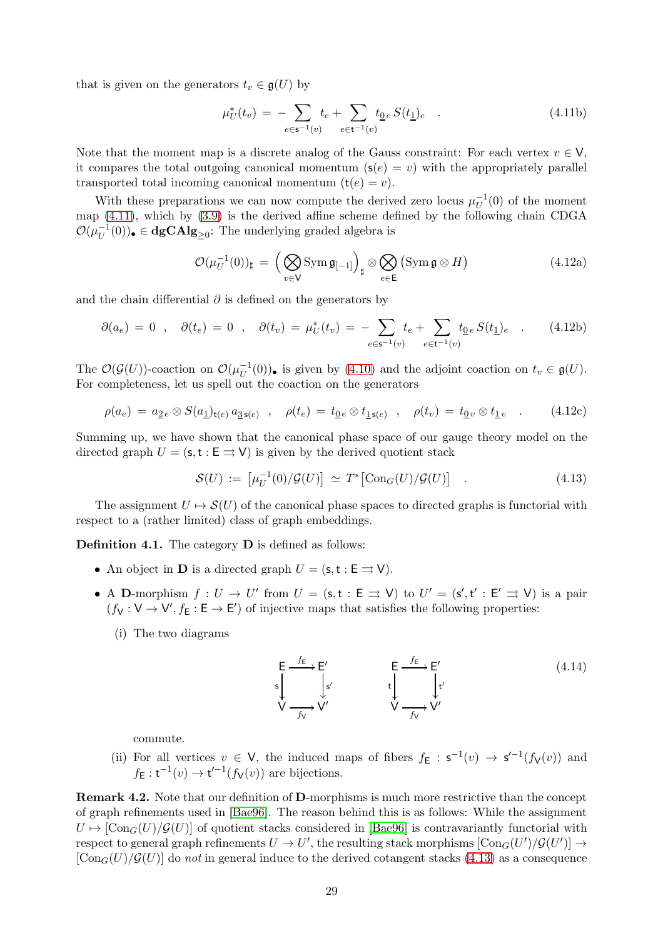that is given on the generators  $t_v \in \mathfrak{g}(U)$  by

$$
\mu_U^*(t_v) = -\sum_{e \in \mathbf{s}^{-1}(v)} t_e + \sum_{e \in \mathbf{t}^{-1}(v)} t_{\underline{0}e} S(t_{\underline{1}})_e \quad . \tag{4.11b}
$$

Note that the moment map is a discrete analog of the Gauss constraint: For each vertex  $v \in V$ , it compares the total outgoing canonical momentum  $(s(e) = v)$  with the appropriately parallel transported total incoming canonical momentum  $(t(e) = v)$ .

With these preparations we can now compute the derived zero locus  $\mu_U^{-1}$  $\overline{U}^1(0)$  of the moment map [\(4.11\)](#page-27-4), which by [\(3.9\)](#page-15-1) is the derived affine scheme defined by the following chain CDGA  $\mathcal{O}(\mu_U^{-1}$  $U^{-1}(0)$ ,  $\in$  **dgCAlg**<sub> $\geq$ 0</sub>: The underlying graded algebra is

<span id="page-28-3"></span><span id="page-28-2"></span>
$$
\mathcal{O}(\mu_U^{-1}(0))_{\sharp} = \left(\bigotimes_{v \in V} \text{Sym} \,\mathfrak{g}_{[-1]}\right)_{\sharp} \otimes \bigotimes_{e \in \mathsf{E}} (\text{Sym} \,\mathfrak{g} \otimes H) \tag{4.12a}
$$

and the chain differential  $\partial$  is defined on the generators by

$$
\partial(a_e) = 0 \quad , \quad \partial(t_e) = 0 \quad , \quad \partial(t_v) = \mu_U^*(t_v) = -\sum_{e \in \mathbf{s}^{-1}(v)} t_e + \sum_{e \in \mathbf{t}^{-1}(v)} t_{\underline{0},e} S(t_{\underline{1}})_e \quad . \tag{4.12b}
$$

The  $\mathcal{O}(\mathcal{G}(U))$ -coaction on  $\mathcal{O}(\mu_{U}^{-1})$  $U^{-1}(0)$  is given by [\(4.10\)](#page-27-5) and the adjoint coaction on  $t_v \in \mathfrak{g}(U)$ . For completeness, let us spell out the coaction on the generators

$$
\rho(a_e) = a_{\underline{2}e} \otimes S(a_{\underline{1}})_{\underline{t}(e)} a_{\underline{3}\underline{s}(e)} , \quad \rho(t_e) = t_{\underline{0}e} \otimes t_{\underline{1}\underline{s}(e)} , \quad \rho(t_v) = t_{\underline{0}v} \otimes t_{\underline{1}v} .
$$
 (4.12c)

Summing up, we have shown that the canonical phase space of our gauge theory model on the directed graph  $U = (s, t : E \rightrightarrows V)$  is given by the derived quotient stack

<span id="page-28-4"></span>
$$
\mathcal{S}(U) := \left[ \mu_U^{-1}(0) / \mathcal{G}(U) \right] \simeq T^* \left[ \text{Con}_G(U) / \mathcal{G}(U) \right] \quad . \tag{4.13}
$$

The assignment  $U \mapsto \mathcal{S}(U)$  of the canonical phase spaces to directed graphs is functorial with respect to a (rather limited) class of graph embeddings.

<span id="page-28-1"></span>Definition 4.1. The category D is defined as follows:

- An object in **D** is a directed graph  $U = (\mathsf{s}, \mathsf{t} : \mathsf{E} \rightrightarrows \mathsf{V}).$
- A D-morphism  $f: U \to U'$  from  $U = (\mathsf{s}, \mathsf{t} : \mathsf{E} \rightrightarrows \mathsf{V})$  to  $U' = (\mathsf{s}', \mathsf{t}' : \mathsf{E}' \rightrightarrows \mathsf{V})$  is a pair  $(f_V: V \to V', f_E: E \to E')$  of injective maps that satisfies the following properties:
	- (i) The two diagrams

<span id="page-28-0"></span>
$$
\begin{array}{ccc}\nE & \xrightarrow{f_{E}} & E' & E' \\
\downarrow^{s'} & & \downarrow^{t'} & \downarrow^{t'} \\
\vee & \xrightarrow{f_{V}} & \vee' & \vee & \xrightarrow{f_{V}} & \vee'\n\end{array}
$$
\n(4.14)

commute.

(ii) For all vertices  $v \in V$ , the induced maps of fibers  $f_{\mathsf{E}} : s^{-1}(v) \to s'^{-1}(f_{\mathsf{V}}(v))$  and  $f_{\mathsf{E}}: \mathsf{t}^{-1}(v) \to \mathsf{t}'^{-1}(f_{\mathsf{V}}(v))$  are bijections.

Remark 4.2. Note that our definition of D-morphisms is much more restrictive than the concept of graph refinements used in [\[Bae96\]](#page-35-13). The reason behind this is as follows: While the assignment  $U \mapsto [Con_G(U)/\mathcal{G}(U)]$  of quotient stacks considered in [\[Bae96\]](#page-35-13) is contravariantly functorial with respect to general graph refinements  $U \to U'$ , the resulting stack morphisms  $[\text{Con}_G(U')/\mathcal{G}(U')] \to$  $[Con_G(U)/G(U)]$  do *not* in general induce to the derived cotangent stacks [\(4.13\)](#page-28-0) as a consequence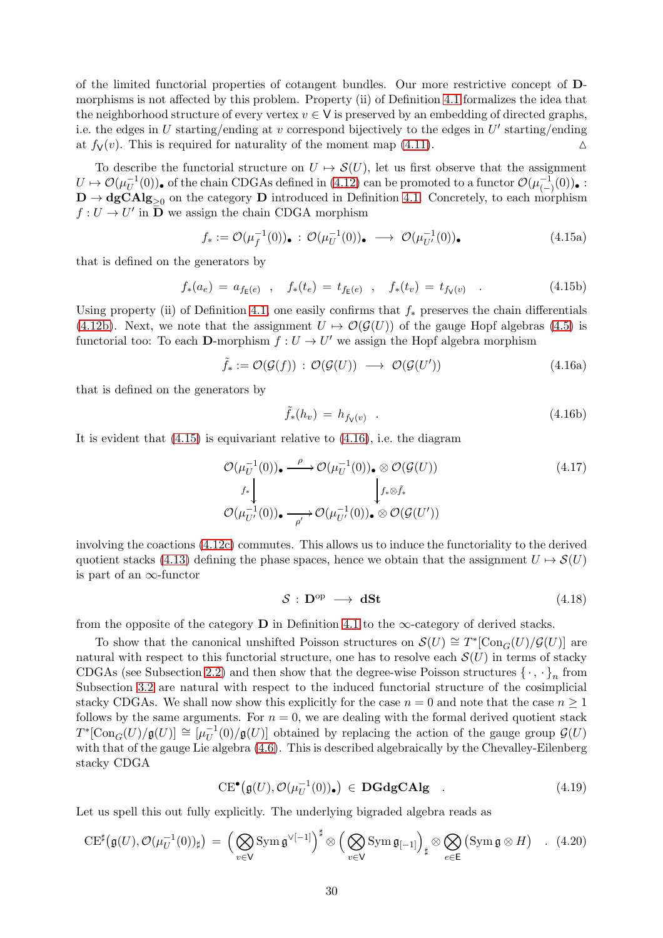of the limited functorial properties of cotangent bundles. Our more restrictive concept of Dmorphisms is not affected by this problem. Property (ii) of Definition [4.1](#page-28-1) formalizes the idea that the neighborhood structure of every vertex  $v \in V$  is preserved by an embedding of directed graphs, i.e. the edges in U starting/ending at v correspond bijectively to the edges in  $U'$  starting/ending at  $f_V(v)$ . This is required for naturality of the moment map [\(4.11\)](#page-27-4).

To describe the functorial structure on  $U \rightarrow S(U)$ , let us first observe that the assignment  $U\mapsto \mathcal{O}(\mu_U^{-1}$  $U_U^{-1}(0)$ )• of the chain CDGAs defined in [\(4.12\)](#page-28-2) can be promoted to a functor  $\mathcal{O}(\mu_{(-)}^{-1})$  $\frac{-1}{(-)}(0))$ •:  $\mathbf{D} \to \mathbf{dgCAlg}_{\geq 0}$  on the category **D** introduced in Definition [4.1.](#page-28-1) Concretely, to each morphism  $f: U \to U'$  in  $\bar{D}$  we assign the chain CDGA morphism

<span id="page-29-0"></span>
$$
f_* := \mathcal{O}(\mu_f^{-1}(0)) \bullet : \mathcal{O}(\mu_U^{-1}(0)) \bullet \longrightarrow \mathcal{O}(\mu_{U'}^{-1}(0)) \bullet
$$
 (4.15a)

that is defined on the generators by

$$
f_*(a_e) = a_{f_{\mathsf{E}}(e)} , \quad f_*(t_e) = t_{f_{\mathsf{E}}(e)} , \quad f_*(t_v) = t_{f_{\mathsf{V}}(v)} . \tag{4.15b}
$$

Using property (ii) of Definition [4.1,](#page-28-1) one easily confirms that  $f_*$  preserves the chain differentials [\(4.12b\)](#page-28-3). Next, we note that the assignment  $U \rightarrow \mathcal{O}(\mathcal{G}(U))$  of the gauge Hopf algebras [\(4.5\)](#page-27-0) is functorial too: To each **D**-morphism  $f: U \to U'$  we assign the Hopf algebra morphism

$$
\tilde{f}_* := \mathcal{O}(\mathcal{G}(f)) : \mathcal{O}(\mathcal{G}(U)) \longrightarrow \mathcal{O}(\mathcal{G}(U')) \tag{4.16a}
$$

that is defined on the generators by

<span id="page-29-1"></span>
$$
\tilde{f}_*(h_v) = h_{f_v(v)} \quad . \tag{4.16b}
$$

It is evident that [\(4.15\)](#page-29-0) is equivariant relative to [\(4.16\)](#page-29-1), i.e. the diagram

$$
\mathcal{O}(\mu_U^{-1}(0)) \bullet \xrightarrow{\rho} \mathcal{O}(\mu_U^{-1}(0)) \bullet \otimes \mathcal{O}(\mathcal{G}(U))
$$
\n
$$
f_* \downarrow \qquad \qquad f_* \otimes \tilde{f}_*
$$
\n
$$
\mathcal{O}(\mu_U^{-1}(0)) \bullet \xrightarrow{\rho'} \mathcal{O}(\mu_U^{-1}(0)) \bullet \otimes \mathcal{O}(\mathcal{G}(U'))
$$
\n
$$
(4.17)
$$

involving the coactions [\(4.12c\)](#page-28-4) commutes. This allows us to induce the functoriality to the derived quotient stacks [\(4.13\)](#page-28-0) defining the phase spaces, hence we obtain that the assignment  $U \mapsto \mathcal{S}(U)$ is part of an  $\infty$ -functor

<span id="page-29-2"></span>
$$
S: \mathbf{D}^{\mathrm{op}} \longrightarrow \mathbf{dSt} \tag{4.18}
$$

from the opposite of the category  $\bf{D}$  in Definition [4.1](#page-28-1) to the  $\infty$ -category of derived stacks.

To show that the canonical unshifted Poisson structures on  $\mathcal{S}(U) \cong T^*[\text{Con}_G(U)/\mathcal{G}(U)]$  are natural with respect to this functorial structure, one has to resolve each  $\mathcal{S}(U)$  in terms of stacky CDGAs (see Subsection [2.2\)](#page-8-0) and then show that the degree-wise Poisson structures  $\{\cdot,\cdot\}_n$  from Subsection [3.2](#page-16-0) are natural with respect to the induced functorial structure of the cosimplicial stacky CDGAs. We shall now show this explicitly for the case  $n = 0$  and note that the case  $n \geq 1$ follows by the same arguments. For  $n = 0$ , we are dealing with the formal derived quotient stack  $T^*[\text{Con}_G(U)/\mathfrak{g}(U)] \cong [\mu_U^{-1}]$  $U_U^{-1}(0)/\mathfrak{g}(U)$  obtained by replacing the action of the gauge group  $\mathcal{G}(U)$ with that of the gauge Lie algebra [\(4.6\)](#page-27-1). This is described algebraically by the Chevalley-Eilenberg stacky CDGA

$$
\mathbf{CE}^{\bullet}(\mathfrak{g}(U), \mathcal{O}(\mu_{U}^{-1}(0))_{\bullet}) \in \mathbf{DGdgCAlg} \quad . \tag{4.19}
$$

Let us spell this out fully explicitly. The underlying bigraded algebra reads as

$$
\mathrm{CE}^{\sharp}(\mathfrak{g}(U),\mathcal{O}(\mu_{U}^{-1}(0))_{\sharp}) = \left(\bigotimes_{v\in\mathsf{V}}\mathrm{Sym}\,\mathfrak{g}^{\vee[-1]}\right)^{\sharp}\otimes\left(\bigotimes_{v\in\mathsf{V}}\mathrm{Sym}\,\mathfrak{g}_{[-1]}\right)_{\sharp}\otimes\bigotimes_{e\in\mathsf{E}}\left(\mathrm{Sym}\,\mathfrak{g}\otimes H\right) \quad . \tag{4.20}
$$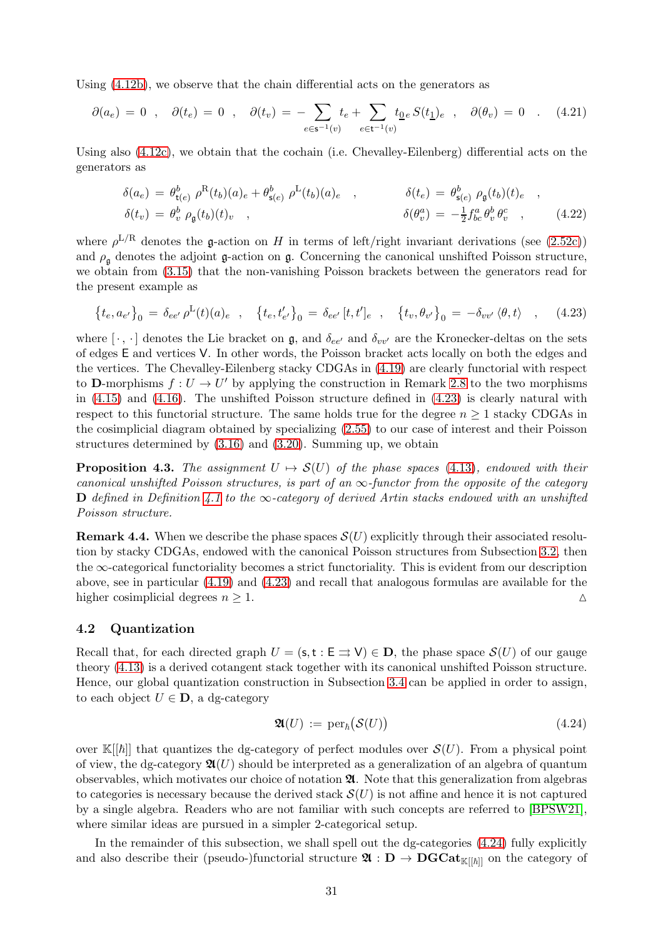Using [\(4.12b\)](#page-28-3), we observe that the chain differential acts on the generators as

$$
\partial(a_e) = 0 \quad , \quad \partial(t_e) = 0 \quad , \quad \partial(t_v) = -\sum_{e \in \mathbf{s}^{-1}(v)} t_e + \sum_{e \in \mathbf{t}^{-1}(v)} t_{\underline{0},e} S(t_{\underline{1}})_e \quad , \quad \partial(\theta_v) = 0 \quad . \tag{4.21}
$$

Using also  $(4.12c)$ , we obtain that the cochain (i.e. Chevalley-Eilenberg) differential acts on the generators as

<span id="page-30-1"></span>
$$
\delta(a_e) = \theta_{\mathsf{t}(e)}^b \rho^{\mathsf{R}}(t_b)(a)_e + \theta_{\mathsf{s}(e)}^b \rho^{\mathsf{L}}(t_b)(a)_e ,
$$
\n
$$
\delta(t_e) = \theta_{\mathsf{s}(e)}^b \rho_{\mathsf{g}}(t_b)(t)_e ,
$$
\n
$$
\delta(t_v) = \theta_v^b \rho_{\mathsf{g}}(t_b)(t)_v ,
$$
\n
$$
\delta(\theta_v^a) = -\frac{1}{2} f_{bc}^a \theta_v^b \theta_v^c ,
$$
\n(4.22)

where  $\rho^{\rm L/R}$  denotes the g-action on H in terms of left/right invariant derivations (see [\(2.52c\)](#page-11-5)) and  $\rho_{\alpha}$  denotes the adjoint g-action on g. Concerning the canonical unshifted Poisson structure, we obtain from [\(3.15\)](#page-16-1) that the non-vanishing Poisson brackets between the generators read for the present example as

$$
\{t_e, a_{e'}\}_0 = \delta_{ee'} \rho^L(t)(a)_e , \quad \{t_e, t'_{e'}\}_0 = \delta_{ee'} [t, t']_e , \quad \{t_v, \theta_{v'}\}_0 = -\delta_{vv'} \langle \theta, t \rangle , \quad (4.23)
$$

where  $[\cdot,\cdot]$  denotes the Lie bracket on  $\mathfrak{g}$ , and  $\delta_{ee'}$  and  $\delta_{vv'}$  are the Kronecker-deltas on the sets of edges E and vertices V. In other words, the Poisson bracket acts locally on both the edges and the vertices. The Chevalley-Eilenberg stacky CDGAs in [\(4.19\)](#page-29-2) are clearly functorial with respect to D-morphisms  $f: U \to U'$  by applying the construction in Remark [2.8](#page-5-0) to the two morphisms in  $(4.15)$  and  $(4.16)$ . The unshifted Poisson structure defined in  $(4.23)$  is clearly natural with respect to this functorial structure. The same holds true for the degree  $n \geq 1$  stacky CDGAs in the cosimplicial diagram obtained by specializing [\(2.55\)](#page-11-1) to our case of interest and their Poisson structures determined by [\(3.16\)](#page-16-2) and [\(3.20\)](#page-17-3). Summing up, we obtain

**Proposition 4.3.** The assignment  $U \rightarrow S(U)$  of the phase spaces [\(4.13\)](#page-28-0), endowed with their *canonical unshifted Poisson structures, is part of an* ∞*-functor from the opposite of the category* D *defined in Definition* [4.1](#page-28-1) *to the* ∞-*category of derived Artin stacks endowed with an unshifted Poisson structure.*

**Remark 4.4.** When we describe the phase spaces  $\mathcal{S}(U)$  explicitly through their associated resolution by stacky CDGAs, endowed with the canonical Poisson structures from Subsection [3.2,](#page-16-0) then the  $\infty$ -categorical functoriality becomes a strict functoriality. This is evident from our description above, see in particular [\(4.19\)](#page-29-2) and [\(4.23\)](#page-30-1) and recall that analogous formulas are available for the higher cosimplicial degrees  $n \geq 1$ .

#### <span id="page-30-0"></span>4.2 Quantization

Recall that, for each directed graph  $U = (\mathsf{s}, \mathsf{t} : \mathsf{E} \implies \mathsf{V}) \in \mathbf{D}$ , the phase space  $\mathcal{S}(U)$  of our gauge theory [\(4.13\)](#page-28-0) is a derived cotangent stack together with its canonical unshifted Poisson structure. Hence, our global quantization construction in Subsection [3.4](#page-22-0) can be applied in order to assign, to each object  $U \in \mathbf{D}$ , a dg-category

<span id="page-30-2"></span>
$$
\mathfrak{A}(U) := \text{per}_\hbar(\mathcal{S}(U)) \tag{4.24}
$$

over  $\mathbb{K}[[\hbar]]$  that quantizes the dg-category of perfect modules over  $\mathcal{S}(U)$ . From a physical point of view, the dg-category  $\mathfrak{A}(U)$  should be interpreted as a generalization of an algebra of quantum observables, which motivates our choice of notation  $\mathfrak{A}$ . Note that this generalization from algebras to categories is necessary because the derived stack  $\mathcal{S}(U)$  is not affine and hence it is not captured by a single algebra. Readers who are not familiar with such concepts are referred to [\[BPSW21\]](#page-35-14), where similar ideas are pursued in a simpler 2-categorical setup.

In the remainder of this subsection, we shall spell out the dg-categories [\(4.24\)](#page-30-2) fully explicitly and also describe their (pseudo-)functorial structure  $\mathfrak{A}: \mathbf{D} \to \mathbf{DGCat}_{\mathbb{K}[[\hbar]]}$  on the category of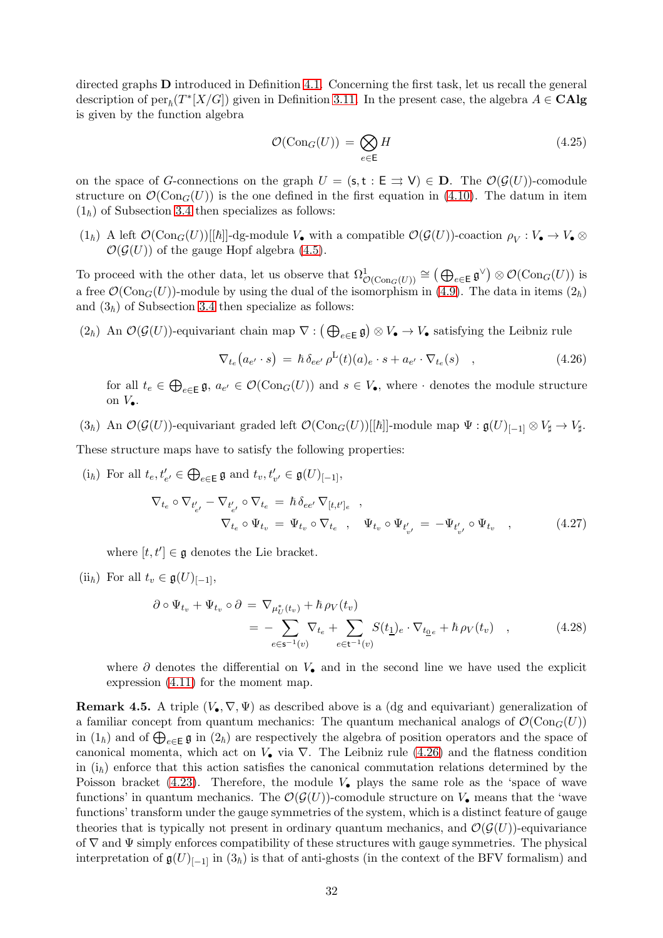directed graphs D introduced in Definition [4.1.](#page-28-1) Concerning the first task, let us recall the general description of  $\text{per}_{\hbar}(T^*[X/G])$  given in Definition [3.11.](#page-24-1) In the present case, the algebra  $A \in \mathbf{CAlg}$ is given by the function algebra

$$
\mathcal{O}(\text{Con}_G(U)) = \bigotimes_{e \in \mathsf{E}} H \tag{4.25}
$$

on the space of G-connections on the graph  $U = (\mathsf{s}, \mathsf{t} : \mathsf{E} \rightrightarrows \mathsf{V}) \in \mathbf{D}$ . The  $\mathcal{O}(\mathcal{G}(U))$ -comodule structure on  $\mathcal{O}(\text{Con}_G(U))$  is the one defined in the first equation in [\(4.10\)](#page-27-5). The datum in item  $(1_{\hbar})$  of Subsection [3.4](#page-22-0) then specializes as follows:

 $(1_h)$  A left  $\mathcal{O}(\text{Con}_G(U))[[\hbar]]$ -dg-module  $V_{\bullet}$  with a compatible  $\mathcal{O}(\mathcal{G}(U))$ -coaction  $\rho_V: V_{\bullet} \to V_{\bullet} \otimes$  $\mathcal{O}(\mathcal{G}(U))$  of the gauge Hopf algebra [\(4.5\)](#page-27-0).

To proceed with the other data, let us observe that  $\Omega^1_{\mathcal{O}(\mathrm{Con}_G(U))} \cong (\bigoplus_{e \in \mathsf{E}} \mathfrak{g}^{\vee}) \otimes \mathcal{O}(\mathrm{Con}_G(U))$  is a free  $\mathcal{O}(\text{Con}_G(U))$ -module by using the dual of the isomorphism in [\(4.9\)](#page-27-3). The data in items  $(2_h)$ and  $(3<sub>\hbar</sub>)$  of Subsection [3.4](#page-22-0) then specialize as follows:

(2<sup>h)</sup> An  $\mathcal{O}(\mathcal{G}(U))$ -equivariant chain map  $\nabla: (\bigoplus_{e \in \mathsf{E}} \mathfrak{g}) \otimes V_e \to V_e$  satisfying the Leibniz rule

<span id="page-31-0"></span>
$$
\nabla_{t_e}(a_{e'} \cdot s) = \hbar \delta_{ee'} \rho^{\mathcal{L}}(t)(a)_e \cdot s + a_{e'} \cdot \nabla_{t_e}(s) \quad , \tag{4.26}
$$

for all  $t_e \in \bigoplus_{e \in \mathsf{E}} \mathfrak{g}, a_{e'} \in \mathcal{O}(\text{Con}_G(U))$  and  $s \in V_\bullet$ , where  $\cdot$  denotes the module structure on  $V_{\bullet}$ .

(3<sup>h)</sup> An  $\mathcal{O}(\mathcal{G}(U))$ -equivariant graded left  $\mathcal{O}(\text{Con}_G(U))[[\hbar]]$ -module map  $\Psi : \mathfrak{g}(U)_{[-1]} \otimes V_{\sharp} \to V_{\sharp}$ .

These structure maps have to satisfy the following properties:

 $(i_{\hbar})$  For all  $t_e, t'_{e'} \in \bigoplus_{e \in \mathsf{E}} \mathfrak{g}$  and  $t_v, t'_{v'} \in \mathfrak{g}(U)_{[-1]},$  $\nabla_{t_e} \circ \nabla_{t'_{e'}} - \nabla_{t'_{e'}} \circ \nabla_{t_e} = \hbar \, \delta_{ee'} \, \nabla_{[t,t']_e} \;\; ,$  $\nabla_{t_e} \circ \Psi_{t_v} \,=\, \Psi_{t_v} \circ \nabla_{t_e} \;\; , \quad \Psi_{t_v} \circ \Psi_{t'_{v'}} \,=\, -\Psi_{t'_{v'}} \circ \Psi_{t_v}$  $(4.27)$ 

where  $[t, t'] \in \mathfrak{g}$  denotes the Lie bracket.

(ii<sub>$$
\hbar
$$</sub>) For all  $t_v \in \mathfrak{g}(U)_{[-1]},$ 

<span id="page-31-1"></span>
$$
\partial \circ \Psi_{t_v} + \Psi_{t_v} \circ \partial = \nabla_{\mu_U^*(t_v)} + \hbar \rho_V(t_v)
$$
  
= 
$$
-\sum_{e \in \mathbf{s}^{-1}(v)} \nabla_{t_e} + \sum_{e \in \mathbf{t}^{-1}(v)} S(t_{\underline{1}})_e \cdot \nabla_{t_{\underline{0}}_e} + \hbar \rho_V(t_v) , \qquad (4.28)
$$

where  $\partial$  denotes the differential on  $V_{\bullet}$  and in the second line we have used the explicit expression [\(4.11\)](#page-27-4) for the moment map.

**Remark 4.5.** A triple  $(V_{\bullet}, \nabla, \Psi)$  as described above is a (dg and equivariant) generalization of a familiar concept from quantum mechanics: The quantum mechanical analogs of  $\mathcal{O}(\text{Con}_G(U))$ in  $(1_h)$  and of  $\bigoplus_{e \in E} \mathfrak{g}$  in  $(2_h)$  are respectively the algebra of position operators and the space of canonical momenta, which act on  $V_{\bullet}$  via  $\nabla$ . The Leibniz rule [\(4.26\)](#page-31-0) and the flatness condition in  $(i<sub>\hbar</sub>)$  enforce that this action satisfies the canonical commutation relations determined by the Poisson bracket [\(4.23\)](#page-30-1). Therefore, the module  $V_{\bullet}$  plays the same role as the 'space of wave functions' in quantum mechanics. The  $\mathcal{O}(\mathcal{G}(U))$ -comodule structure on  $V_{\bullet}$  means that the 'wave functions' transform under the gauge symmetries of the system, which is a distinct feature of gauge theories that is typically not present in ordinary quantum mechanics, and  $\mathcal{O}(\mathcal{G}(U))$ -equivariance of  $\nabla$  and  $\Psi$  simply enforces compatibility of these structures with gauge symmetries. The physical interpretation of  $\mathfrak{g}(U)_{[-1]}$  in  $(3_{\hbar})$  is that of anti-ghosts (in the context of the BFV formalism) and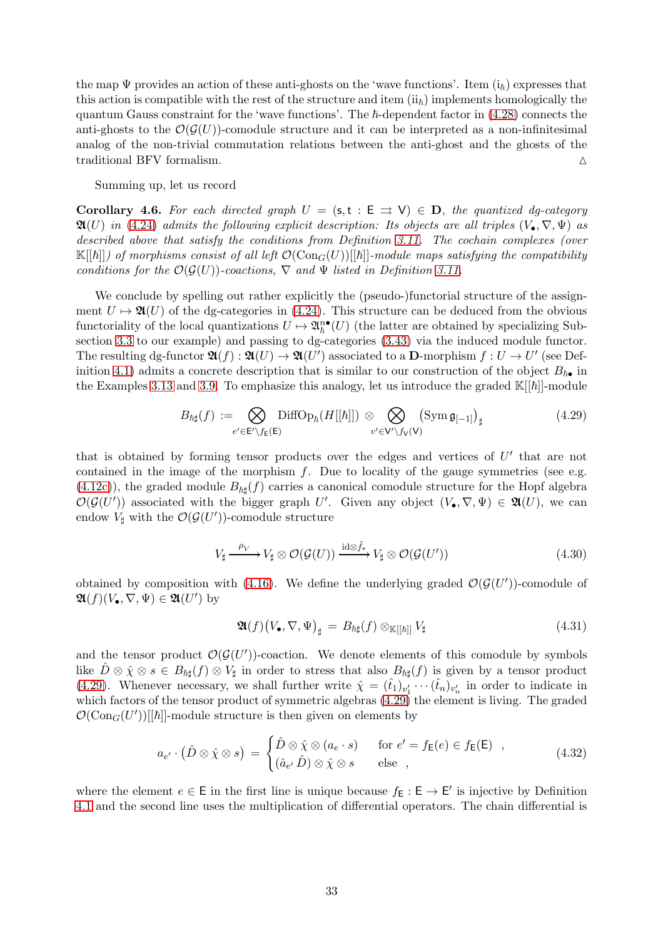the map  $\Psi$  provides an action of these anti-ghosts on the 'wave functions'. Item  $(i_h)$  expresses that this action is compatible with the rest of the structure and item  $(i_{i\hbar})$  implements homologically the quantum Gauss constraint for the 'wave functions'. The  $\hbar$ -dependent factor in [\(4.28\)](#page-31-1) connects the anti-ghosts to the  $\mathcal{O}(\mathcal{G}(U))$ -comodule structure and it can be interpreted as a non-infinitesimal analog of the non-trivial commutation relations between the anti-ghost and the ghosts of the traditional BFV formalism.  $\triangle$ 

Summing up, let us record

Corollary 4.6. For each directed graph  $U = (s, t : E \implies V) \in D$ , the quantized dg-category  $\mathfrak{A}(U)$  *in* [\(4.24\)](#page-30-2) *admits the following explicit description: Its objects are all triples*  $(V_{\bullet}, \nabla, \Psi)$  *as described above that satisfy the conditions from Definition [3.11.](#page-24-1) The cochain complexes (over*  $\mathbb{K}[[\hbar]]$ ) of morphisms consist of all left  $\mathcal{O}(\text{Con}_G(U))[[\hbar]]$ -module maps satisfying the compatibility *conditions for the*  $\mathcal{O}(\mathcal{G}(U))$ *-coactions,*  $\nabla$  *and*  $\Psi$  *listed in Definition [3.11.](#page-24-1)* 

We conclude by spelling out rather explicitly the (pseudo-)functorial structure of the assignment  $U \mapsto \mathfrak{A}(U)$  of the dg-categories in [\(4.24\)](#page-30-2). This structure can be deduced from the obvious functoriality of the local quantizations  $U \mapsto \mathfrak{A}_{\hbar}^{\mathbf{n}\bullet}(U)$  (the latter are obtained by specializing Subsection [3.3](#page-17-0) to our example) and passing to dg-categories [\(3.43\)](#page-22-3) via the induced module functor. The resulting dg-functor  $\mathfrak{A}(f) : \mathfrak{A}(U) \to \mathfrak{A}(U')$  associated to a **D**-morphism  $f : U \to U'$  (see Def-inition [4.1\)](#page-28-1) admits a concrete description that is similar to our construction of the object  $B_{\hbar\bullet}$  in the Examples [3.13](#page-25-1) and [3.9.](#page-22-4) To emphasize this analogy, let us introduce the graded  $\mathbb{K}[[\hbar]]$ -module

$$
B_{\hbar\sharp}(f) := \bigotimes_{e' \in E' \backslash f_{E}(E)} \text{DiffOp}_{\hbar}(H[[\hbar]]) \otimes \bigotimes_{v' \in V' \backslash f_{V}(V)} (\text{Sym } \mathfrak{g}_{[-1]})_{\sharp} \tag{4.29}
$$

that is obtained by forming tensor products over the edges and vertices of  $U'$  that are not contained in the image of the morphism  $f$ . Due to locality of the gauge symmetries (see e.g.  $(4.12c)$ , the graded module  $B_{\hbar\sharp}(f)$  carries a canonical comodule structure for the Hopf algebra  $\mathcal{O}(\mathcal{G}(U'))$  associated with the bigger graph U'. Given any object  $(V_\bullet, \nabla, \Psi) \in \mathfrak{A}(U)$ , we can endow  $V_{\sharp}$  with the  $\mathcal{O}(\mathcal{G}(U'))$ -comodule structure

<span id="page-32-0"></span>
$$
V_{\sharp} \xrightarrow{\rho_V} V_{\sharp} \otimes \mathcal{O}(\mathcal{G}(U)) \xrightarrow{\mathrm{id} \otimes \tilde{f}_*} V_{\sharp} \otimes \mathcal{O}(\mathcal{G}(U')) \tag{4.30}
$$

obtained by composition with [\(4.16\)](#page-29-1). We define the underlying graded  $\mathcal{O}(\mathcal{G}(U'))$ -comodule of  $\mathfrak{A}(f)(V_\bullet,\nabla,\Psi)\in\mathfrak{A}(U')$  by

<span id="page-32-2"></span><span id="page-32-1"></span>
$$
\mathfrak{A}(f)\big(V_{\bullet},\nabla,\Psi\big)_{\sharp} = B_{\hbar\sharp}(f) \otimes_{\mathbb{K}[[\hbar]]} V_{\sharp}
$$
\n(4.31)

and the tensor product  $\mathcal{O}(\mathcal{G}(U'))$ -coaction. We denote elements of this comodule by symbols like  $\hat{D} \otimes \hat{\chi} \otimes s \in B_{\hbar \sharp}(f) \otimes V_{\sharp}$  in order to stress that also  $B_{\hbar \sharp}(f)$  is given by a tensor product [\(4.29\)](#page-32-0). Whenever necessary, we shall further write  $\hat{\chi} = (\hat{t}_1)_{v'_1} \cdots (\hat{t}_n)_{v'_n}$  in order to indicate in which factors of the tensor product of symmetric algebras  $(4.29)$  the element is living. The graded  $\mathcal{O}(\text{Con}_G(U'))[[\hbar]]$ -module structure is then given on elements by

$$
a_{e'} \cdot (\hat{D} \otimes \hat{\chi} \otimes s) = \begin{cases} \hat{D} \otimes \hat{\chi} \otimes (a_e \cdot s) & \text{for } e' = f_E(e) \in f_E(E) , \\ (\hat{a}_{e'} \hat{D}) \otimes \hat{\chi} \otimes s & \text{else} , \end{cases}
$$
(4.32)

where the element  $e \in E$  in the first line is unique because  $f_E : E \to E'$  is injective by Definition [4.1](#page-28-1) and the second line uses the multiplication of differential operators. The chain differential is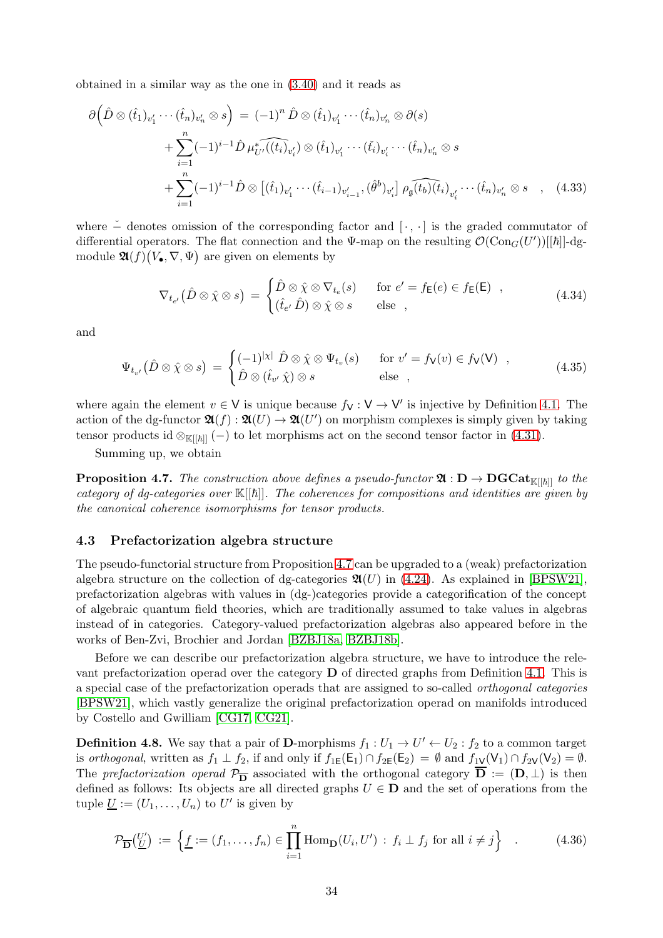obtained in a similar way as the one in [\(3.40\)](#page-22-6) and it reads as

$$
\partial \left( \hat{D} \otimes (\hat{t}_1)_{v'_1} \cdots (\hat{t}_n)_{v'_n} \otimes s \right) = (-1)^n \hat{D} \otimes (\hat{t}_1)_{v'_1} \cdots (\hat{t}_n)_{v'_n} \otimes \partial(s)
$$
  
+ 
$$
\sum_{i=1}^n (-1)^{i-1} \hat{D} \mu_{U'}^* (\widehat{(t_i)_{v'_i}}) \otimes (\hat{t}_1)_{v'_1} \cdots (\hat{t}_i)_{v'_i} \cdots (\hat{t}_n)_{v'_n} \otimes s
$$
  
+ 
$$
\sum_{i=1}^n (-1)^{i-1} \hat{D} \otimes [(\hat{t}_1)_{v'_1} \cdots (\hat{t}_{i-1})_{v'_{i-1}}, (\hat{\theta}^b)_{v'_i}] \rho_{\mathfrak{g}}(\widehat{t_b}) (\hat{t}_i)_{v'_i} \cdots (\hat{t}_n)_{v'_n} \otimes s , \quad (4.33)
$$

where  $\sim$  denotes omission of the corresponding factor and  $[\cdot, \cdot]$  is the graded commutator of differential operators. The flat connection and the Ψ-map on the resulting  $\mathcal{O}(\text{Con}_G(U'))[[\hbar]]$ -dgmodule  $\mathfrak{A}(f)(V_\bullet,\nabla,\Psi)$  are given on elements by

<span id="page-33-4"></span><span id="page-33-3"></span><span id="page-33-2"></span>
$$
\nabla_{t_{e'}} (\hat{D} \otimes \hat{\chi} \otimes s) = \begin{cases} \hat{D} \otimes \hat{\chi} \otimes \nabla_{t_e}(s) & \text{for } e' = f_E(e) \in f_E(E) ,\\ (\hat{t}_{e'} \hat{D}) \otimes \hat{\chi} \otimes s & \text{else} , \end{cases}
$$
(4.34)

and

$$
\Psi_{t_{v'}}(\hat{D}\otimes\hat{\chi}\otimes s) = \begin{cases}\n(-1)^{|\chi|} \hat{D}\otimes\hat{\chi}\otimes\Psi_{t_v}(s) & \text{for } v'=f_V(v)\in f_V(V) ,\\ \n\hat{D}\otimes(\hat{t}_{v'}\hat{\chi})\otimes s & \text{else },\n\end{cases}
$$
\n(4.35)

where again the element  $v \in V$  is unique because  $f_V : V \to V'$  is injective by Definition [4.1.](#page-28-1) The action of the dg-functor  $\mathfrak{A}(f) : \mathfrak{A}(U) \to \mathfrak{A}(U')$  on morphism complexes is simply given by taking tensor products id  $\otimes_{\mathbb{K}[[\hbar]]} (-)$  to let morphisms act on the second tensor factor in [\(4.31\)](#page-32-1).

Summing up, we obtain

<span id="page-33-1"></span>**Proposition 4.7.** *The construction above defines a pseudo-functor*  $\mathfrak{A}: D \to DGCat_{\mathbb{K}}[[\hbar]]$  *to the*  $category$  of dg-categories over  $\mathbb{K}[[\hbar]]$ . The coherences for compositions and identities are given by *the canonical coherence isomorphisms for tensor products.*

#### <span id="page-33-0"></span>4.3 Prefactorization algebra structure

The pseudo-functorial structure from Proposition [4.7](#page-33-1) can be upgraded to a (weak) prefactorization algebra structure on the collection of dg-categories  $\mathfrak{A}(U)$  in [\(4.24\)](#page-30-2). As explained in [\[BPSW21\]](#page-35-14), prefactorization algebras with values in (dg-)categories provide a categorification of the concept of algebraic quantum field theories, which are traditionally assumed to take values in algebras instead of in categories. Category-valued prefactorization algebras also appeared before in the works of Ben-Zvi, Brochier and Jordan [\[BZBJ18a,](#page-35-15) [BZBJ18b\]](#page-35-16).

Before we can describe our prefactorization algebra structure, we have to introduce the relevant prefactorization operad over the category  **of directed graphs from Definition [4.1.](#page-28-1) This is** a special case of the prefactorization operads that are assigned to so-called *orthogonal categories* [\[BPSW21\]](#page-35-14), which vastly generalize the original prefactorization operad on manifolds introduced by Costello and Gwilliam [\[CG17,](#page-35-2) [CG21\]](#page-35-3).

**Definition 4.8.** We say that a pair of **D**-morphisms  $f_1: U_1 \to U' \leftarrow U_2: f_2$  to a common target is *orthogonal*, written as  $f_1 \perp f_2$ , if and only if  $f_1E(E_1) \cap f_2E(E_2) = \emptyset$  and  $f_1\mathcal{F}(V_1) \cap f_2\mathcal{F}(V_2) = \emptyset$ . The *prefactorization operad*  $\mathcal{P}_{\overline{D}}$  associated with the orthogonal category  $\overline{D} := (D, \perp)$  is then defined as follows: Its objects are all directed graphs  $U \in \mathbf{D}$  and the set of operations from the tuple  $\underline{U} := (U_1, \ldots, U_n)$  to  $U'$  is given by

$$
\mathcal{P}_{\overline{\mathbf{D}}}(\underline{U}') := \left\{ \underline{f} := (f_1, \dots, f_n) \in \prod_{i=1}^n \text{Hom}_{\mathbf{D}}(U_i, U') : f_i \perp f_j \text{ for all } i \neq j \right\} \quad . \tag{4.36}
$$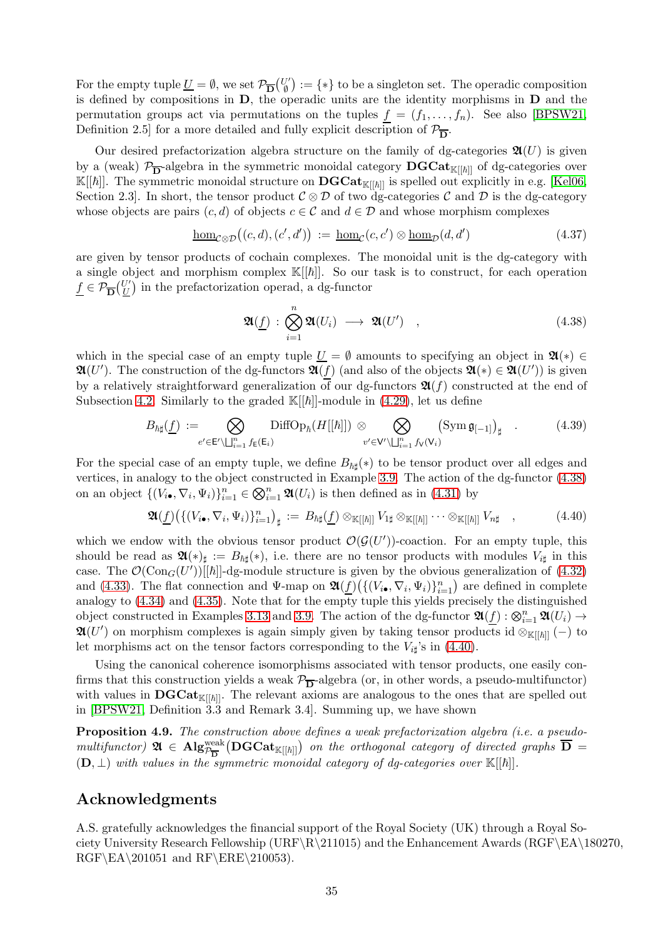For the empty tuple  $\underline{U} = \emptyset$ , we set  $\mathcal{P}_{\overline{D}}(\begin{matrix} U' \\ \emptyset \end{matrix}) := \{ * \}$  to be a singleton set. The operadic composition is defined by compositions in D, the operadic units are the identity morphisms in D and the permutation groups act via permutations on the tuples  $f = (f_1, \ldots, f_n)$ . See also [\[BPSW21,](#page-35-14) Definition 2.5] for a more detailed and fully explicit description of  $\mathcal{P}_{\overline{D}}$ .

Our desired prefactorization algebra structure on the family of dg-categories  $\mathfrak{A}(U)$  is given by a (weak)  $\mathcal{P}_{\overline{D}}$ -algebra in the symmetric monoidal category  $\text{DGCat}_{\mathbb{K}[[\hbar]]}$  of dg-categories over  $\mathbb{K}[[\hbar]]$ . The symmetric monoidal structure on  $\mathbf{DGCat}_{\mathbb{K}[[\hbar]]}$  is spelled out explicitly in e.g. [\[Kel06,](#page-35-17) Section 2.3]. In short, the tensor product  $\mathcal{C} \otimes \mathcal{D}$  of two dg-categories  $\mathcal{C}$  and  $\mathcal{D}$  is the dg-category whose objects are pairs  $(c, d)$  of objects  $c \in \mathcal{C}$  and  $d \in \mathcal{D}$  and whose morphism complexes

$$
\underline{\hom}_{\mathcal{C}\otimes\mathcal{D}}\big((c,d),(c',d')\big) := \underline{\hom}_{\mathcal{C}}(c,c') \otimes \underline{\hom}_{\mathcal{D}}(d,d')
$$
(4.37)

are given by tensor products of cochain complexes. The monoidal unit is the dg-category with a single object and morphism complex  $\mathbb{K}[[\hbar]]$ . So our task is to construct, for each operation  $\underline{f} \in \mathcal{P}_{\overline{D}}(\underline{U}')$  in the prefactorization operad, a dg-functor

<span id="page-34-1"></span><span id="page-34-0"></span>
$$
\mathfrak{A}(\underline{f}) : \bigotimes_{i=1}^{n} \mathfrak{A}(U_i) \longrightarrow \mathfrak{A}(U') , \qquad (4.38)
$$

which in the special case of an empty tuple  $\underline{U} = \emptyset$  amounts to specifying an object in  $\mathfrak{A}(*) \in$  $\mathfrak{A}(U')$ . The construction of the dg-functors  $\mathfrak{A}(f)$  (and also of the objects  $\mathfrak{A}(*) \in \mathfrak{A}(U')$ ) is given by a relatively straightforward generalization of our dg-functors  $\mathfrak{A}(f)$  constructed at the end of Subsection [4.2.](#page-30-0) Similarly to the graded  $\mathbb{K}[[\hbar]]$ -module in [\(4.29\)](#page-32-0), let us define

$$
B_{\hbar\sharp}(\underline{f}) := \bigotimes_{e' \in \mathsf{E}' \setminus \bigsqcup_{i=1}^n} \text{DiffOp}_{\hbar}(H[[\hbar]]) \otimes \bigotimes_{v' \in \mathsf{V}' \setminus \bigsqcup_{i=1}^n} (\text{Sym } \mathfrak{g}_{[-1]})_{\sharp} \quad . \tag{4.39}
$$

For the special case of an empty tuple, we define  $B_{\hbar\sharp}(*)$  to be tensor product over all edges and vertices, in analogy to the object constructed in Example [3.9.](#page-22-4) The action of the dg-functor [\(4.38\)](#page-34-0) on an object  $\{(V_{i\bullet}, \nabla_i, \Psi_i)\}_{i=1}^n \in \bigotimes_{i=1}^n \mathfrak{A}(U_i)$  is then defined as in [\(4.31\)](#page-32-1) by

$$
\mathfrak{A}(\underline{f})\big(\{(V_{i\bullet},\nabla_i,\Psi_i)\}_{i=1}^n\big)_{\sharp} := B_{\hbar\sharp}(\underline{f})\otimes_{\mathbb{K}[[\hbar]]} V_{1\sharp}\otimes_{\mathbb{K}[[\hbar]]}\cdots\otimes_{\mathbb{K}[[\hbar]]} V_{n\sharp} \quad , \tag{4.40}
$$

which we endow with the obvious tensor product  $\mathcal{O}(\mathcal{G}(U'))$ -coaction. For an empty tuple, this should be read as  $\mathfrak{A}(*)_{\sharp} := B_{\hbar\sharp}(*)$ , i.e. there are no tensor products with modules  $V_{i\sharp}$  in this case. The  $\mathcal{O}(\text{Con}_G(U'))[[\hbar]]$ -dg-module structure is given by the obvious generalization of [\(4.32\)](#page-32-2) and [\(4.33\)](#page-33-2). The flat connection and  $\Psi$ -map on  $\mathfrak{A}(\underline{f})(\{(V_{i\bullet}, \nabla_i, \Psi_i)\}_{i=1}^n)$  are defined in complete analogy to [\(4.34\)](#page-33-3) and [\(4.35\)](#page-33-4). Note that for the empty tuple this yields precisely the distinguished object constructed in Examples [3.13](#page-25-1) and [3.9.](#page-22-4) The action of the dg-functor  $\mathfrak{A}(\underline{f})$  :  $\bigotimes_{i=1}^n \mathfrak{A}(U_i) \to$  $\mathfrak{A}(U')$  on morphism complexes is again simply given by taking tensor products id  $\otimes_{\mathbb{K}[[\hbar]]}(-)$  to let morphisms act on the tensor factors corresponding to the  $V_{it}$ 's in [\(4.40\)](#page-34-1).

Using the canonical coherence isomorphisms associated with tensor products, one easily confirms that this construction yields a weak  $\mathcal{P}_{\overline{D}}$ -algebra (or, in other words, a pseudo-multifunctor) with values in  $\text{DGCat}_{\mathbb{K}[[\hbar]]}$ . The relevant axioms are analogous to the ones that are spelled out in [\[BPSW21,](#page-35-14) Definition 3.3 and Remark 3.4]. Summing up, we have shown

Proposition 4.9. *The construction above defines a weak prefactorization algebra (i.e. a pseudo-* $\textit{multifunctor)} \;\; \mathfrak{A} \;\in \; \mathbf{Alg}_{\mathcal{P}_{\overline{\mathbf{D}}}}^{\text{weak}}\big(\mathbf{DGCat}_{\mathbb{K}[[\hbar]]}\big) \;\; \textit{on the orthogonal category of directed graphs} \;\; \overline{\mathbf{D}} \;= \;$  $(D, \perp)$  *with values in the symmetric monoidal category of dq-categories over* K[[h]].

# Acknowledgments

A.S. gratefully acknowledges the financial support of the Royal Society (UK) through a Royal Society University Research Fellowship (URF $\R\211015$ ) and the Enhancement Awards (RGF $\E{A\180270}$ , RGF\EA\201051 and RF\ERE\210053).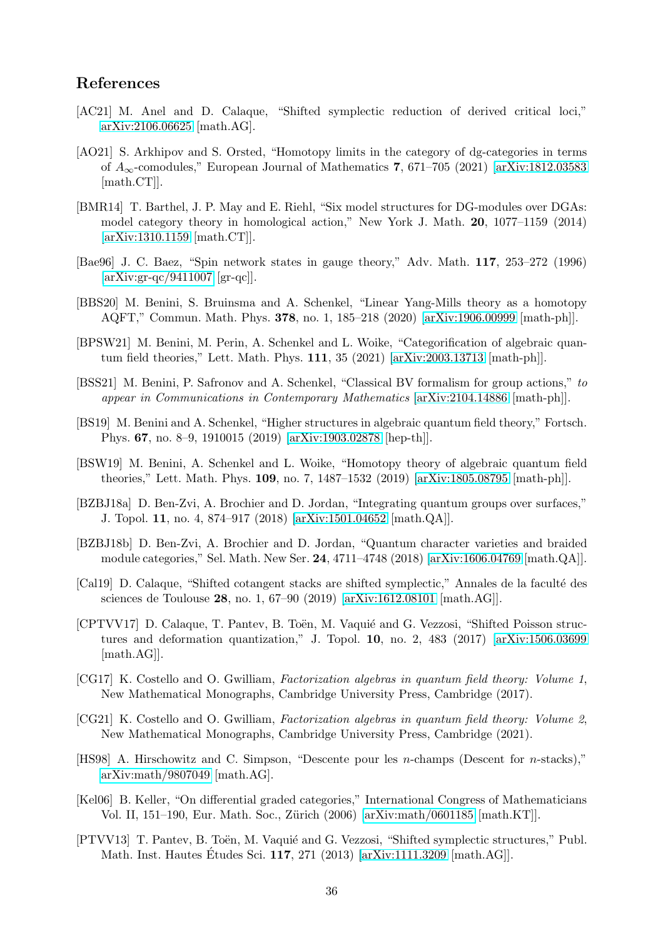# References

- <span id="page-35-8"></span>[AC21] M. Anel and D. Calaque, "Shifted symplectic reduction of derived critical loci," [arXiv:2106.06625](http://arxiv.org/abs/2106.06625) [math.AG].
- <span id="page-35-11"></span>[AO21] S. Arkhipov and S. Orsted, "Homotopy limits in the category of dg-categories in terms of  $A_{\infty}$ -comodules," European Journal of Mathematics 7, 671–705 (2021) [\[arXiv:1812.03583](http://arxiv.org/abs/1812.03583) [math.CT]].
- <span id="page-35-9"></span>[BMR14] T. Barthel, J. P. May and E. Riehl, "Six model structures for DG-modules over DGAs: model category theory in homological action," New York J. Math. 20, 1077–1159 (2014) [\[arXiv:1310.1159](http://arxiv.org/abs/1310.1159) [math.CT]].
- <span id="page-35-13"></span>[Bae96] J. C. Baez, "Spin network states in gauge theory," Adv. Math. 117, 253–272 (1996)  $\ar{xiv:gr-qc/9411007}$  [gr-qc].
- <span id="page-35-6"></span>[BBS20] M. Benini, S. Bruinsma and A. Schenkel, "Linear Yang-Mills theory as a homotopy AQFT," Commun. Math. Phys. 378, no. 1, 185–218 (2020) [\[arXiv:1906.00999](http://arxiv.org/abs/1906.00999) [math-ph]].
- <span id="page-35-14"></span>[BPSW21] M. Benini, M. Perin, A. Schenkel and L. Woike, "Categorification of algebraic quantum field theories," Lett. Math. Phys. 111, 35 (2021) [\[arXiv:2003.13713](http://arxiv.org/abs/2003.13713) [math-ph]].
- <span id="page-35-7"></span>[BSS21] M. Benini, P. Safronov and A. Schenkel, "Classical BV formalism for group actions," *to appear in Communications in Contemporary Mathematics* [\[arXiv:2104.14886](http://arxiv.org/abs/2104.14886) [math-ph]].
- <span id="page-35-5"></span>[BS19] M. Benini and A. Schenkel, "Higher structures in algebraic quantum field theory," Fortsch. Phys. 67, no. 8–9, 1910015 (2019) [\[arXiv:1903.02878](http://arxiv.org/abs/1903.02878) [hep-th]].
- <span id="page-35-4"></span>[BSW19] M. Benini, A. Schenkel and L. Woike, "Homotopy theory of algebraic quantum field theories," Lett. Math. Phys. 109, no. 7, 1487–1532 (2019) [\[arXiv:1805.08795](http://arxiv.org/abs/1805.08795) [math-ph]].
- <span id="page-35-15"></span>[BZBJ18a] D. Ben-Zvi, A. Brochier and D. Jordan, "Integrating quantum groups over surfaces," J. Topol. 11, no. 4, 874–917 (2018) [\[arXiv:1501.04652](http://arxiv.org/abs/1501.04652) [math.QA]].
- <span id="page-35-16"></span>[BZBJ18b] D. Ben-Zvi, A. Brochier and D. Jordan, "Quantum character varieties and braided module categories," Sel. Math. New Ser. 24, 4711–4748 (2018) [\[arXiv:1606.04769](http://arxiv.org/abs/1606.04769) [math.QA]].
- <span id="page-35-12"></span>[Cal19] D. Calaque, "Shifted cotangent stacks are shifted symplectic," Annales de la facult´e des sciences de Toulouse 28, no. 1, 67–90 (2019) [\[arXiv:1612.08101](http://arxiv.org/abs/1612.08101) [math.AG]].
- <span id="page-35-1"></span>[CPTVV17] D. Calaque, T. Pantev, B. Toën, M. Vaquié and G. Vezzosi, "Shifted Poisson structures and deformation quantization," J. Topol. 10, no. 2, 483 (2017) [\[arXiv:1506.03699](http://arxiv.org/abs/1506.03699) [math.AG]].
- <span id="page-35-2"></span>[CG17] K. Costello and O. Gwilliam, *Factorization algebras in quantum field theory: Volume 1*, New Mathematical Monographs, Cambridge University Press, Cambridge (2017).
- <span id="page-35-3"></span>[CG21] K. Costello and O. Gwilliam, *Factorization algebras in quantum field theory: Volume 2*, New Mathematical Monographs, Cambridge University Press, Cambridge (2021).
- <span id="page-35-10"></span>[HS98] A. Hirschowitz and C. Simpson, "Descente pour les n-champs (Descent for n-stacks)," [arXiv:math/9807049](http://arxiv.org/abs/math/9807049) [math.AG].
- <span id="page-35-17"></span>[Kel06] B. Keller, "On differential graded categories," International Congress of Mathematicians Vol. II, 151–190, Eur. Math. Soc., Zürich (2006) [\[arXiv:math/0601185](http://arxiv.org/abs/math/0601185) [math.KT]].
- <span id="page-35-0"></span>[PTVV13] T. Pantev, B. Toën, M. Vaquié and G. Vezzosi, "Shifted symplectic structures," Publ. Math. Inst. Hautes Études Sci. 117, 271 (2013) [\[arXiv:1111.3209](http://arxiv.org/abs/1111.3209) [math.AG]].